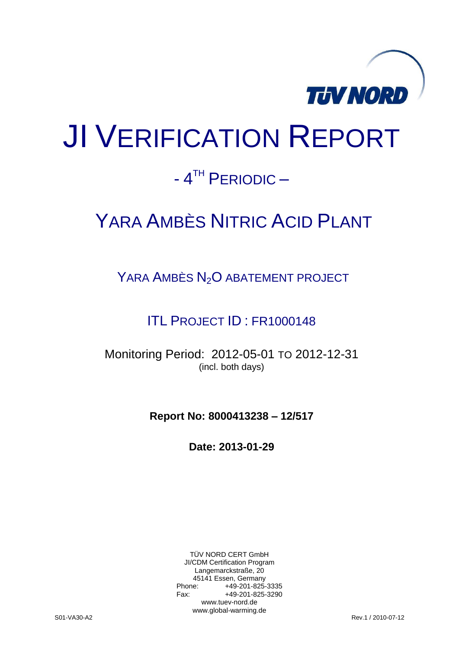

## JI VERIFICATION REPORT

## - 4<sup>th</sup> Periodic –

## YARA AMBÈS NITRIC ACID PLANT

YARA AMBÈS N<sub>2</sub>O ABATEMENT PROJECT

ITL PROJECT ID : FR1000148

Monitoring Period: 2012-05-01 TO 2012-12-31 (incl. both days)

**Report No: 8000413238 – 12/517**

**Date: 2013-01-29**

TÜV NORD CERT GmbH JI/CDM Certification Program Langemarckstraße, 20 45141 Essen, Germany<br>+49-201-825-49 +49-201-825-3335 Fax: +49-201-825-3290 www.tuev-nord.de www.global-warming.de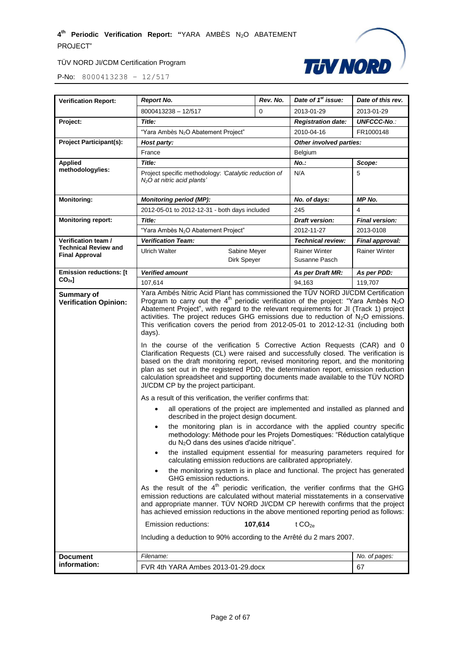



| <b>Verification Report:</b>                          | <b>Report No.</b>                                                                                                                                                                                                                                                                                                                                                                                                                                                                                                                                                                                                                                                                                                                                                                                                                                                                                                                                                                                                                                                                                                                                                                                                                                                                                                                                                                                                                                                                                                                                                                                                                                                                                                                                                                                                                                                                                                                                                                                                                                                                                                                     | Rev. No. | Date of 1 <sup>st</sup> issue: | Date of this rev.     |
|------------------------------------------------------|---------------------------------------------------------------------------------------------------------------------------------------------------------------------------------------------------------------------------------------------------------------------------------------------------------------------------------------------------------------------------------------------------------------------------------------------------------------------------------------------------------------------------------------------------------------------------------------------------------------------------------------------------------------------------------------------------------------------------------------------------------------------------------------------------------------------------------------------------------------------------------------------------------------------------------------------------------------------------------------------------------------------------------------------------------------------------------------------------------------------------------------------------------------------------------------------------------------------------------------------------------------------------------------------------------------------------------------------------------------------------------------------------------------------------------------------------------------------------------------------------------------------------------------------------------------------------------------------------------------------------------------------------------------------------------------------------------------------------------------------------------------------------------------------------------------------------------------------------------------------------------------------------------------------------------------------------------------------------------------------------------------------------------------------------------------------------------------------------------------------------------------|----------|--------------------------------|-----------------------|
|                                                      | 8000413238 - 12/517                                                                                                                                                                                                                                                                                                                                                                                                                                                                                                                                                                                                                                                                                                                                                                                                                                                                                                                                                                                                                                                                                                                                                                                                                                                                                                                                                                                                                                                                                                                                                                                                                                                                                                                                                                                                                                                                                                                                                                                                                                                                                                                   | $\Omega$ | 2013-01-29                     | 2013-01-29            |
| Project:                                             | Title:                                                                                                                                                                                                                                                                                                                                                                                                                                                                                                                                                                                                                                                                                                                                                                                                                                                                                                                                                                                                                                                                                                                                                                                                                                                                                                                                                                                                                                                                                                                                                                                                                                                                                                                                                                                                                                                                                                                                                                                                                                                                                                                                |          | <b>Registration date:</b>      | <b>UNFCCC-No.:</b>    |
|                                                      | "Yara Ambès N <sub>2</sub> O Abatement Project"                                                                                                                                                                                                                                                                                                                                                                                                                                                                                                                                                                                                                                                                                                                                                                                                                                                                                                                                                                                                                                                                                                                                                                                                                                                                                                                                                                                                                                                                                                                                                                                                                                                                                                                                                                                                                                                                                                                                                                                                                                                                                       |          | 2010-04-16                     | FR1000148             |
| <b>Project Participant(s):</b>                       | Host party:                                                                                                                                                                                                                                                                                                                                                                                                                                                                                                                                                                                                                                                                                                                                                                                                                                                                                                                                                                                                                                                                                                                                                                                                                                                                                                                                                                                                                                                                                                                                                                                                                                                                                                                                                                                                                                                                                                                                                                                                                                                                                                                           |          | Other involved parties:        |                       |
|                                                      | France                                                                                                                                                                                                                                                                                                                                                                                                                                                                                                                                                                                                                                                                                                                                                                                                                                                                                                                                                                                                                                                                                                                                                                                                                                                                                                                                                                                                                                                                                                                                                                                                                                                                                                                                                                                                                                                                                                                                                                                                                                                                                                                                |          | Belgium                        |                       |
| <b>Applied</b>                                       | Title:                                                                                                                                                                                                                                                                                                                                                                                                                                                                                                                                                                                                                                                                                                                                                                                                                                                                                                                                                                                                                                                                                                                                                                                                                                                                                                                                                                                                                                                                                                                                                                                                                                                                                                                                                                                                                                                                                                                                                                                                                                                                                                                                |          | No.:                           | Scope:                |
| methodology/ies:                                     | Project specific methodology: 'Catalytic reduction of<br>$N2O$ at nitric acid plants'                                                                                                                                                                                                                                                                                                                                                                                                                                                                                                                                                                                                                                                                                                                                                                                                                                                                                                                                                                                                                                                                                                                                                                                                                                                                                                                                                                                                                                                                                                                                                                                                                                                                                                                                                                                                                                                                                                                                                                                                                                                 |          | N/A                            | 5                     |
| <b>Monitoring:</b>                                   | <b>Monitoring period (MP):</b>                                                                                                                                                                                                                                                                                                                                                                                                                                                                                                                                                                                                                                                                                                                                                                                                                                                                                                                                                                                                                                                                                                                                                                                                                                                                                                                                                                                                                                                                                                                                                                                                                                                                                                                                                                                                                                                                                                                                                                                                                                                                                                        |          | No. of days:                   | <b>MP No.</b>         |
|                                                      | 2012-05-01 to 2012-12-31 - both days included                                                                                                                                                                                                                                                                                                                                                                                                                                                                                                                                                                                                                                                                                                                                                                                                                                                                                                                                                                                                                                                                                                                                                                                                                                                                                                                                                                                                                                                                                                                                                                                                                                                                                                                                                                                                                                                                                                                                                                                                                                                                                         |          | 245                            | 4                     |
| <b>Monitoring report:</b>                            | Title:                                                                                                                                                                                                                                                                                                                                                                                                                                                                                                                                                                                                                                                                                                                                                                                                                                                                                                                                                                                                                                                                                                                                                                                                                                                                                                                                                                                                                                                                                                                                                                                                                                                                                                                                                                                                                                                                                                                                                                                                                                                                                                                                |          | <b>Draft version:</b>          | <b>Final version:</b> |
|                                                      | "Yara Ambès N <sub>2</sub> O Abatement Project"                                                                                                                                                                                                                                                                                                                                                                                                                                                                                                                                                                                                                                                                                                                                                                                                                                                                                                                                                                                                                                                                                                                                                                                                                                                                                                                                                                                                                                                                                                                                                                                                                                                                                                                                                                                                                                                                                                                                                                                                                                                                                       |          | 2012-11-27                     | 2013-0108             |
| Verification team /                                  | <b>Verification Team:</b>                                                                                                                                                                                                                                                                                                                                                                                                                                                                                                                                                                                                                                                                                                                                                                                                                                                                                                                                                                                                                                                                                                                                                                                                                                                                                                                                                                                                                                                                                                                                                                                                                                                                                                                                                                                                                                                                                                                                                                                                                                                                                                             |          | <b>Technical review:</b>       | Final approval:       |
| <b>Technical Review and</b><br><b>Final Approval</b> | Ulrich Walter<br>Sabine Meyer                                                                                                                                                                                                                                                                                                                                                                                                                                                                                                                                                                                                                                                                                                                                                                                                                                                                                                                                                                                                                                                                                                                                                                                                                                                                                                                                                                                                                                                                                                                                                                                                                                                                                                                                                                                                                                                                                                                                                                                                                                                                                                         |          | <b>Rainer Winter</b>           | <b>Rainer Winter</b>  |
|                                                      | Dirk Speyer                                                                                                                                                                                                                                                                                                                                                                                                                                                                                                                                                                                                                                                                                                                                                                                                                                                                                                                                                                                                                                                                                                                                                                                                                                                                                                                                                                                                                                                                                                                                                                                                                                                                                                                                                                                                                                                                                                                                                                                                                                                                                                                           |          | Susanne Pasch                  |                       |
| <b>Emission reductions: [t</b>                       | <b>Verified amount</b>                                                                                                                                                                                                                                                                                                                                                                                                                                                                                                                                                                                                                                                                                                                                                                                                                                                                                                                                                                                                                                                                                                                                                                                                                                                                                                                                                                                                                                                                                                                                                                                                                                                                                                                                                                                                                                                                                                                                                                                                                                                                                                                |          | As per Draft MR:               | As per PDD:           |
| CO <sub>2e</sub>                                     | 107,614                                                                                                                                                                                                                                                                                                                                                                                                                                                                                                                                                                                                                                                                                                                                                                                                                                                                                                                                                                                                                                                                                                                                                                                                                                                                                                                                                                                                                                                                                                                                                                                                                                                                                                                                                                                                                                                                                                                                                                                                                                                                                                                               |          | 94,163                         | 119,707               |
| <b>Verification Opinion:</b>                         | Yara Ambés Nitric Acid Plant has commissioned the TÜV NORD JI/CDM Certification<br>Program to carry out the $4^{th}$ periodic verification of the project: "Yara Ambès N <sub>2</sub> O<br>Abatement Project", with regard to the relevant requirements for JI (Track 1) project<br>activities. The project reduces GHG emissions due to reduction of $N_2O$ emissions.<br>This verification covers the period from 2012-05-01 to 2012-12-31 (including both<br>days).<br>In the course of the verification 5 Corrective Action Requests (CAR) and 0<br>Clarification Requests (CL) were raised and successfully closed. The verification is<br>based on the draft monitoring report, revised monitoring report, and the monitoring<br>plan as set out in the registered PDD, the determination report, emission reduction<br>calculation spreadsheet and supporting documents made available to the TÜV NORD<br>JI/CDM CP by the project participant.<br>As a result of this verification, the verifier confirms that:<br>all operations of the project are implemented and installed as planned and<br>described in the project design document.<br>the monitoring plan is in accordance with the applied country specific<br>٠<br>methodology: Méthode pour les Projets Domestiques: "Réduction catalytique<br>du N <sub>2</sub> O dans des usines d'acide nitrique".<br>the installed equipment essential for measuring parameters required for<br>$\bullet$<br>calculating emission reductions are calibrated appropriately.<br>the monitoring system is in place and functional. The project has generated<br>GHG emission reductions.<br>As the result of the 4 <sup>th</sup> periodic verification, the verifier confirms that the GHG<br>emission reductions are calculated without material misstatements in a conservative<br>and appropriate manner. TÜV NORD JI/CDM CP herewith confirms that the project<br>has achieved emission reductions in the above mentioned reporting period as follows:<br>107,614<br>Emission reductions:<br>t $CO2e$<br>Including a deduction to 90% according to the Arrêté du 2 mars 2007. |          |                                |                       |
| <b>Document</b><br>information:                      | Filename:<br>No. of pages:                                                                                                                                                                                                                                                                                                                                                                                                                                                                                                                                                                                                                                                                                                                                                                                                                                                                                                                                                                                                                                                                                                                                                                                                                                                                                                                                                                                                                                                                                                                                                                                                                                                                                                                                                                                                                                                                                                                                                                                                                                                                                                            |          |                                |                       |
|                                                      | FVR 4th YARA Ambes 2013-01-29.docx                                                                                                                                                                                                                                                                                                                                                                                                                                                                                                                                                                                                                                                                                                                                                                                                                                                                                                                                                                                                                                                                                                                                                                                                                                                                                                                                                                                                                                                                                                                                                                                                                                                                                                                                                                                                                                                                                                                                                                                                                                                                                                    |          |                                | 67                    |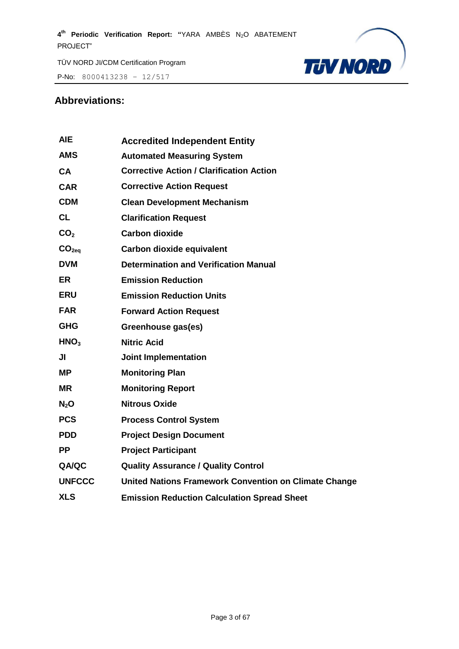P-No: 8000413238 – 12/517



#### **Abbreviations:**

| <b>AIE</b>        | <b>Accredited Independent Entity</b>                         |
|-------------------|--------------------------------------------------------------|
| <b>AMS</b>        | <b>Automated Measuring System</b>                            |
| <b>CA</b>         | <b>Corrective Action / Clarification Action</b>              |
| <b>CAR</b>        | <b>Corrective Action Request</b>                             |
| <b>CDM</b>        | <b>Clean Development Mechanism</b>                           |
| <b>CL</b>         | <b>Clarification Request</b>                                 |
| CO <sub>2</sub>   | <b>Carbon dioxide</b>                                        |
| CO <sub>2eq</sub> | Carbon dioxide equivalent                                    |
| <b>DVM</b>        | <b>Determination and Verification Manual</b>                 |
| ER                | <b>Emission Reduction</b>                                    |
| <b>ERU</b>        | <b>Emission Reduction Units</b>                              |
| <b>FAR</b>        | <b>Forward Action Request</b>                                |
| <b>GHG</b>        | Greenhouse gas(es)                                           |
| HNO <sub>3</sub>  | <b>Nitric Acid</b>                                           |
| JI                | <b>Joint Implementation</b>                                  |
| <b>MP</b>         | <b>Monitoring Plan</b>                                       |
| <b>MR</b>         | <b>Monitoring Report</b>                                     |
| $N_2$ O           | <b>Nitrous Oxide</b>                                         |
| <b>PCS</b>        | <b>Process Control System</b>                                |
| <b>PDD</b>        | <b>Project Design Document</b>                               |
| <b>PP</b>         | <b>Project Participant</b>                                   |
| QA/QC             | <b>Quality Assurance / Quality Control</b>                   |
| <b>UNFCCC</b>     | <b>United Nations Framework Convention on Climate Change</b> |
| <b>XLS</b>        | <b>Emission Reduction Calculation Spread Sheet</b>           |
|                   |                                                              |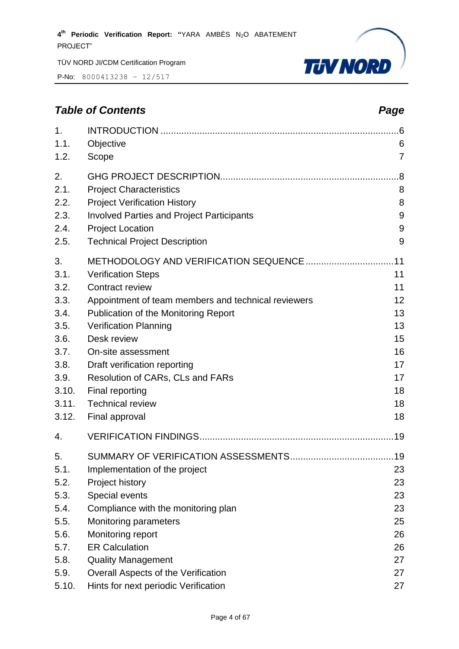P-No: 8000413238 – 12/517



#### *Table of Contents Page*

| 1.<br>1.1.<br>1.2. | Objective<br>Scope                                  | .6<br>6<br>$\overline{7}$ |
|--------------------|-----------------------------------------------------|---------------------------|
| 2.                 |                                                     | .8                        |
| 2.1.               | <b>Project Characteristics</b>                      | 8                         |
| 2.2.               | <b>Project Verification History</b>                 | 8                         |
| 2.3.               | <b>Involved Parties and Project Participants</b>    | 9                         |
| 2.4.               | <b>Project Location</b>                             | 9                         |
| 2.5.               | <b>Technical Project Description</b>                | 9                         |
| 3.                 |                                                     | .11                       |
| 3.1.               | <b>Verification Steps</b>                           | 11                        |
| 3.2.               | Contract review                                     | 11                        |
| 3.3.               | Appointment of team members and technical reviewers | 12                        |
| 3.4.               | Publication of the Monitoring Report                | 13                        |
| 3.5.               | <b>Verification Planning</b>                        | 13                        |
| 3.6.               | Desk review                                         | 15                        |
| 3.7.               | On-site assessment                                  | 16                        |
| 3.8.               | Draft verification reporting                        | 17                        |
| 3.9.               | Resolution of CARs, CLs and FARs                    | 17                        |
| 3.10.              | <b>Final reporting</b>                              | 18                        |
| 3.11.              | <b>Technical review</b>                             | 18                        |
| 3.12.              | Final approval                                      | 18                        |
| 4.                 |                                                     |                           |
| 5.                 |                                                     |                           |
| 5.1.               | Implementation of the project                       | 23                        |
| 5.2.               | Project history                                     | 23                        |
| 5.3.               | Special events                                      | 23                        |
| 5.4.               | Compliance with the monitoring plan                 | 23                        |
| 5.5.               | <b>Monitoring parameters</b>                        | 25                        |
| 5.6.               | Monitoring report                                   | 26                        |
| 5.7.               | <b>ER Calculation</b>                               | 26                        |
| 5.8.               | <b>Quality Management</b>                           | 27                        |
| 5.9.               | Overall Aspects of the Verification                 | 27                        |
| 5.10.              | Hints for next periodic Verification                | 27                        |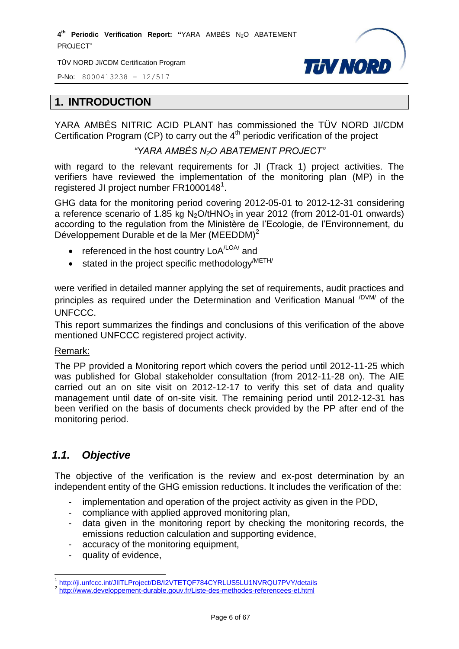TÜV NORD JI/CDM Certification Program

P-No: 8000413238 – 12/517



#### <span id="page-5-0"></span>**1. INTRODUCTION**

YARA AMBÉS NITRIC ACID PLANT has commissioned the TÜV NORD JI/CDM Certification Program (CP) to carry out the  $4<sup>th</sup>$  periodic verification of the project

#### *"YARA AMBÈS N2O ABATEMENT PROJECT"*

with regard to the relevant requirements for JI (Track 1) project activities. The verifiers have reviewed the implementation of the monitoring plan (MP) in the registered JI project number FR1000148<sup>1</sup>.

GHG data for the monitoring period covering 2012-05-01 to 2012-12-31 considering a reference scenario of 1.85 kg N<sub>2</sub>O/tHNO<sub>3</sub> in year 2012 (from 2012-01-01 onwards) according to the regulation from the Ministère de l'Ecologie, de l'Environnement, du Développement Durable et de la Mer (MEEDDM)<sup>2</sup>

- referenced in the host country  $\text{LoA}^{\text{LOA}}$  and
- $\bullet$  stated in the project specific methodology<sup>/METH/</sup>

were verified in detailed manner applying the set of requirements, audit practices and principles as required under the Determination and Verification Manual <sup>/DVM/</sup> of the UNFCCC.

This report summarizes the findings and conclusions of this verification of the above mentioned UNFCCC registered project activity.

#### Remark:

The PP provided a Monitoring report which covers the period until 2012-11-25 which was published for Global stakeholder consultation (from 2012-11-28 on). The AIE carried out an on site visit on 2012-12-17 to verify this set of data and quality management until date of on-site visit. The remaining period until 2012-12-31 has been verified on the basis of documents check provided by the PP after end of the monitoring period.

#### <span id="page-5-1"></span>*1.1. Objective*

The objective of the verification is the review and ex-post determination by an independent entity of the GHG emission reductions. It includes the verification of the:

- implementation and operation of the project activity as given in the PDD,
- compliance with applied approved monitoring plan,
- data given in the monitoring report by checking the monitoring records, the emissions reduction calculation and supporting evidence,
- accuracy of the monitoring equipment,
- quality of evidence,

 $\overline{a}$ <sup>1</sup> <http://ji.unfccc.int/JIITLProject/DB/I2VTETQF784CYRLUS5LU1NVRQU7PVY/details>

<sup>&</sup>lt;sup>2</sup> <http://www.developpement-durable.gouv.fr/Liste-des-methodes-referencees-et.html>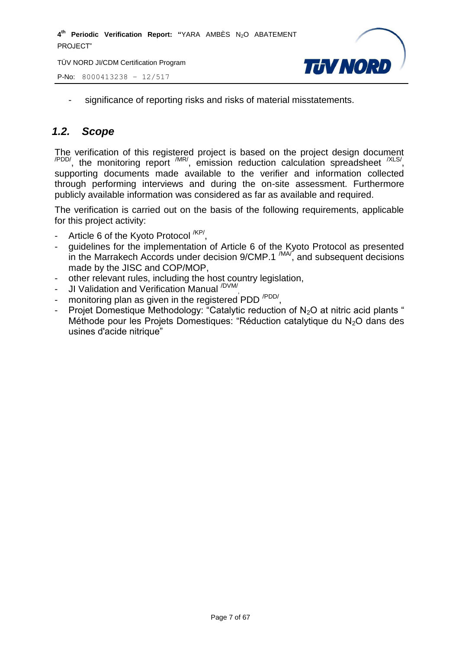TÜV NORD JI/CDM Certification Program

P-No: 8000413238 – 12/517



- significance of reporting risks and risks of material misstatements.

#### <span id="page-6-0"></span>*1.2. Scope*

The verification of this registered project is based on the project design document  $\alpha$ <sup>PDD/</sup>, the monitoring report  $\alpha$ <sup>MR/</sup>, emission reduction calculation spreadsheet  $\alpha$ <sup>XLS/</sup>, supporting documents made available to the verifier and information collected through performing interviews and during the on-site assessment. Furthermore publicly available information was considered as far as available and required.

The verification is carried out on the basis of the following requirements, applicable for this project activity:

- Article 6 of the Kyoto Protocol <sup>/KP/</sup>,
- guidelines for the implementation of Article 6 of the Kyoto Protocol as presented in the Marrakech Accords under decision  $9/CMP.1$   $^{(MA)}$ , and subsequent decisions made by the JISC and COP/MOP,
- other relevant rules, including the host country legislation,
- JI Validation and Verification Manual <sup>/DVM/</sup>,
- monitoring plan as given in the registered PDD <sup>/PDD/</sup>,
- Projet Domestique Methodology: "Catalytic reduction of  $N_2O$  at nitric acid plants " Méthode pour les Projets Domestiques: "Réduction catalytique du  $N_2O$  dans des usines d'acide nitrique"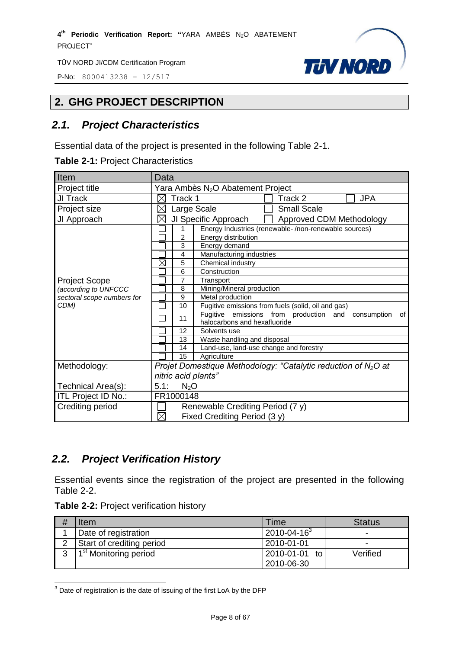P-No: 8000413238 – 12/517



#### <span id="page-7-0"></span>**2. GHG PROJECT DESCRIPTION**

#### <span id="page-7-1"></span>*2.1. Project Characteristics*

Essential data of the project is presented in the following Table 2-1.

| Item                       | Data                                                                                              |  |  |
|----------------------------|---------------------------------------------------------------------------------------------------|--|--|
| Project title              | Yara Ambès N <sub>2</sub> O Abatement Project                                                     |  |  |
| JI Track                   | Track 1<br><b>JPA</b><br>Track 2<br>X                                                             |  |  |
| Project size               | <b>Small Scale</b><br>Large Scale<br>X                                                            |  |  |
| JI Approach                | JI Specific Approach<br>Approved CDM Methodology<br>$\times$                                      |  |  |
|                            | Energy Industries (renewable-/non-renewable sources)                                              |  |  |
|                            | $\overline{c}$<br>Energy distribution                                                             |  |  |
|                            | 3<br>Energy demand                                                                                |  |  |
|                            | 4<br>Manufacturing industries                                                                     |  |  |
|                            | X<br>Chemical industry<br>5                                                                       |  |  |
|                            | Construction<br>6                                                                                 |  |  |
| <b>Project Scope</b>       | 7<br>Transport                                                                                    |  |  |
| (according to UNFCCC       | Mining/Mineral production<br>8                                                                    |  |  |
| sectoral scope numbers for | 9<br>Metal production                                                                             |  |  |
| CDM)                       | 10<br>Fugitive emissions from fuels (solid, oil and gas)                                          |  |  |
|                            | Fugitive emissions from production and<br>consumption<br>of<br>11<br>halocarbons and hexafluoride |  |  |
|                            | 12<br>Solvents use                                                                                |  |  |
|                            | Waste handling and disposal<br>13                                                                 |  |  |
|                            | Land-use, land-use change and forestry<br>14                                                      |  |  |
|                            | 15<br>Agriculture                                                                                 |  |  |
| Methodology:               | Projet Domestique Methodology: "Catalytic reduction of $N_2O$ at                                  |  |  |
|                            | nitric acid plants"                                                                               |  |  |
| Technical Area(s):         | 5.1:<br>$N_2O$                                                                                    |  |  |
| ITL Project ID No.:        | FR1000148                                                                                         |  |  |
| <b>Crediting period</b>    | Renewable Crediting Period (7 y)                                                                  |  |  |
|                            | $\times$<br>Fixed Crediting Period (3 y)                                                          |  |  |

#### <span id="page-7-2"></span>*2.2. Project Verification History*

Essential events since the registration of the project are presented in the following Table 2-2.

|  | Table 2-2: Project verification history |  |
|--|-----------------------------------------|--|
|--|-----------------------------------------|--|

 $\overline{a}$ 

| # | Item                              | Time                        | <b>Status</b> |
|---|-----------------------------------|-----------------------------|---------------|
|   | Date of registration              | $2010 - 04 - 16^3$          | -             |
|   | Start of crediting period         | 2010-01-01                  | ۰             |
| ◠ | 1 <sup>st</sup> Monitoring period | 2010-01-01 to<br>2010-06-30 | Verified      |

 $3$  Date of registration is the date of issuing of the first LoA by the DFP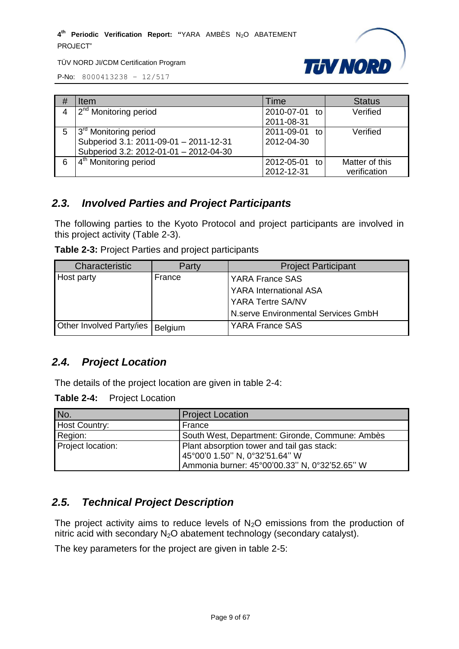

P-No: 8000413238 – 12/517

| # | Item                                   | Time             | <b>Status</b>  |
|---|----------------------------------------|------------------|----------------|
|   | 2 <sup>nd</sup> Monitoring period      | 2010-07-01<br>to | Verified       |
|   |                                        | 2011-08-31       |                |
| 5 | 3 <sup>rd</sup> Monitoring period      | 2011-09-01<br>to | Verified       |
|   | Subperiod 3.1: 2011-09-01 - 2011-12-31 | 2012-04-30       |                |
|   | Subperiod 3.2: 2012-01-01 - 2012-04-30 |                  |                |
| 6 | 4 <sup>th</sup> Monitoring period      | 2012-05-01<br>to | Matter of this |
|   |                                        | 2012-12-31       | verification   |

#### <span id="page-8-0"></span>*2.3. Involved Parties and Project Participants*

The following parties to the Kyoto Protocol and project participants are involved in this project activity (Table 2-3).

|  | Table 2-3: Project Parties and project participants |  |  |
|--|-----------------------------------------------------|--|--|
|--|-----------------------------------------------------|--|--|

| Characteristic                     | Party  | <b>Project Participant</b>          |  |
|------------------------------------|--------|-------------------------------------|--|
| Host party                         | France | <b>YARA France SAS</b>              |  |
|                                    |        | <b>YARA International ASA</b>       |  |
|                                    |        | <b>YARA Tertre SA/NV</b>            |  |
|                                    |        | N.serve Environmental Services GmbH |  |
| Other Involved Party/ies   Belgium |        | <b>YARA France SAS</b>              |  |

#### <span id="page-8-1"></span>*2.4. Project Location*

The details of the project location are given in table 2-4:

| Table 2-4: |  | <b>Project Location</b> |
|------------|--|-------------------------|
|            |  |                         |

| No.               | <b>Project Location</b>                         |
|-------------------|-------------------------------------------------|
| Host Country:     | France                                          |
| Region:           | South West, Department: Gironde, Commune: Ambès |
| Project location: | Plant absorption tower and tail gas stack:      |
|                   | 45°00′0 1.50'' N, 0°32'51.64'' W                |
|                   | Ammonia burner: 45°00'00.33" N, 0°32'52.65" W   |

#### <span id="page-8-2"></span>*2.5. Technical Project Description*

The project activity aims to reduce levels of  $N<sub>2</sub>O$  emissions from the production of nitric acid with secondary N<sub>2</sub>O abatement technology (secondary catalyst).

The key parameters for the project are given in table 2-5: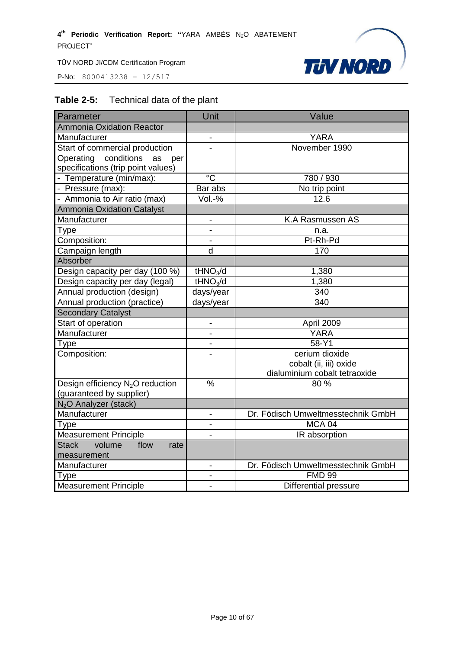P-No: 8000413238 – 12/517



#### **Table 2-5:** Technical data of the plant

| Parameter                                                                  | Unit                         | Value                              |
|----------------------------------------------------------------------------|------------------------------|------------------------------------|
| <b>Ammonia Oxidation Reactor</b>                                           |                              |                                    |
| Manufacturer                                                               | $\overline{\phantom{a}}$     | <b>YARA</b>                        |
| Start of commercial production                                             | $\overline{\phantom{0}}$     | November 1990                      |
| conditions<br>Operating<br>as<br>per<br>specifications (trip point values) |                              |                                    |
| - Temperature (min/max):                                                   | $\rm ^{\circ}C$              | 780 / 930                          |
| - Pressure (max):                                                          | Bar abs                      | No trip point                      |
| - Ammonia to Air ratio (max)                                               | Vol.-%                       | 12.6                               |
| <b>Ammonia Oxidation Catalyst</b>                                          |                              |                                    |
| Manufacturer                                                               | $\overline{a}$               | K.A Rasmussen AS                   |
| Type                                                                       | $\overline{a}$               | n.a.                               |
| Composition:                                                               | $\blacksquare$               | Pt-Rh-Pd                           |
| Campaign length                                                            | $\mathsf{d}$                 | 170                                |
| Absorber                                                                   |                              |                                    |
| Design capacity per day (100 %)                                            | tHNO <sub>3</sub> /d         | 1,380                              |
| Design capacity per day (legal)                                            | tHNO <sub>3</sub> /d         | 1,380                              |
| Annual production (design)                                                 | days/year                    | 340                                |
| Annual production (practice)                                               | days/year                    | 340                                |
| <b>Secondary Catalyst</b>                                                  |                              |                                    |
| Start of operation                                                         | $\overline{\phantom{0}}$     | April 2009                         |
| Manufacturer                                                               |                              | <b>YARA</b>                        |
| Type                                                                       | $\overline{\phantom{0}}$     | 58-Y1                              |
| Composition:                                                               |                              | cerium dioxide                     |
|                                                                            |                              | cobalt (ii, iii) oxide             |
|                                                                            |                              | dialuminium cobalt tetraoxide      |
| Design efficiency N <sub>2</sub> O reduction<br>(guaranteed by supplier)   | $\frac{0}{0}$                | 80%                                |
| N <sub>2</sub> O Analyzer (stack)                                          |                              |                                    |
| Manufacturer                                                               | $\frac{1}{2}$                | Dr. Födisch Umweltmesstechnik GmbH |
| Type                                                                       | $\qquad \qquad \blacksquare$ | MCA <sub>04</sub>                  |
| <b>Measurement Principle</b>                                               |                              | IR absorption                      |
| <b>Stack</b><br>flow<br>volume<br>rate<br>measurement                      |                              |                                    |
| Manufacturer                                                               | $\frac{1}{2}$                | Dr. Födisch Umweltmesstechnik GmbH |
| Type                                                                       |                              | <b>FMD 99</b>                      |
| <b>Measurement Principle</b>                                               |                              | <b>Differential pressure</b>       |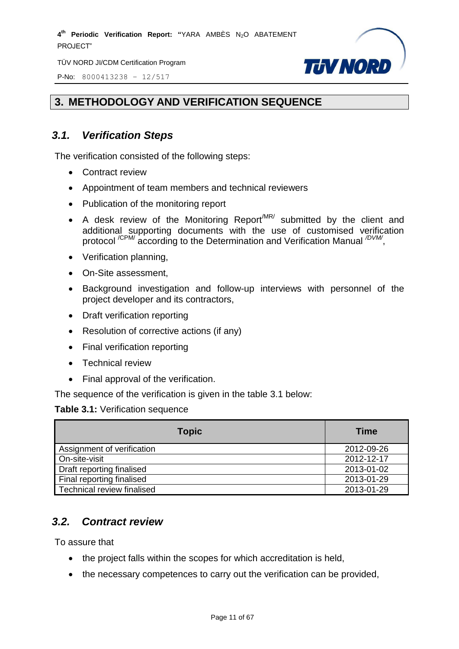TÜV NORD JI/CDM Certification Program

P-No: 8000413238 – 12/517



#### <span id="page-10-0"></span>**3. METHODOLOGY AND VERIFICATION SEQUENCE**

#### <span id="page-10-1"></span>*3.1. Verification Steps*

The verification consisted of the following steps:

- Contract review
- Appointment of team members and technical reviewers
- Publication of the monitoring report
- A desk review of the Monitoring Report<sup>MR/</sup> submitted by the client and additional supporting documents with the use of customised verification protocol<sup>/CPM/</sup> according to the Determination and Verification Manual <sup>/DVM/</sup>,
- Verification planning,
- On-Site assessment,
- Background investigation and follow-up interviews with personnel of the project developer and its contractors,
- Draft verification reporting
- Resolution of corrective actions (if any)
- Final verification reporting
- Technical review
- Final approval of the verification.

The sequence of the verification is given in the table 3.1 below:

#### **Table 3.1:** Verification sequence

| <b>Topic</b>               | <b>Time</b> |
|----------------------------|-------------|
| Assignment of verification | 2012-09-26  |
| On-site-visit              | 2012-12-17  |
| Draft reporting finalised  | 2013-01-02  |
| Final reporting finalised  | 2013-01-29  |
| Technical review finalised | 2013-01-29  |

#### <span id="page-10-2"></span>*3.2. Contract review*

To assure that

- the project falls within the scopes for which accreditation is held,
- the necessary competences to carry out the verification can be provided,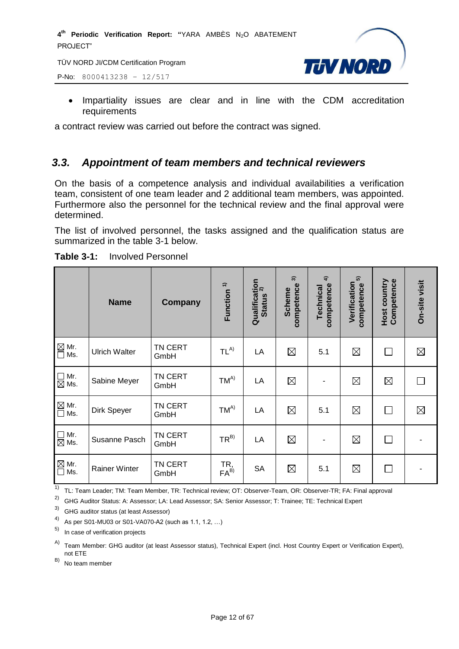P-No: 8000413238 – 12/517



• Impartiality issues are clear and in line with the CDM accreditation requirements

a contract review was carried out before the contract was signed.

#### <span id="page-11-0"></span>*3.3. Appointment of team members and technical reviewers*

On the basis of a competence analysis and individual availabilities a verification team, consistent of one team leader and 2 additional team members, was appointed. Furthermore also the personnel for the technical review and the final approval were determined.

The list of involved personnel, the tasks assigned and the qualification status are summarized in the table 3-1 below.

|                                                    | <b>Name</b>          | <b>Company</b>         | Function <sup>1)</sup> | Qualification<br>status <sup>2)</sup><br><b>Status</b> | $\widehat{\mathcal{E}}$<br>competence<br><b>Scheme</b> | $\widehat{\mathbf{f}}$<br>competence<br>Technical | 5<br>Verification<br>competence | <b>Host country</b><br>Competence | <b>On-site visit</b> |
|----------------------------------------------------|----------------------|------------------------|------------------------|--------------------------------------------------------|--------------------------------------------------------|---------------------------------------------------|---------------------------------|-----------------------------------|----------------------|
| $\overline{\bigcirc}$ Mr.<br>$\overline{\Box}$ Ms. | <b>Ulrich Walter</b> | TN CERT<br>GmbH        | $TL^{A)}$              | LA                                                     | $\boxtimes$                                            | 5.1                                               | $\boxtimes$                     | $\mathbf{I}$                      | $\boxtimes$          |
| $\Box$ Mr.<br>$\boxtimes$ Ms.                      | Sabine Meyer         | <b>TN CERT</b><br>GmbH | $TM^{A)}$              | LA                                                     | $\boxtimes$                                            | $\overline{\phantom{a}}$                          | $\boxtimes$                     | $\boxtimes$                       |                      |
| $\overline{\bigcirc}$ Mr.<br>$\overline{\Box}$ Ms. | Dirk Speyer          | TN CERT<br>GmbH        | $TM^{A)}$              | LA                                                     | $\boxtimes$                                            | 5.1                                               | $\boxtimes$                     | $\mathbf{L}$                      | $\boxtimes$          |
| $\Box$ Mr.<br>$\boxtimes$ Ms.                      | Susanne Pasch        | TN CERT<br>GmbH        | $TR^{B)}$              | LA                                                     | $\boxtimes$                                            | ٠                                                 | $\boxtimes$                     | $\Box$                            |                      |
| $\mathbb{Z}$ Mr.<br>$\square$ Ms.                  | <b>Rainer Winter</b> | TN CERT<br>GmbH        | $TR, FA^{B)}$          | <b>SA</b>                                              | $\boxtimes$                                            | 5.1                                               | $\boxtimes$                     | $\perp$                           |                      |

**Table 3-1:** Involved Personnel

<sup>1)</sup> TL: Team Leader; TM: Team Member, TR: Technical review; OT: Observer-Team, OR: Observer-TR; FA: Final approval

2) GHG Auditor Status: A: Assessor; LA: Lead Assessor; SA: Senior Assessor; T: Trainee; TE: Technical Expert

3) GHG auditor status (at least Assessor)

4) As per S01-MU03 or S01-VA070-A2 (such as 1.1, 1.2, …)

In case of verification projects

A) Team Member: GHG auditor (at least Assessor status), Technical Expert (incl. Host Country Expert or Verification Expert), not ETE

B) No team member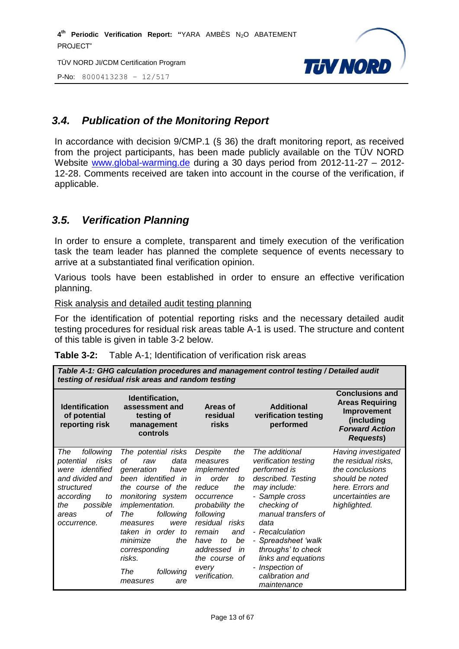TÜV NORD JI/CDM Certification Program

P-No: 8000413238 – 12/517



#### <span id="page-12-0"></span>*3.4. Publication of the Monitoring Report*

In accordance with decision 9/CMP.1 (§ 36) the draft monitoring report, as received from the project participants, has been made publicly available on the TÜV NORD Website [www.global-warming.de](http://www.global-warming.de/) during a 30 days period from 2012-11-27 – 2012- 12-28. Comments received are taken into account in the course of the verification, if applicable.

#### <span id="page-12-1"></span>*3.5. Verification Planning*

In order to ensure a complete, transparent and timely execution of the verification task the team leader has planned the complete sequence of events necessary to arrive at a substantiated final verification opinion.

Various tools have been established in order to ensure an effective verification planning.

Risk analysis and detailed audit testing planning

For the identification of potential reporting risks and the necessary detailed audit testing procedures for residual risk areas table A-1 is used. The structure and content of this table is given in table 3-2 below.

| Table 3-2:<br>Table A-1; Identification of verification risk areas |
|--------------------------------------------------------------------|
|--------------------------------------------------------------------|

| Table A-1: GHG calculation procedures and management control testing / Detailed audit<br>testing of residual risk areas and random testing                     |                                                                                                                                                                                                                                                                                                            |                                                                                                                                                                                                                                                    |                                                                                                                                                                                                                                                                                                          |                                                                                                                                           |  |
|----------------------------------------------------------------------------------------------------------------------------------------------------------------|------------------------------------------------------------------------------------------------------------------------------------------------------------------------------------------------------------------------------------------------------------------------------------------------------------|----------------------------------------------------------------------------------------------------------------------------------------------------------------------------------------------------------------------------------------------------|----------------------------------------------------------------------------------------------------------------------------------------------------------------------------------------------------------------------------------------------------------------------------------------------------------|-------------------------------------------------------------------------------------------------------------------------------------------|--|
| <b>Identification</b><br>of potential<br>reporting risk                                                                                                        | Identification,<br>assessment and<br>testing of<br>management<br>controls                                                                                                                                                                                                                                  | Areas of<br>residual<br>risks                                                                                                                                                                                                                      | <b>Additional</b><br>verification testing<br>performed                                                                                                                                                                                                                                                   | <b>Conclusions and</b><br><b>Areas Requiring</b><br>Improvement<br>(including<br><b>Forward Action</b><br><b>Requests)</b>                |  |
| following<br>The<br>risks<br>potential<br>were identified<br>and divided and<br>structured<br>according<br>to<br>the<br>possible<br>оf<br>areas<br>occurrence. | The potential risks<br>οf<br>data<br>raw<br>generation<br>have<br>been identified in<br>the course of the<br>monitoring system<br><i>implementation.</i><br>following<br>The<br>measures<br>were<br>taken in order to<br>the<br>minimize<br>corresponding<br>risks.<br>following<br>The<br>are<br>measures | the<br>Despite<br>measures<br>implemented<br>order<br>in<br>to<br>the<br>reduce<br>occurrence<br>probability the<br>following<br>residual risks<br>remain<br>and<br>be<br>to<br>have<br>addressed<br>in<br>the course of<br>every<br>verification. | The additional<br>verification testing<br>performed is<br>described. Testing<br>may include:<br>- Sample cross<br>checking of<br>manual transfers of<br>data<br>- Recalculation<br>- Spreadsheet 'walk<br>throughs' to check<br>links and equations<br>- Inspection of<br>calibration and<br>maintenance | Having investigated<br>the residual risks,<br>the conclusions<br>should be noted<br>here. Errors and<br>uncertainties are<br>highlighted. |  |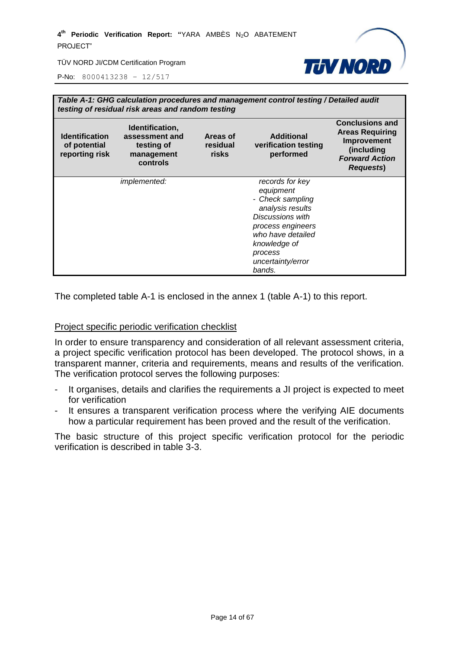

P-No: 8000413238 – 12/517

| Table A-1: GHG calculation procedures and management control testing / Detailed audit<br>testing of residual risk areas and random testing |                                                                           |                                      |                                                                                                                                                                                              |                                                                                                                             |  |
|--------------------------------------------------------------------------------------------------------------------------------------------|---------------------------------------------------------------------------|--------------------------------------|----------------------------------------------------------------------------------------------------------------------------------------------------------------------------------------------|-----------------------------------------------------------------------------------------------------------------------------|--|
| <b>Identification</b><br>of potential<br>reporting risk                                                                                    | Identification,<br>assessment and<br>testing of<br>management<br>controls | Areas of<br>residual<br><b>risks</b> | <b>Additional</b><br>verification testing<br>performed                                                                                                                                       | <b>Conclusions and</b><br><b>Areas Requiring</b><br>Improvement<br>(including<br><b>Forward Action</b><br><b>Requests</b> ) |  |
|                                                                                                                                            | <i>implemented:</i>                                                       |                                      | records for key<br>equipment<br>- Check sampling<br>analysis results<br>Discussions with<br>process engineers<br>who have detailed<br>knowledge of<br>process<br>uncertainty/error<br>bands. |                                                                                                                             |  |

The completed table A-1 is enclosed in the annex 1 (table A-1) to this report.

#### Project specific periodic verification checklist

In order to ensure transparency and consideration of all relevant assessment criteria, a project specific verification protocol has been developed. The protocol shows, in a transparent manner, criteria and requirements, means and results of the verification. The verification protocol serves the following purposes:

- It organises, details and clarifies the requirements a JI project is expected to meet for verification
- It ensures a transparent verification process where the verifying AIE documents how a particular requirement has been proved and the result of the verification.

The basic structure of this project specific verification protocol for the periodic verification is described in table 3-3.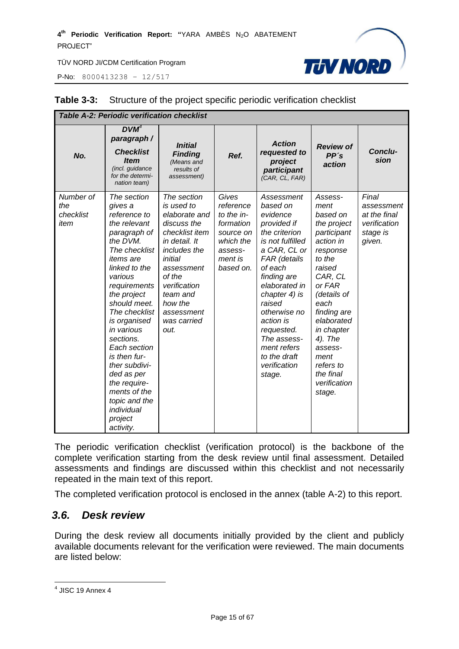P-No: 8000413238 – 12/517



| <b>Table A-2: Periodic verification checklist</b> |                                                                                                                                                                                                                                                                                                                                                                                                                      |                                                                                                                                                                                                                             |                                                                                                            |                                                                                                                                                                                                                                                                                                                 |                                                                                                                                                                                                                                                                                 |                                                                           |
|---------------------------------------------------|----------------------------------------------------------------------------------------------------------------------------------------------------------------------------------------------------------------------------------------------------------------------------------------------------------------------------------------------------------------------------------------------------------------------|-----------------------------------------------------------------------------------------------------------------------------------------------------------------------------------------------------------------------------|------------------------------------------------------------------------------------------------------------|-----------------------------------------------------------------------------------------------------------------------------------------------------------------------------------------------------------------------------------------------------------------------------------------------------------------|---------------------------------------------------------------------------------------------------------------------------------------------------------------------------------------------------------------------------------------------------------------------------------|---------------------------------------------------------------------------|
| No.                                               | DVM <sup>4</sup><br>paragraph /<br><b>Checklist</b><br><b>Item</b><br>(incl. guidance<br>for the determi-<br>nation team)                                                                                                                                                                                                                                                                                            | <b>Initial</b><br><b>Finding</b><br>(Means and<br>results of<br>assessment)                                                                                                                                                 | Ref.                                                                                                       | <b>Action</b><br>requested to<br>project<br>participant<br>(CAR, CL, FAR)                                                                                                                                                                                                                                       | <b>Review of</b><br>PP's<br>action                                                                                                                                                                                                                                              | Conclu-<br>sion                                                           |
| Number of<br>the<br>checklist<br>item             | The section<br>gives a<br>reference to<br>the relevant<br>paragraph of<br>the DVM.<br>The checklist<br><i>items</i> are<br>linked to the<br>various<br>requirements<br>the project<br>should meet.<br>The checklist<br>is organised<br>in various<br>sections.<br>Each section<br>is then fur-<br>ther subdivi-<br>ded as per<br>the require-<br>ments of the<br>topic and the<br>individual<br>project<br>activity. | The section<br>is used to<br>elaborate and<br>discuss the<br>checklist item<br>in detail. It<br>includes the<br>initial<br>assessment<br>of the<br>verification<br>team and<br>how the<br>assessment<br>was carried<br>out. | Gives<br>reference<br>to the in-<br>formation<br>source on<br>which the<br>assess-<br>ment is<br>based on. | Assessment<br>based on<br>evidence<br>provided if<br>the criterion<br>is not fulfilled<br>a CAR, CL or<br>FAR (details<br>of each<br>finding are<br>elaborated in<br>chapter 4) is<br>raised<br>otherwise no<br>action is<br>requested.<br>The assess-<br>ment refers<br>to the draft<br>verification<br>stage. | Assess-<br>ment<br>based on<br>the project<br>participant<br>action in<br>response<br>to the<br>raised<br>CAR, CL<br>or FAR<br>(details of<br>each<br>finding are<br>elaborated<br>in chapter<br>4). The<br>assess-<br>ment<br>refers to<br>the final<br>verification<br>stage. | Final<br>assessment<br>at the final<br>verification<br>stage is<br>given. |

#### **Table 3-3:** Structure of the project specific periodic verification checklist

The periodic verification checklist (verification protocol) is the backbone of the complete verification starting from the desk review until final assessment. Detailed assessments and findings are discussed within this checklist and not necessarily repeated in the main text of this report.

The completed verification protocol is enclosed in the annex (table A-2) to this report.

#### <span id="page-14-0"></span>*3.6. Desk review*

During the desk review all documents initially provided by the client and publicly available documents relevant for the verification were reviewed. The main documents are listed below:

 4 JISC 19 Annex 4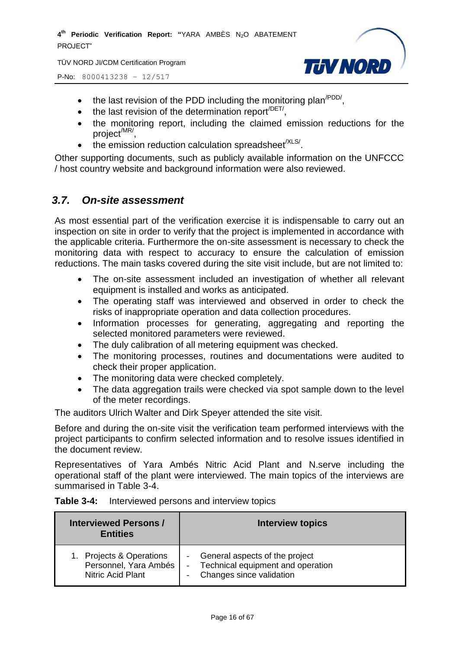TÜV NORD JI/CDM Certification Program





- $\bullet$  the last revision of the PDD including the monitoring plan<sup>/PDD/</sup>,
- $\bullet$  the last revision of the determination report<sup>/DET/</sup>,
- the monitoring report, including the claimed emission reductions for the project<sup>/MR/</sup>,
- $\bullet$  the emission reduction calculation spreadsheet<sup>/XLS/</sup>.

Other supporting documents, such as publicly available information on the UNFCCC / host country website and background information were also reviewed.

#### <span id="page-15-0"></span>*3.7. On-site assessment*

As most essential part of the verification exercise it is indispensable to carry out an inspection on site in order to verify that the project is implemented in accordance with the applicable criteria. Furthermore the on-site assessment is necessary to check the monitoring data with respect to accuracy to ensure the calculation of emission reductions. The main tasks covered during the site visit include, but are not limited to:

- The on-site assessment included an investigation of whether all relevant equipment is installed and works as anticipated.
- The operating staff was interviewed and observed in order to check the risks of inappropriate operation and data collection procedures.
- Information processes for generating, aggregating and reporting the selected monitored parameters were reviewed.
- The duly calibration of all metering equipment was checked.
- The monitoring processes, routines and documentations were audited to check their proper application.
- The monitoring data were checked completely.
- The data aggregation trails were checked via spot sample down to the level of the meter recordings.

The auditors Ulrich Walter and Dirk Speyer attended the site visit.

Before and during the on-site visit the verification team performed interviews with the project participants to confirm selected information and to resolve issues identified in the document review.

Representatives of Yara Ambés Nitric Acid Plant and N.serve including the operational staff of the plant were interviewed. The main topics of the interviews are summarised in Table 3-4.

| Table 3-4: | Interviewed persons and interview topics |  |  |
|------------|------------------------------------------|--|--|
|------------|------------------------------------------|--|--|

| <b>Interviewed Persons /</b><br><b>Entities</b> | <b>Interview topics</b>           |
|-------------------------------------------------|-----------------------------------|
| 1. Projects & Operations                        | General aspects of the project    |
| Personnel, Yara Ambés                           | Technical equipment and operation |
| <b>Nitric Acid Plant</b>                        | Changes since validation          |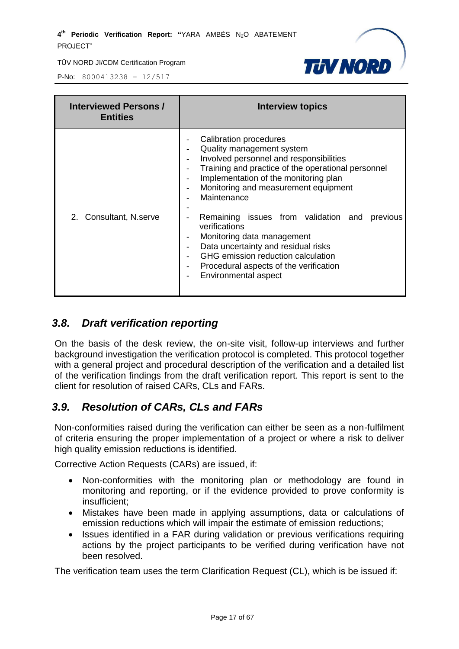



P-No: 8000413238 – 12/517

| <b>Interviewed Persons /</b><br><b>Entities</b> | <b>Interview topics</b>                                                                                                                                                                                                                                                                                                                                                                                                                                                                                                                                                                                                                      |
|-------------------------------------------------|----------------------------------------------------------------------------------------------------------------------------------------------------------------------------------------------------------------------------------------------------------------------------------------------------------------------------------------------------------------------------------------------------------------------------------------------------------------------------------------------------------------------------------------------------------------------------------------------------------------------------------------------|
| 2. Consultant, N.serve                          | Calibration procedures<br>Quality management system<br>Involved personnel and responsibilities<br>Training and practice of the operational personnel<br>$\overline{\phantom{0}}$<br>Implementation of the monitoring plan<br>Monitoring and measurement equipment<br>$\overline{\phantom{0}}$<br>Maintenance<br>Remaining issues from validation and<br>previous<br>verifications<br>Monitoring data management<br>$\qquad \qquad \blacksquare$<br>Data uncertainty and residual risks<br>$\overline{a}$<br>GHG emission reduction calculation<br>Procedural aspects of the verification<br>$\overline{\phantom{0}}$<br>Environmental aspect |

#### <span id="page-16-0"></span>*3.8. Draft verification reporting*

On the basis of the desk review, the on-site visit, follow-up interviews and further background investigation the verification protocol is completed. This protocol together with a general project and procedural description of the verification and a detailed list of the verification findings from the draft verification report. This report is sent to the client for resolution of raised CARs, CLs and FARs.

#### <span id="page-16-1"></span>*3.9. Resolution of CARs, CLs and FARs*

Non-conformities raised during the verification can either be seen as a non-fulfilment of criteria ensuring the proper implementation of a project or where a risk to deliver high quality emission reductions is identified.

Corrective Action Requests (CARs) are issued, if:

- Non-conformities with the monitoring plan or methodology are found in monitoring and reporting, or if the evidence provided to prove conformity is insufficient;
- Mistakes have been made in applying assumptions, data or calculations of emission reductions which will impair the estimate of emission reductions;
- Issues identified in a FAR during validation or previous verifications requiring actions by the project participants to be verified during verification have not been resolved.

The verification team uses the term Clarification Request (CL), which is be issued if: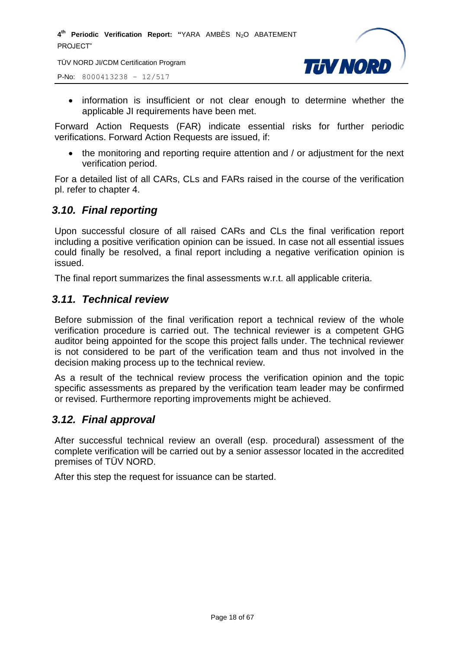TÜV NORD JI/CDM Certification Program

P-No: 8000413238 – 12/517



• information is insufficient or not clear enough to determine whether the applicable JI requirements have been met.

Forward Action Requests (FAR) indicate essential risks for further periodic verifications. Forward Action Requests are issued, if:

• the monitoring and reporting require attention and / or adjustment for the next verification period.

For a detailed list of all CARs, CLs and FARs raised in the course of the verification pl. refer to chapter 4.

#### <span id="page-17-0"></span>*3.10. Final reporting*

Upon successful closure of all raised CARs and CLs the final verification report including a positive verification opinion can be issued. In case not all essential issues could finally be resolved, a final report including a negative verification opinion is issued.

The final report summarizes the final assessments w.r.t. all applicable criteria.

#### <span id="page-17-1"></span>*3.11. Technical review*

Before submission of the final verification report a technical review of the whole verification procedure is carried out. The technical reviewer is a competent GHG auditor being appointed for the scope this project falls under. The technical reviewer is not considered to be part of the verification team and thus not involved in the decision making process up to the technical review.

As a result of the technical review process the verification opinion and the topic specific assessments as prepared by the verification team leader may be confirmed or revised. Furthermore reporting improvements might be achieved.

#### <span id="page-17-2"></span>*3.12. Final approval*

After successful technical review an overall (esp. procedural) assessment of the complete verification will be carried out by a senior assessor located in the accredited premises of TÜV NORD.

After this step the request for issuance can be started.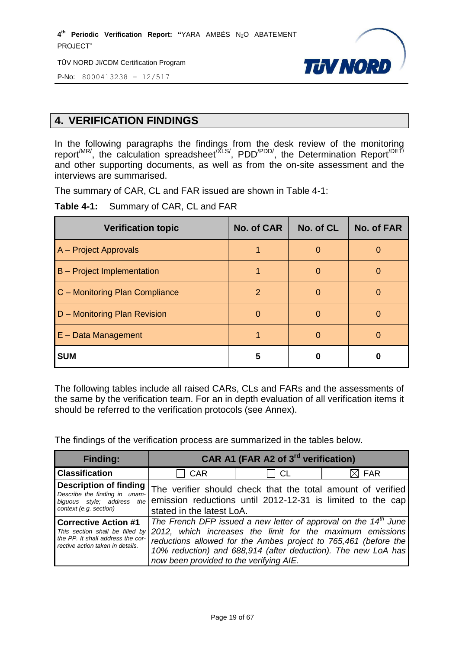TÜV NORD JI/CDM Certification Program



P-No: 8000413238 – 12/517

#### <span id="page-18-0"></span>**4. VERIFICATION FINDINGS**

In the following paragraphs the findings from the desk review of the monitoring report<sup>/MR/</sup>, the calculation spreadsheet<sup>/XLS/</sup>, PDD<sup>/PDD/</sup>, the Determination Report<sup>/DET/</sup> and other supporting documents, as well as from the on-site assessment and the interviews are summarised.

The summary of CAR, CL and FAR issued are shown in Table 4-1:

**Table 4-1:** Summary of CAR, CL and FAR

| <b>Verification topic</b>         | <b>No. of CAR</b> | No. of CL | <b>No. of FAR</b> |
|-----------------------------------|-------------------|-----------|-------------------|
| A – Project Approvals             |                   | $\Omega$  |                   |
| <b>B</b> – Project Implementation |                   | O         |                   |
| C - Monitoring Plan Compliance    | 2                 |           |                   |
| D - Monitoring Plan Revision      | $\Omega$          | O         |                   |
| $E$ – Data Management             |                   | O         |                   |
| <b>SUM</b>                        | 5                 | 0         |                   |

The following tables include all raised CARs, CLs and FARs and the assessments of the same by the verification team. For an in depth evaluation of all verification items it should be referred to the verification protocols (see Annex).

The findings of the verification process are summarized in the tables below.

<span id="page-18-1"></span>

| <b>Finding:</b>                                                                                                                         | CAR A1 (FAR A2 of 3 <sup>rd</sup> verification)                                                                                                                                                                                                                                                                         |    |                 |
|-----------------------------------------------------------------------------------------------------------------------------------------|-------------------------------------------------------------------------------------------------------------------------------------------------------------------------------------------------------------------------------------------------------------------------------------------------------------------------|----|-----------------|
| <b>Classification</b>                                                                                                                   | <b>CAR</b>                                                                                                                                                                                                                                                                                                              | CL | $\boxtimes$ FAR |
| <b>Description of finding</b><br>Describe the finding in unam-<br>biguous style; address the<br>context (e.g. section)                  | The verifier should check that the total amount of verified<br>emission reductions until 2012-12-31 is limited to the cap<br>stated in the latest LoA.                                                                                                                                                                  |    |                 |
| <b>Corrective Action #1</b><br>This section shall be filled by<br>the PP. It shall address the cor-<br>rective action taken in details. | The French DFP issued a new letter of approval on the 14 <sup>th</sup> June<br>2012, which increases the limit for the maximum emissions<br>reductions allowed for the Ambes project to 765,461 (before the<br>10% reduction) and 688,914 (after deduction). The new LoA has<br>now been provided to the verifying AIE. |    |                 |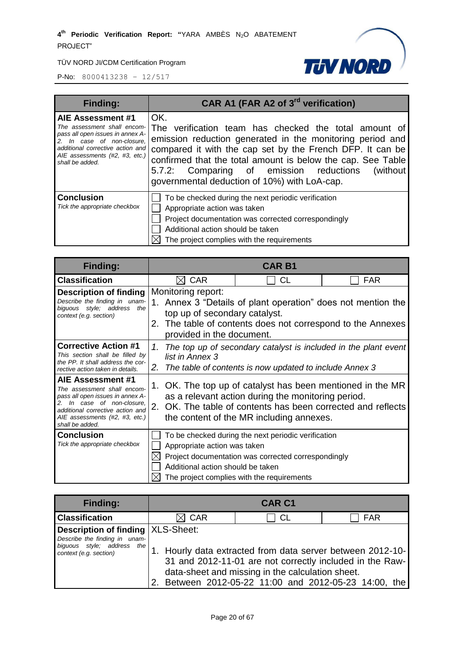

| <b>Finding:</b>                                                                                                                                                                                             | CAR A1 (FAR A2 of 3 <sup>rd</sup> verification)                                                                                                                                                                                                                                                                                                                  |  |
|-------------------------------------------------------------------------------------------------------------------------------------------------------------------------------------------------------------|------------------------------------------------------------------------------------------------------------------------------------------------------------------------------------------------------------------------------------------------------------------------------------------------------------------------------------------------------------------|--|
| AIE Assessment #1<br>The assessment shall encom-<br>pass all open issues in annex A-<br>2. In case of non-closure,<br>additional corrective action and<br>AIE assessments (#2, #3, etc.)<br>shall be added. | OK.<br>The verification team has checked the total amount of<br>emission reduction generated in the monitoring period and<br>compared it with the cap set by the French DFP. It can be<br>confirmed that the total amount is below the cap. See Table<br>Comparing of emission reductions<br>(without)<br>5.7.2:<br>governmental deduction of 10%) with LoA-cap. |  |
| <b>Conclusion</b><br>Tick the appropriate checkbox                                                                                                                                                          | To be checked during the next periodic verification<br>Appropriate action was taken<br>Project documentation was corrected correspondingly<br>Additional action should be taken<br>The project complies with the requirements                                                                                                                                    |  |

| <b>Finding:</b>                                                                                                                                                                                             | <b>CAR B1</b>                                                                                                                                                                                                   |                                                                                                                                                                                                                           |            |
|-------------------------------------------------------------------------------------------------------------------------------------------------------------------------------------------------------------|-----------------------------------------------------------------------------------------------------------------------------------------------------------------------------------------------------------------|---------------------------------------------------------------------------------------------------------------------------------------------------------------------------------------------------------------------------|------------|
| <b>Classification</b>                                                                                                                                                                                       | <b>CAR</b>                                                                                                                                                                                                      | <b>CL</b>                                                                                                                                                                                                                 | <b>FAR</b> |
| <b>Description of finding</b><br>Describe the finding in unam-<br>biguous style; address<br>the<br>context (e.g. section)                                                                                   | Monitoring report:<br>1. Annex 3 "Details of plant operation" does not mention the<br>top up of secondary catalyst.<br>2. The table of contents does not correspond to the Annexes<br>provided in the document. |                                                                                                                                                                                                                           |            |
| <b>Corrective Action #1</b><br>This section shall be filled by<br>the PP. It shall address the cor-<br>rective action taken in details.                                                                     | 1. The top up of secondary catalyst is included in the plant event<br>list in Annex 3<br>2.<br>The table of contents is now updated to include Annex 3                                                          |                                                                                                                                                                                                                           |            |
| AIE Assessment #1<br>The assessment shall encom-<br>pass all open issues in annex A-<br>2. In case of non-closure.<br>additional corrective action and<br>AIE assessments (#2, #3, etc.)<br>shall be added. | 2.                                                                                                                                                                                                              | 1. OK. The top up of catalyst has been mentioned in the MR<br>as a relevant action during the monitoring period.<br>OK. The table of contents has been corrected and reflects<br>the content of the MR including annexes. |            |
| <b>Conclusion</b><br>Tick the appropriate checkbox                                                                                                                                                          | Appropriate action was taken<br>Additional action should be taken                                                                                                                                               | To be checked during the next periodic verification<br>Project documentation was corrected correspondingly<br>The project complies with the requirements                                                                  |            |

| <b>Finding:</b>                                                                                                              |                 | <b>CAR C1</b>                                    |                                                                                                                                                                                 |
|------------------------------------------------------------------------------------------------------------------------------|-----------------|--------------------------------------------------|---------------------------------------------------------------------------------------------------------------------------------------------------------------------------------|
| <b>Classification</b>                                                                                                        | $\boxtimes$ CAR | <b>CL</b>                                        | <b>FAR</b>                                                                                                                                                                      |
| Description of finding   XLS-Sheet:<br>Describe the finding in unam-<br>biguous style; address the<br>context (e.g. section) |                 | data-sheet and missing in the calculation sheet. | 1. Hourly data extracted from data server between 2012-10-<br>31 and 2012-11-01 are not correctly included in the Raw-<br>2. Between 2012-05-22 11:00 and 2012-05-23 14:00, the |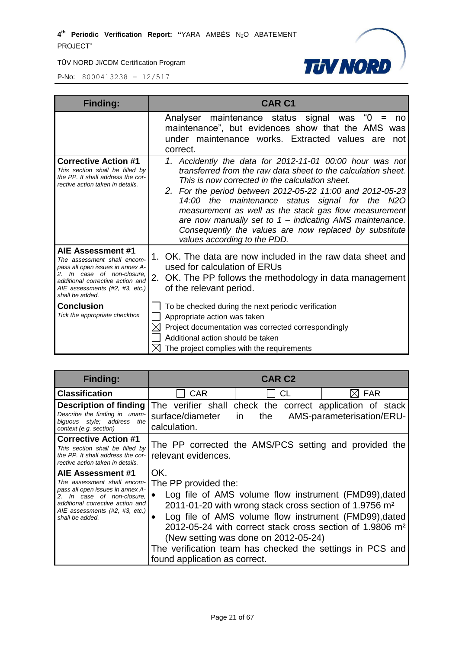TÜV NORD JI/CDM Certification Program



| <b>Finding:</b>                                                                                                                                                                                                | <b>CAR C1</b>                                                                                                                                                                                                                                                                                                                                                                                                                                                                                                |
|----------------------------------------------------------------------------------------------------------------------------------------------------------------------------------------------------------------|--------------------------------------------------------------------------------------------------------------------------------------------------------------------------------------------------------------------------------------------------------------------------------------------------------------------------------------------------------------------------------------------------------------------------------------------------------------------------------------------------------------|
|                                                                                                                                                                                                                | "0<br>Analyser maintenance status signal was<br>no<br>maintenance", but evidences show that the AMS was<br>under maintenance works. Extracted values are<br>not<br>correct.                                                                                                                                                                                                                                                                                                                                  |
| <b>Corrective Action #1</b><br>This section shall be filled by<br>the PP. It shall address the cor-<br>rective action taken in details.                                                                        | 1. Accidently the data for 2012-11-01 00:00 hour was not<br>transferred from the raw data sheet to the calculation sheet.<br>This is now corrected in the calculation sheet.<br>2. For the period between 2012-05-22 11:00 and 2012-05-23<br>14:00 the maintenance status signal for the N2O<br>measurement as well as the stack gas flow measurement<br>are now manually set to $1$ – indicating AMS maintenance.<br>Consequently the values are now replaced by substitute<br>values according to the PDD. |
| AIE Assessment #1<br>The assessment shall encom-<br>pass all open issues in annex A-<br>In case of non-closure.<br>2.<br>additional corrective action and<br>AIE assessments (#2, #3, etc.)<br>shall be added. | 1. OK. The data are now included in the raw data sheet and<br>used for calculation of ERUs<br>2.<br>OK. The PP follows the methodology in data management<br>of the relevant period.                                                                                                                                                                                                                                                                                                                         |
| Conclusion<br>Tick the appropriate checkbox                                                                                                                                                                    | To be checked during the next periodic verification<br>Appropriate action was taken<br>Project documentation was corrected correspondingly<br>Additional action should be taken<br>The project complies with the requirements                                                                                                                                                                                                                                                                                |

| <b>Finding:</b>                                                                                                                                                                                             |                                                                                                                                                                                                                                                                                                                                                                                                                                   | <b>CAR C2</b>                                                            |                           |
|-------------------------------------------------------------------------------------------------------------------------------------------------------------------------------------------------------------|-----------------------------------------------------------------------------------------------------------------------------------------------------------------------------------------------------------------------------------------------------------------------------------------------------------------------------------------------------------------------------------------------------------------------------------|--------------------------------------------------------------------------|---------------------------|
| <b>Classification</b>                                                                                                                                                                                       | <b>CAR</b>                                                                                                                                                                                                                                                                                                                                                                                                                        | CL                                                                       | <b>FAR</b>                |
| Description of finding<br>Describe the finding in unam-<br>biguous style; address the<br>context (e.g. section)                                                                                             | surface/diameter<br>calculation.                                                                                                                                                                                                                                                                                                                                                                                                  | The verifier shall check the correct application of stack<br>the<br>in l | AMS-parameterisation/ERU- |
| <b>Corrective Action #1</b><br>This section shall be filled by<br>the PP. It shall address the cor-<br>rective action taken in details.                                                                     | relevant evidences.                                                                                                                                                                                                                                                                                                                                                                                                               | The PP corrected the AMS/PCS setting and provided the                    |                           |
| AIE Assessment #1<br>The assessment shall encom-<br>pass all open issues in annex A-<br>2. In case of non-closure,<br>additional corrective action and<br>AIE assessments (#2, #3, etc.)<br>shall be added. | OK.<br>The PP provided the:<br>Log file of AMS volume flow instrument (FMD99), dated<br>2011-01-20 with wrong stack cross section of 1.9756 m <sup>2</sup><br>Log file of AMS volume flow instrument (FMD99), dated<br>2012-05-24 with correct stack cross section of 1.9806 m <sup>2</sup><br>(New setting was done on 2012-05-24)<br>The verification team has checked the settings in PCS and<br>found application as correct. |                                                                          |                           |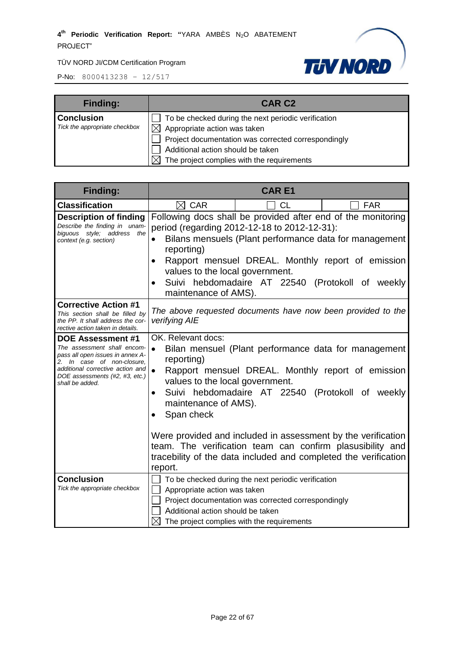

| <b>Finding:</b>                                    | <b>CAR C2</b>                                                                                                                                                                                                                             |
|----------------------------------------------------|-------------------------------------------------------------------------------------------------------------------------------------------------------------------------------------------------------------------------------------------|
| <b>Conclusion</b><br>Tick the appropriate checkbox | To be checked during the next periodic verification<br>$\boxtimes$ Appropriate action was taken<br>Project documentation was corrected correspondingly<br>Additional action should be taken<br>The project complies with the requirements |

| <b>Finding:</b>                                                                                                                                                                                                    | <b>CARE1</b>                                                                                                                                                |                                                                                                                                                                                                                                                                                                                                                               |            |
|--------------------------------------------------------------------------------------------------------------------------------------------------------------------------------------------------------------------|-------------------------------------------------------------------------------------------------------------------------------------------------------------|---------------------------------------------------------------------------------------------------------------------------------------------------------------------------------------------------------------------------------------------------------------------------------------------------------------------------------------------------------------|------------|
| <b>Classification</b>                                                                                                                                                                                              | $\boxtimes$ CAR                                                                                                                                             | <b>CL</b>                                                                                                                                                                                                                                                                                                                                                     | <b>FAR</b> |
| <b>Description of finding</b><br>Describe the finding in unam-<br>biguous style; address the<br>context (e.g. section)                                                                                             | reporting)<br>values to the local government.<br>maintenance of AMS).                                                                                       | Following docs shall be provided after end of the monitoring<br>period (regarding 2012-12-18 to 2012-12-31):<br>Bilans mensuels (Plant performance data for management<br>Rapport mensuel DREAL. Monthly report of emission<br>Suivi hebdomadaire AT 22540 (Protokoll of weekly                                                                               |            |
| <b>Corrective Action #1</b><br>This section shall be filled by<br>the PP. It shall address the cor-<br>rective action taken in details.                                                                            | verifying AIE                                                                                                                                               | The above requested documents have now been provided to the                                                                                                                                                                                                                                                                                                   |            |
| <b>DOE Assessment #1</b><br>The assessment shall encom-<br>pass all open issues in annex A-<br>2. In case of non-closure,<br>additional corrective action and<br>DOE assessments (#2, #3, etc.)<br>shall be added. | OK. Relevant docs:<br>$\bullet$<br>reporting)<br>$\bullet$<br>values to the local government.<br>$\bullet$<br>maintenance of AMS).<br>Span check<br>report. | Bilan mensuel (Plant performance data for management<br>Rapport mensuel DREAL. Monthly report of emission<br>Suivi hebdomadaire AT 22540 (Protokoll of weekly<br>Were provided and included in assessment by the verification<br>team. The verification team can confirm plasusibility and<br>tracebility of the data included and completed the verification |            |
| <b>Conclusion</b><br>Tick the appropriate checkbox                                                                                                                                                                 | Appropriate action was taken<br>Additional action should be taken<br>$\boxtimes$ The project complies with the requirements                                 | To be checked during the next periodic verification<br>Project documentation was corrected correspondingly                                                                                                                                                                                                                                                    |            |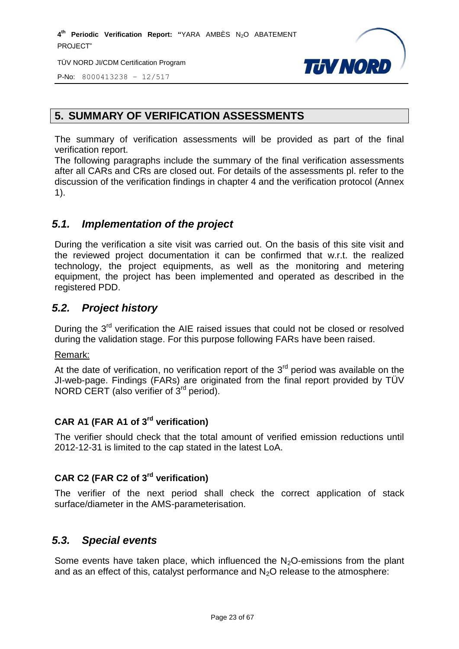TÜV NORD JI/CDM Certification Program



P-No: 8000413238 – 12/517

#### **5. SUMMARY OF VERIFICATION ASSESSMENTS**

The summary of verification assessments will be provided as part of the final verification report.

The following paragraphs include the summary of the final verification assessments after all CARs and CRs are closed out. For details of the assessments pl. refer to the discussion of the verification findings in chapter 4 and the verification protocol (Annex 1).

#### <span id="page-22-0"></span>*5.1. Implementation of the project*

During the verification a site visit was carried out. On the basis of this site visit and the reviewed project documentation it can be confirmed that w.r.t. the realized technology, the project equipments, as well as the monitoring and metering equipment, the project has been implemented and operated as described in the registered PDD.

#### <span id="page-22-1"></span>*5.2. Project history*

During the 3<sup>rd</sup> verification the AIE raised issues that could not be closed or resolved during the validation stage. For this purpose following FARs have been raised.

Remark:

At the date of verification, no verification report of the  $3<sup>rd</sup>$  period was available on the JI-web-page. Findings (FARs) are originated from the final report provided by TÜV NORD CERT (also verifier of 3<sup>rd</sup> period).

#### **CAR A1 (FAR A1 of 3 rd verification)**

The verifier should check that the total amount of verified emission reductions until 2012-12-31 is limited to the cap stated in the latest LoA.

#### **CAR C2 (FAR C2 of 3 rd verification)**

The verifier of the next period shall check the correct application of stack surface/diameter in the AMS-parameterisation.

#### <span id="page-22-2"></span>*5.3. Special events*

<span id="page-22-3"></span>Some events have taken place, which influenced the  $N<sub>2</sub>O$ -emissions from the plant and as an effect of this, catalyst performance and  $N_2O$  release to the atmosphere: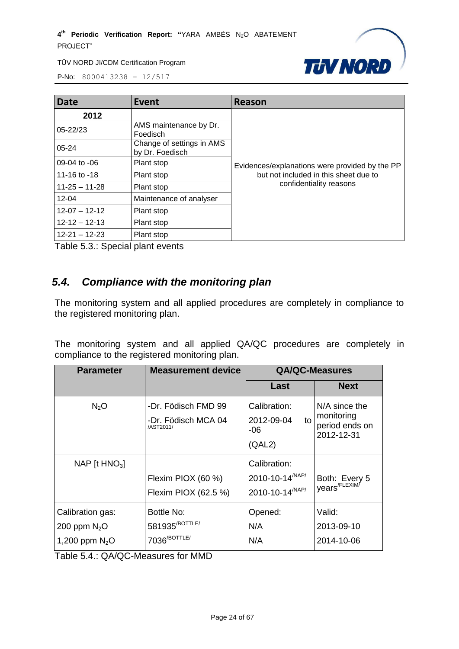

P-No: 8000413238 – 12/517

| <b>Date</b>         | <b>Event</b>                                 | Reason                                         |
|---------------------|----------------------------------------------|------------------------------------------------|
| 2012                |                                              |                                                |
| $05 - 22/23$        | AMS maintenance by Dr.<br>Foedisch           |                                                |
| $05 - 24$           | Change of settings in AMS<br>by Dr. Foedisch |                                                |
| 09-04 to -06        | Plant stop                                   | Evidences/explanations were provided by the PP |
| 11-16 to $-18$      | Plant stop                                   | but not included in this sheet due to          |
| $11 - 25 - 11 - 28$ | Plant stop                                   | confidentiality reasons                        |
| $12 - 04$           | Maintenance of analyser                      |                                                |
| $12 - 07 - 12 - 12$ | Plant stop                                   |                                                |
| $12 - 12 - 12 - 13$ | Plant stop                                   |                                                |
| $12 - 21 - 12 - 23$ | Plant stop                                   |                                                |

Table 5.3.: Special plant events

#### *5.4. Compliance with the monitoring plan*

The monitoring system and all applied procedures are completely in compliance to the registered monitoring plan.

The monitoring system and all applied QA/QC procedures are completely in compliance to the registered monitoring plan.

| <b>Parameter</b>                                       | <b>Measurement device</b>                                             | <b>QA/QC-Measures</b>                                                      |                                                               |
|--------------------------------------------------------|-----------------------------------------------------------------------|----------------------------------------------------------------------------|---------------------------------------------------------------|
|                                                        |                                                                       | Last                                                                       | <b>Next</b>                                                   |
| $N_2O$                                                 | -Dr. Födisch FMD 99<br>-Dr. Födisch MCA 04<br>/AST2011/               | Calibration:<br>2012-09-04<br>to<br>-06<br>(QAL2)                          | $N/A$ since the<br>monitoring<br>period ends on<br>2012-12-31 |
| NAP [t $HNO3$ ]                                        | Flexim PIOX (60 %)<br>Flexim PIOX (62.5 %)                            | Calibration:<br>2010-10-14 <sup>/NAP/</sup><br>2010-10-14 <sup>/NAP/</sup> | Both: Every 5<br>years <sup>/FLEXIM/</sup>                    |
| Calibration gas:<br>200 ppm $N_2O$<br>1,200 ppm $N_2O$ | Bottle No:<br>581935 <sup>/BOTTLE/</sup><br>$7036$ <sup>/BOTTLE</sup> | Opened:<br>N/A<br>N/A                                                      | Valid:<br>2013-09-10<br>2014-10-06                            |

Table 5.4.: QA/QC-Measures for MMD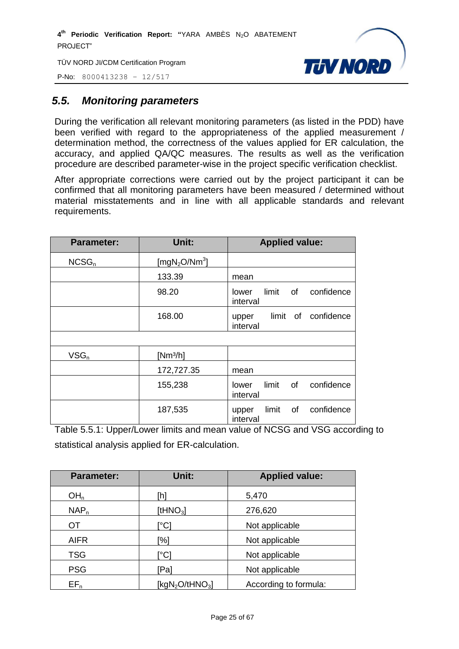



P-No: 8000413238 – 12/517

#### <span id="page-24-0"></span>*5.5. Monitoring parameters*

During the verification all relevant monitoring parameters (as listed in the PDD) have been verified with regard to the appropriateness of the applied measurement / determination method, the correctness of the values applied for ER calculation, the accuracy, and applied QA/QC measures. The results as well as the verification procedure are described parameter-wise in the project specific verification checklist.

After appropriate corrections were carried out by the project participant it can be confirmed that all monitoring parameters have been measured / determined without material misstatements and in line with all applicable standards and relevant requirements.

| <b>Parameter:</b> | Unit:                                 | <b>Applied value:</b>                          |
|-------------------|---------------------------------------|------------------------------------------------|
| NCSG <sub>n</sub> | [mgN <sub>2</sub> O/Nm <sup>3</sup> ] |                                                |
|                   | 133.39                                | mean                                           |
|                   | 98.20                                 | confidence<br>limit of<br>lower<br>interval    |
|                   | 168.00                                | limit of confidence<br>upper<br>interval       |
|                   |                                       |                                                |
| $VSG_n$           | [Nm <sup>3</sup> /h]                  |                                                |
|                   | 172,727.35                            | mean                                           |
|                   | 155,238                               | confidence<br>limit<br>of<br>lower<br>interval |
|                   | 187,535                               | confidence<br>limit<br>of<br>upper<br>interval |

Table 5.5.1: Upper/Lower limits and mean value of NCSG and VSG according to statistical analysis applied for ER-calculation.

| <b>Parameter:</b> | Unit:                                   | <b>Applied value:</b> |
|-------------------|-----------------------------------------|-----------------------|
| OH <sub>n</sub>   | [h]                                     | 5,470                 |
| $NAP_n$           | [t $HNO3$ ]                             | 276,620               |
| <b>OT</b>         | `°C]                                    | Not applicable        |
| <b>AIFR</b>       | [%]                                     | Not applicable        |
| <b>TSG</b>        | $^{\circ}$ Cl                           | Not applicable        |
| <b>PSG</b>        | Pal                                     | Not applicable        |
| $EF_n$            | [kgN <sub>2</sub> O/tHNO <sub>3</sub> ] | According to formula: |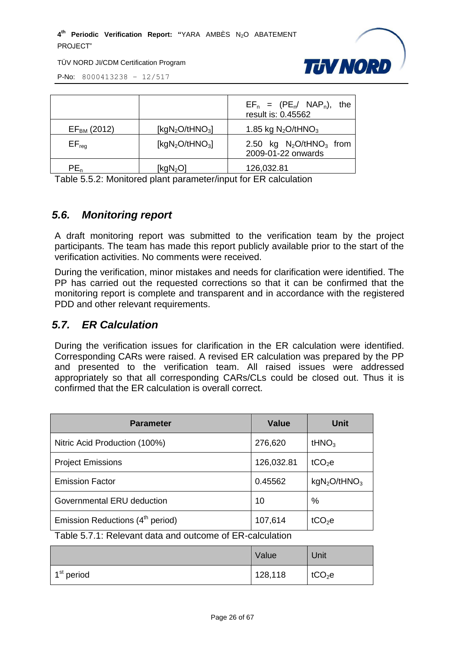TÜV NORD JI/CDM Certification Program

P-No: 8000413238 – 12/517

|                  |                                         | $EF_n = (PE_n / NAP_n)$ , the<br>result is: 0.45562          |
|------------------|-----------------------------------------|--------------------------------------------------------------|
| $EF_{BM}$ (2012) | [kgN <sub>2</sub> O/tHNO <sub>3</sub> ] | 1.85 kg $N_2$ O/tHNO <sub>3</sub>                            |
| $EF_{req}$       | [ $kgN2O/tHNO3$ ]                       | 2.50 kg $N_2$ O/tHNO <sub>3</sub> from<br>2009-01-22 onwards |
| $PE_n$           | [kgN <sub>2</sub> O]                    | 126,032.81                                                   |

**THV NORD** 

Table 5.5.2: Monitored plant parameter/input for ER calculation

#### <span id="page-25-0"></span>*5.6. Monitoring report*

A draft monitoring report was submitted to the verification team by the project participants. The team has made this report publicly available prior to the start of the verification activities. No comments were received.

During the verification, minor mistakes and needs for clarification were identified. The PP has carried out the requested corrections so that it can be confirmed that the monitoring report is complete and transparent and in accordance with the registered PDD and other relevant requirements.

#### <span id="page-25-1"></span>*5.7. ER Calculation*

During the verification issues for clarification in the ER calculation were identified. Corresponding CARs were raised. A revised ER calculation was prepared by the PP and presented to the verification team. All raised issues were addressed appropriately so that all corresponding CARs/CLs could be closed out. Thus it is confirmed that the ER calculation is overall correct.

| <b>Parameter</b>                             | <b>Value</b> | <b>Unit</b>                          |
|----------------------------------------------|--------------|--------------------------------------|
| Nitric Acid Production (100%)                | 276,620      | tHNO <sub>3</sub>                    |
| <b>Project Emissions</b>                     | 126,032.81   | tCO <sub>2</sub> e                   |
| <b>Emission Factor</b>                       | 0.45562      | kgN <sub>2</sub> O/tHNO <sub>3</sub> |
| Governmental ERU deduction                   | 10           | %                                    |
| Emission Reductions (4 <sup>th</sup> period) | 107,614      | tCO <sub>2</sub> e                   |

Table 5.7.1: Relevant data and outcome of ER-calculation

|                        | Value   | Unit               |
|------------------------|---------|--------------------|
| 1 <sup>st</sup> period | 128,118 | tCO <sub>2</sub> e |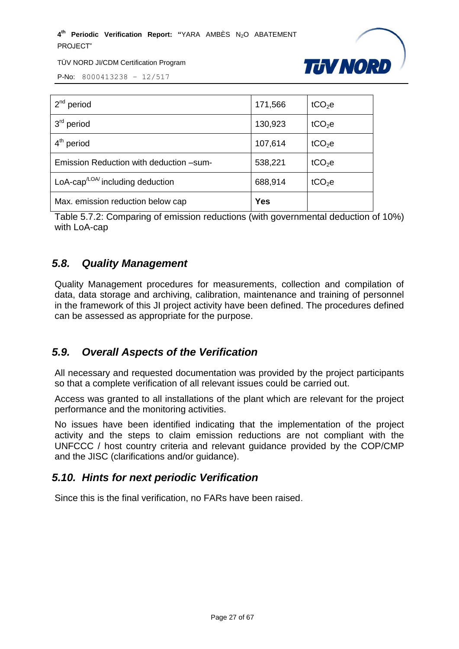

TÜV NORD JI/CDM Certification Program

P-No: 8000413238 – 12/517

| $2nd$ period                                  | 171,566    | tCO <sub>2</sub> e |
|-----------------------------------------------|------------|--------------------|
| $3rd$ period                                  | 130,923    | tCO <sub>2</sub> e |
| $4th$ period                                  | 107,614    | $tCO2$ e           |
| Emission Reduction with deduction -sum-       | 538,221    | $tCO2$ e           |
| LoA-cap $\mu_{\text{OA}}$ including deduction | 688,914    | tCO <sub>2</sub> e |
| Max. emission reduction below cap             | <b>Yes</b> |                    |

Table 5.7.2: Comparing of emission reductions (with governmental deduction of 10%) with LoA-cap

#### <span id="page-26-0"></span>*5.8. Quality Management*

Quality Management procedures for measurements, collection and compilation of data, data storage and archiving, calibration, maintenance and training of personnel in the framework of this JI project activity have been defined. The procedures defined can be assessed as appropriate for the purpose.

#### <span id="page-26-1"></span>*5.9. Overall Aspects of the Verification*

All necessary and requested documentation was provided by the project participants so that a complete verification of all relevant issues could be carried out.

Access was granted to all installations of the plant which are relevant for the project performance and the monitoring activities.

No issues have been identified indicating that the implementation of the project activity and the steps to claim emission reductions are not compliant with the UNFCCC / host country criteria and relevant guidance provided by the COP/CMP and the JISC (clarifications and/or guidance).

#### <span id="page-26-2"></span>*5.10. Hints for next periodic Verification*

Since this is the final verification, no FARs have been raised.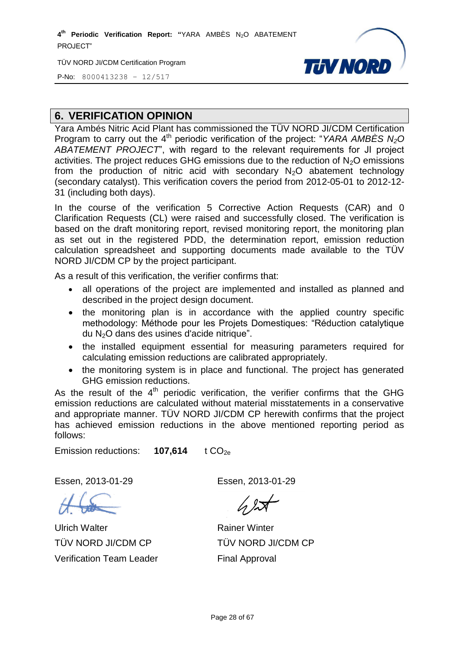TÜV NORD JI/CDM Certification Program

**TLV NORD** 

P-No: 8000413238 – 12/517

#### <span id="page-27-0"></span>**6. VERIFICATION OPINION**

Yara Ambés Nitric Acid Plant has commissioned the TÜV NORD JI/CDM Certification Program to carry out the 4<sup>th</sup> periodic verification of the project: "YARA AMBÈS N<sub>2</sub>O *ABATEMENT PROJECT*", with regard to the relevant requirements for JI project activities. The project reduces GHG emissions due to the reduction of  $N<sub>2</sub>O$  emissions from the production of nitric acid with secondary  $N_2O$  abatement technology (secondary catalyst). This verification covers the period from 2012-05-01 to 2012-12- 31 (including both days).

In the course of the verification 5 Corrective Action Requests (CAR) and 0 Clarification Requests (CL) were raised and successfully closed. The verification is based on the draft monitoring report, revised monitoring report, the monitoring plan as set out in the registered PDD, the determination report, emission reduction calculation spreadsheet and supporting documents made available to the TÜV NORD JI/CDM CP by the project participant.

As a result of this verification, the verifier confirms that:

- all operations of the project are implemented and installed as planned and described in the project design document.
- the monitoring plan is in accordance with the applied country specific methodology: Méthode pour les Projets Domestiques: "Réduction catalytique du N2O dans des usines d'acide nitrique".
- the installed equipment essential for measuring parameters required for calculating emission reductions are calibrated appropriately.
- the monitoring system is in place and functional. The project has generated GHG emission reductions.

As the result of the  $4<sup>th</sup>$  periodic verification, the verifier confirms that the GHG emission reductions are calculated without material misstatements in a conservative and appropriate manner. TÜV NORD JI/CDM CP herewith confirms that the project has achieved emission reductions in the above mentioned reporting period as follows:

Emission reductions: **107,614** t CO<sub>2e</sub>

Essen, 2013-01-29 Essen, 2013-01-29

Ulrich Walter TÜV NORD JI/CDM CP Verification Team Leader

Rainer Winter TÜV NORD JI/CDM CP Final Approval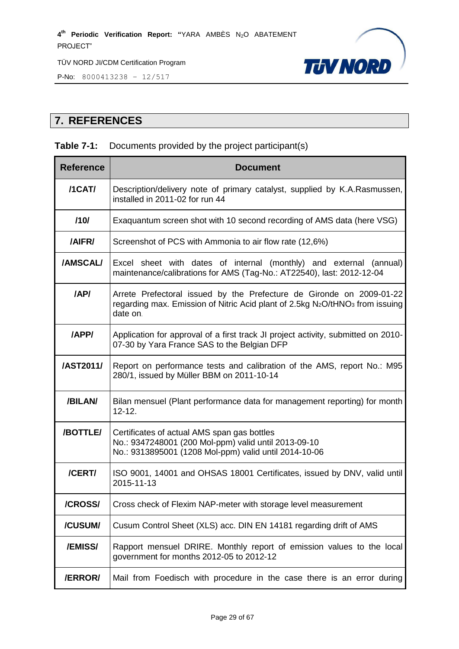

P-No: 8000413238 – 12/517

#### <span id="page-28-0"></span>**7. REFERENCES**

#### **Table 7-1:** Documents provided by the project participant(s)

| <b>Reference</b> | <b>Document</b>                                                                                                                                                                           |
|------------------|-------------------------------------------------------------------------------------------------------------------------------------------------------------------------------------------|
| /1CAT/           | Description/delivery note of primary catalyst, supplied by K.A.Rasmussen,<br>installed in 2011-02 for run 44                                                                              |
| /10/             | Exaquantum screen shot with 10 second recording of AMS data (here VSG)                                                                                                                    |
| /AIFR/           | Screenshot of PCS with Ammonia to air flow rate (12,6%)                                                                                                                                   |
| /AMSCAL/         | Excel sheet with dates of internal (monthly) and external (annual)<br>maintenance/calibrations for AMS (Tag-No.: AT22540), last: 2012-12-04                                               |
| /AP/             | Arrete Prefectoral issued by the Prefecture de Gironde on 2009-01-22<br>regarding max. Emission of Nitric Acid plant of 2.5kg N <sub>2</sub> O/tHNO <sub>3</sub> from issuing<br>date on. |
| /APP/            | Application for approval of a first track JI project activity, submitted on 2010-<br>07-30 by Yara France SAS to the Belgian DFP                                                          |
| /AST2011/        | Report on performance tests and calibration of the AMS, report No.: M95<br>280/1, issued by Müller BBM on 2011-10-14                                                                      |
| /BILAN/          | Bilan mensuel (Plant performance data for management reporting) for month<br>$12 - 12.$                                                                                                   |
| /BOTTLE/         | Certificates of actual AMS span gas bottles<br>No.: 9347248001 (200 Mol-ppm) valid until 2013-09-10<br>No.: 9313895001 (1208 Mol-ppm) valid until 2014-10-06                              |
| /CERT/           | ISO 9001, 14001 and OHSAS 18001 Certificates, issued by DNV, valid until<br>2015-11-13                                                                                                    |
| /CROSS/          | Cross check of Flexim NAP-meter with storage level measurement                                                                                                                            |
| /CUSUM/          | Cusum Control Sheet (XLS) acc. DIN EN 14181 regarding drift of AMS                                                                                                                        |
| /EMISS/          | Rapport mensuel DRIRE. Monthly report of emission values to the local<br>government for months 2012-05 to 2012-12                                                                         |
| /ERROR/          | Mail from Foedisch with procedure in the case there is an error during                                                                                                                    |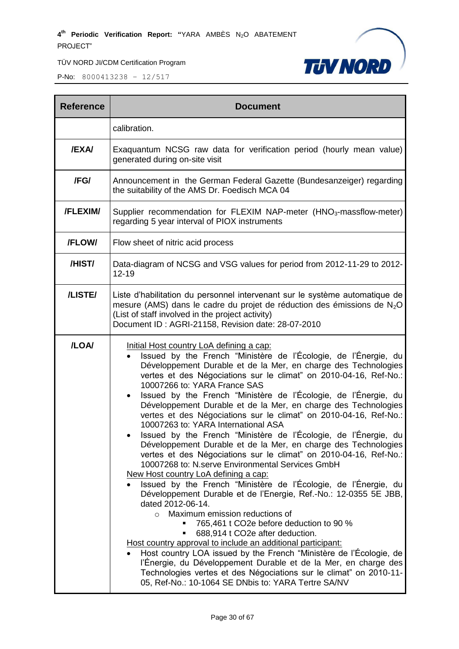

| <b>Reference</b> | <b>Document</b>                                                                                                                                                                                                                                                                                                                                                                                                                                                                                                                                                                                                                                                                                                                                                                                                                                                                                                                                                                                                                                                                                                                                                                                                                                                                                                                                                                                                                                                                    |
|------------------|------------------------------------------------------------------------------------------------------------------------------------------------------------------------------------------------------------------------------------------------------------------------------------------------------------------------------------------------------------------------------------------------------------------------------------------------------------------------------------------------------------------------------------------------------------------------------------------------------------------------------------------------------------------------------------------------------------------------------------------------------------------------------------------------------------------------------------------------------------------------------------------------------------------------------------------------------------------------------------------------------------------------------------------------------------------------------------------------------------------------------------------------------------------------------------------------------------------------------------------------------------------------------------------------------------------------------------------------------------------------------------------------------------------------------------------------------------------------------------|
|                  | calibration.                                                                                                                                                                                                                                                                                                                                                                                                                                                                                                                                                                                                                                                                                                                                                                                                                                                                                                                                                                                                                                                                                                                                                                                                                                                                                                                                                                                                                                                                       |
| <b>/EXA/</b>     | Exaquantum NCSG raw data for verification period (hourly mean value)<br>generated during on-site visit                                                                                                                                                                                                                                                                                                                                                                                                                                                                                                                                                                                                                                                                                                                                                                                                                                                                                                                                                                                                                                                                                                                                                                                                                                                                                                                                                                             |
| /FG/             | Announcement in the German Federal Gazette (Bundesanzeiger) regarding<br>the suitability of the AMS Dr. Foedisch MCA 04                                                                                                                                                                                                                                                                                                                                                                                                                                                                                                                                                                                                                                                                                                                                                                                                                                                                                                                                                                                                                                                                                                                                                                                                                                                                                                                                                            |
| /FLEXIM/         | Supplier recommendation for FLEXIM NAP-meter (HNO <sub>3</sub> -massflow-meter)<br>regarding 5 year interval of PIOX instruments                                                                                                                                                                                                                                                                                                                                                                                                                                                                                                                                                                                                                                                                                                                                                                                                                                                                                                                                                                                                                                                                                                                                                                                                                                                                                                                                                   |
| /FLOW/           | Flow sheet of nitric acid process                                                                                                                                                                                                                                                                                                                                                                                                                                                                                                                                                                                                                                                                                                                                                                                                                                                                                                                                                                                                                                                                                                                                                                                                                                                                                                                                                                                                                                                  |
| /HIST/           | Data-diagram of NCSG and VSG values for period from 2012-11-29 to 2012-<br>$12 - 19$                                                                                                                                                                                                                                                                                                                                                                                                                                                                                                                                                                                                                                                                                                                                                                                                                                                                                                                                                                                                                                                                                                                                                                                                                                                                                                                                                                                               |
| /LISTE/          | Liste d'habilitation du personnel intervenant sur le système automatique de<br>mesure (AMS) dans le cadre du projet de réduction des émissions de $N_2O$<br>(List of staff involved in the project activity)<br>Document ID: AGRI-21158, Revision date: 28-07-2010                                                                                                                                                                                                                                                                                                                                                                                                                                                                                                                                                                                                                                                                                                                                                                                                                                                                                                                                                                                                                                                                                                                                                                                                                 |
| /LOA/            | Initial Host country LoA defining a cap:<br>Issued by the French "Ministère de l'Écologie, de l'Énergie, du<br>Développement Durable et de la Mer, en charge des Technologies<br>vertes et des Négociations sur le climat" on 2010-04-16, Ref-No.:<br>10007266 to: YARA France SAS<br>Issued by the French "Ministère de l'Écologie, de l'Énergie, du<br>$\bullet$<br>Développement Durable et de la Mer, en charge des Technologies<br>vertes et des Négociations sur le climat" on 2010-04-16, Ref-No.:<br>10007263 to: YARA International ASA<br>Issued by the French "Ministère de l'Écologie, de l'Énergie, du<br>Développement Durable et de la Mer, en charge des Technologies<br>vertes et des Négociations sur le climat" on 2010-04-16, Ref-No.:<br>10007268 to: N.serve Environmental Services GmbH<br>New Host country LoA defining a cap:<br>Issued by the French "Ministère de l'Écologie, de l'Énergie, du<br>Développement Durable et de l'Energie, Ref.-No.: 12-0355 5E JBB,<br>dated 2012-06-14.<br>Maximum emission reductions of<br>$\circ$<br>765,461 t CO2e before deduction to 90 %<br>688,914 t CO2e after deduction.<br>Host country approval to include an additional participant:<br>Host country LOA issued by the French "Ministère de l'Écologie, de<br>l'Énergie, du Développement Durable et de la Mer, en charge des<br>Technologies vertes et des Négociations sur le climat" on 2010-11-<br>05, Ref-No.: 10-1064 SE DNbis to: YARA Tertre SA/NV |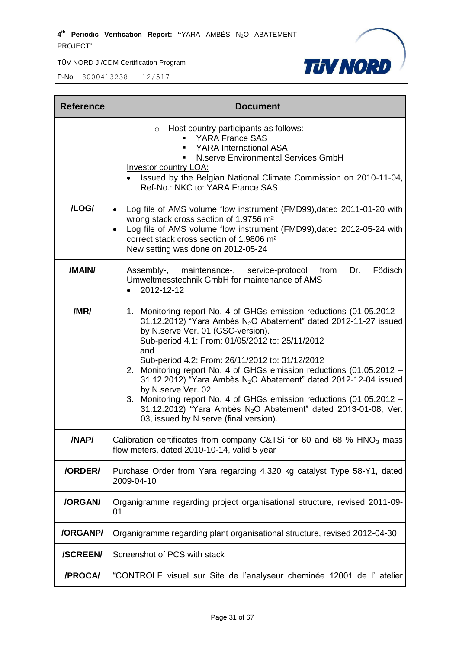**TUV NORD** 

TÜV NORD JI/CDM Certification Program

| <b>Reference</b> | <b>Document</b>                                                                                                                                                                                                                                                                                                                                                                                                                                                                                                                                                                                                                                                                     |
|------------------|-------------------------------------------------------------------------------------------------------------------------------------------------------------------------------------------------------------------------------------------------------------------------------------------------------------------------------------------------------------------------------------------------------------------------------------------------------------------------------------------------------------------------------------------------------------------------------------------------------------------------------------------------------------------------------------|
|                  | Host country participants as follows:<br>$\circ$<br>YARA France SAS<br><b>YARA International ASA</b><br>N.serve Environmental Services GmbH<br>Investor country LOA:<br>Issued by the Belgian National Climate Commission on 2010-11-04,<br>Ref-No.: NKC to: YARA France SAS                                                                                                                                                                                                                                                                                                                                                                                                        |
| /LOG/            | Log file of AMS volume flow instrument (FMD99), dated 2011-01-20 with<br>$\bullet$<br>wrong stack cross section of 1.9756 m <sup>2</sup><br>Log file of AMS volume flow instrument (FMD99), dated 2012-05-24 with<br>correct stack cross section of 1.9806 m <sup>2</sup><br>New setting was done on 2012-05-24                                                                                                                                                                                                                                                                                                                                                                     |
| /MAIN/           | Assembly-, maintenance-, service-protocol from<br>Födisch<br>Dr.<br>Umweltmesstechnik GmbH for maintenance of AMS<br>2012-12-12                                                                                                                                                                                                                                                                                                                                                                                                                                                                                                                                                     |
| /MR/             | 1. Monitoring report No. 4 of GHGs emission reductions (01.05.2012 -<br>31.12.2012) "Yara Ambès N <sub>2</sub> O Abatement" dated 2012-11-27 issued<br>by N.serve Ver. 01 (GSC-version).<br>Sub-period 4.1: From: 01/05/2012 to: 25/11/2012<br>and<br>Sub-period 4.2: From: 26/11/2012 to: 31/12/2012<br>2. Monitoring report No. 4 of GHGs emission reductions (01.05.2012 -<br>31.12.2012) "Yara Ambès N <sub>2</sub> O Abatement" dated 2012-12-04 issued<br>by N.serve Ver. 02.<br>3. Monitoring report No. 4 of GHGs emission reductions (01.05.2012 -<br>31.12.2012) "Yara Ambès N <sub>2</sub> O Abatement" dated 2013-01-08, Ver.<br>03, issued by N.serve (final version). |
| /NAP/            | Calibration certificates from company C&TSi for 60 and 68 % $HNO3$ mass<br>flow meters, dated 2010-10-14, valid 5 year                                                                                                                                                                                                                                                                                                                                                                                                                                                                                                                                                              |
| /ORDER/          | Purchase Order from Yara regarding 4,320 kg catalyst Type 58-Y1, dated<br>2009-04-10                                                                                                                                                                                                                                                                                                                                                                                                                                                                                                                                                                                                |
| /ORGAN/          | Organigramme regarding project organisational structure, revised 2011-09-<br>01                                                                                                                                                                                                                                                                                                                                                                                                                                                                                                                                                                                                     |
| /ORGANP/         | Organigramme regarding plant organisational structure, revised 2012-04-30                                                                                                                                                                                                                                                                                                                                                                                                                                                                                                                                                                                                           |
| /SCREEN/         | Screenshot of PCS with stack                                                                                                                                                                                                                                                                                                                                                                                                                                                                                                                                                                                                                                                        |
| /PROCA/          | "CONTROLE visuel sur Site de l'analyseur cheminée 12001 de l'atelier                                                                                                                                                                                                                                                                                                                                                                                                                                                                                                                                                                                                                |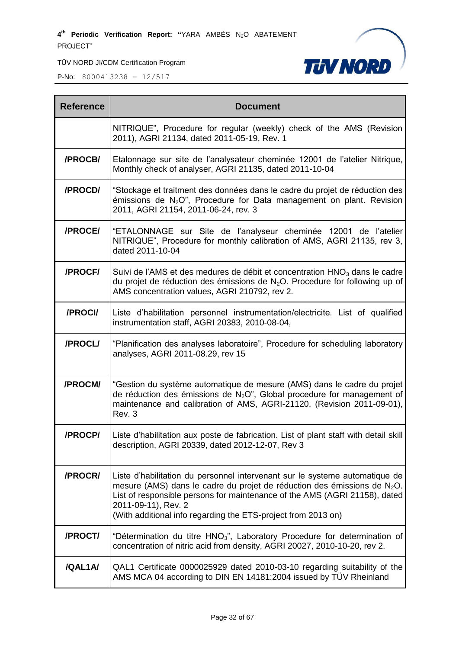TÜV NORD JI/CDM Certification Program



| <b>Reference</b> | <b>Document</b>                                                                                                                                                                                                                                                                                                                           |
|------------------|-------------------------------------------------------------------------------------------------------------------------------------------------------------------------------------------------------------------------------------------------------------------------------------------------------------------------------------------|
|                  | NITRIQUE", Procedure for regular (weekly) check of the AMS (Revision<br>2011), AGRI 21134, dated 2011-05-19, Rev. 1                                                                                                                                                                                                                       |
| /PROCB/          | Etalonnage sur site de l'analysateur cheminée 12001 de l'atelier Nitrique,<br>Monthly check of analyser, AGRI 21135, dated 2011-10-04                                                                                                                                                                                                     |
| /PROCD/          | "Stockage et traitment des données dans le cadre du projet de réduction des<br>émissions de $N_2O^{\prime\prime}$ , Procedure for Data management on plant. Revision<br>2011, AGRI 21154, 2011-06-24, rev. 3                                                                                                                              |
| /PROCE/          | "ETALONNAGE sur Site de l'analyseur cheminée 12001 de l'atelier<br>NITRIQUE", Procedure for monthly calibration of AMS, AGRI 21135, rev 3,<br>dated 2011-10-04                                                                                                                                                                            |
| /PROCF/          | Suivi de l'AMS et des medures de débit et concentration HNO <sub>3</sub> dans le cadre<br>du projet de réduction des émissions de $N_2O$ . Procedure for following up of<br>AMS concentration values, AGRI 210792, rev 2.                                                                                                                 |
| /PROCI/          | Liste d'habilitation personnel instrumentation/electricite. List of qualified<br>instrumentation staff, AGRI 20383, 2010-08-04,                                                                                                                                                                                                           |
| /PROCL/          | "Planification des analyses laboratoire", Procedure for scheduling laboratory<br>analyses, AGRI 2011-08.29, rev 15                                                                                                                                                                                                                        |
| /PROCM/          | "Gestion du système automatique de mesure (AMS) dans le cadre du projet<br>de réduction des émissions de $N_2O^{\prime\prime}$ , Global procedure for management of<br>maintenance and calibration of AMS, AGRI-21120, (Revision 2011-09-01),<br>Rev. 3                                                                                   |
| /PROCP/          | Liste d'habilitation aux poste de fabrication. List of plant staff with detail skill<br>description, AGRI 20339, dated 2012-12-07, Rev 3                                                                                                                                                                                                  |
| /PROCR/          | Liste d'habilitation du personnel intervenant sur le systeme automatique de<br>mesure (AMS) dans le cadre du projet de réduction des émissions de N <sub>2</sub> O.<br>List of responsible persons for maintenance of the AMS (AGRI 21158), dated<br>2011-09-11), Rev. 2<br>(With additional info regarding the ETS-project from 2013 on) |
| /PROCT/          | "Détermination du titre HNO <sub>3</sub> ", Laboratory Procedure for determination of<br>concentration of nitric acid from density, AGRI 20027, 2010-10-20, rev 2.                                                                                                                                                                        |
| /QAL1A/          | QAL1 Certificate 0000025929 dated 2010-03-10 regarding suitability of the<br>AMS MCA 04 according to DIN EN 14181:2004 issued by TÜV Rheinland                                                                                                                                                                                            |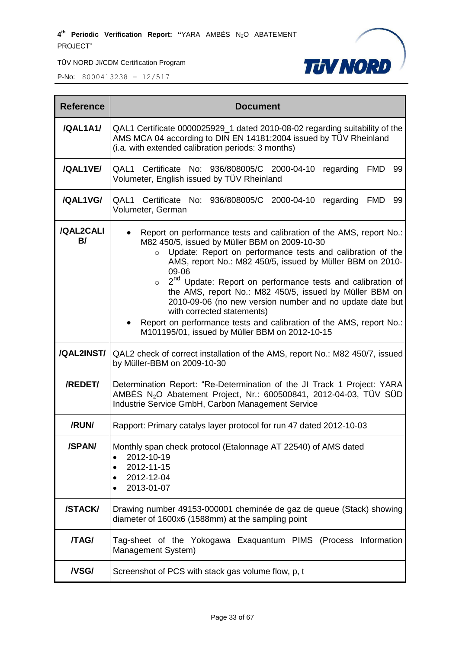TÜV NORD JI/CDM Certification Program



| <b>Reference</b> | <b>Document</b>                                                                                                                                                                                                                                                                                                                                                                                                                                                                                                                                                                                                                     |
|------------------|-------------------------------------------------------------------------------------------------------------------------------------------------------------------------------------------------------------------------------------------------------------------------------------------------------------------------------------------------------------------------------------------------------------------------------------------------------------------------------------------------------------------------------------------------------------------------------------------------------------------------------------|
| /QAL1A1/         | QAL1 Certificate 0000025929_1 dated 2010-08-02 regarding suitability of the<br>AMS MCA 04 according to DIN EN 14181:2004 issued by TÜV Rheinland<br>(i.a. with extended calibration periods: 3 months)                                                                                                                                                                                                                                                                                                                                                                                                                              |
| /QAL1VE/         | QAL1 Certificate No: 936/808005/C 2000-04-10 regarding<br><b>FMD</b><br>99<br>Volumeter, English issued by TÜV Rheinland                                                                                                                                                                                                                                                                                                                                                                                                                                                                                                            |
| /QAL1VG/         | QAL1 Certificate No: 936/808005/C 2000-04-10<br>regarding<br><b>FMD</b><br>99<br>Volumeter, German                                                                                                                                                                                                                                                                                                                                                                                                                                                                                                                                  |
| /QAL2CALI<br>B/  | Report on performance tests and calibration of the AMS, report No.:<br>M82 450/5, issued by Müller BBM on 2009-10-30<br>Update: Report on performance tests and calibration of the<br>$\circ$<br>AMS, report No.: M82 450/5, issued by Müller BBM on 2010-<br>09-06<br>$\circ$ 2 <sup>nd</sup> Update: Report on performance tests and calibration of<br>the AMS, report No.: M82 450/5, issued by Müller BBM on<br>2010-09-06 (no new version number and no update date but<br>with corrected statements)<br>Report on performance tests and calibration of the AMS, report No.:<br>M101195/01, issued by Müller BBM on 2012-10-15 |
| /QAL2INST/       | QAL2 check of correct installation of the AMS, report No.: M82 450/7, issued<br>by Müller-BBM on 2009-10-30                                                                                                                                                                                                                                                                                                                                                                                                                                                                                                                         |
| /REDET/          | Determination Report: "Re-Determination of the JI Track 1 Project: YARA<br>AMBES N <sub>2</sub> O Abatement Project, Nr.: 600500841, 2012-04-03, TÜV SÜD<br>Industrie Service GmbH, Carbon Management Service                                                                                                                                                                                                                                                                                                                                                                                                                       |
| /RUN/            | Rapport: Primary catalys layer protocol for run 47 dated 2012-10-03                                                                                                                                                                                                                                                                                                                                                                                                                                                                                                                                                                 |
| /SPAN/           | Monthly span check protocol (Etalonnage AT 22540) of AMS dated<br>2012-10-19<br>2012-11-15<br>$\bullet$<br>2012-12-04<br>$\bullet$<br>2013-01-07                                                                                                                                                                                                                                                                                                                                                                                                                                                                                    |
| /STACK/          | Drawing number 49153-000001 cheminée de gaz de queue (Stack) showing<br>diameter of 1600x6 (1588mm) at the sampling point                                                                                                                                                                                                                                                                                                                                                                                                                                                                                                           |
| /TAG/            | Tag-sheet of the Yokogawa Exaquantum PIMS (Process Information<br>Management System)                                                                                                                                                                                                                                                                                                                                                                                                                                                                                                                                                |
| <b>NSG/</b>      | Screenshot of PCS with stack gas volume flow, p, t                                                                                                                                                                                                                                                                                                                                                                                                                                                                                                                                                                                  |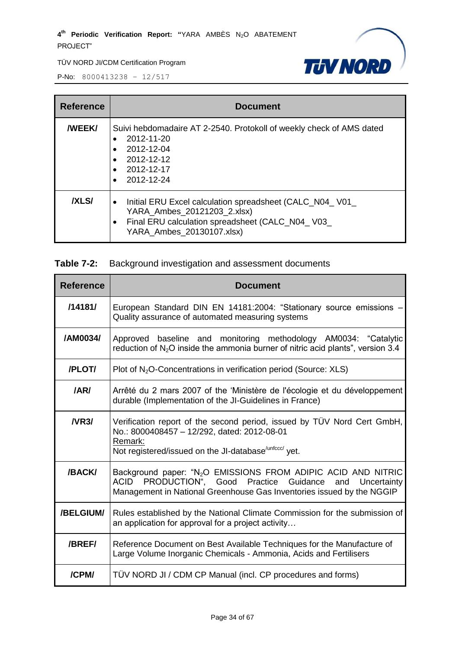

| <b>Reference</b>    | <b>Document</b>                                                                                                                                                                      |
|---------------------|--------------------------------------------------------------------------------------------------------------------------------------------------------------------------------------|
| <b><i>NEEKI</i></b> | Suivi hebdomadaire AT 2-2540. Protokoll of weekly check of AMS dated<br>2012-11-20<br>2012-12-04<br>2012-12-12<br>2012-12-17<br>2012-12-24                                           |
| /XLS/               | Initial ERU Excel calculation spreadsheet (CALC_N04 V01<br>$\bullet$<br>YARA_Ambes_20121203_2.xlsx)<br>Final ERU calculation spreadsheet (CALC_N04_V03_<br>YARA_Ambes_20130107.xlsx) |

|  | Table 7-2: Background investigation and assessment documents |
|--|--------------------------------------------------------------|
|--|--------------------------------------------------------------|

| <b>Reference</b> | <b>Document</b>                                                                                                                                                                                                               |
|------------------|-------------------------------------------------------------------------------------------------------------------------------------------------------------------------------------------------------------------------------|
| /14181/          | European Standard DIN EN 14181:2004: "Stationary source emissions -<br>Quality assurance of automated measuring systems                                                                                                       |
| /AM0034/         | Approved baseline and monitoring methodology AM0034: "Catalytic<br>reduction of $N_2O$ inside the ammonia burner of nitric acid plants", version 3.4                                                                          |
| /PLOT/           | Plot of $N_2O$ -Concentrations in verification period (Source: XLS)                                                                                                                                                           |
| /AR/             | Arrêté du 2 mars 2007 of the 'Ministère de l'écologie et du développement<br>durable (Implementation of the JI-Guidelines in France)                                                                                          |
| $N$ R3 $/$       | Verification report of the second period, issued by TÜV Nord Cert GmbH,<br>No.: 8000408457 - 12/292, dated: 2012-08-01<br>Remark:<br>Not registered/issued on the JI-database <sup>/unfccc/</sup> yet.                        |
| /BACK/           | Background paper: "N <sub>2</sub> O EMISSIONS FROM ADIPIC ACID AND NITRIC<br>PRODUCTION", Good<br>Practice<br>ACID<br>Guidance<br>Uncertainty<br>and<br>Management in National Greenhouse Gas Inventories issued by the NGGIP |
| /BELGIUM/        | Rules established by the National Climate Commission for the submission of<br>an application for approval for a project activity                                                                                              |
| /BREF/           | Reference Document on Best Available Techniques for the Manufacture of<br>Large Volume Inorganic Chemicals - Ammonia, Acids and Fertilisers                                                                                   |
| /CPM/            | TÜV NORD JI / CDM CP Manual (incl. CP procedures and forms)                                                                                                                                                                   |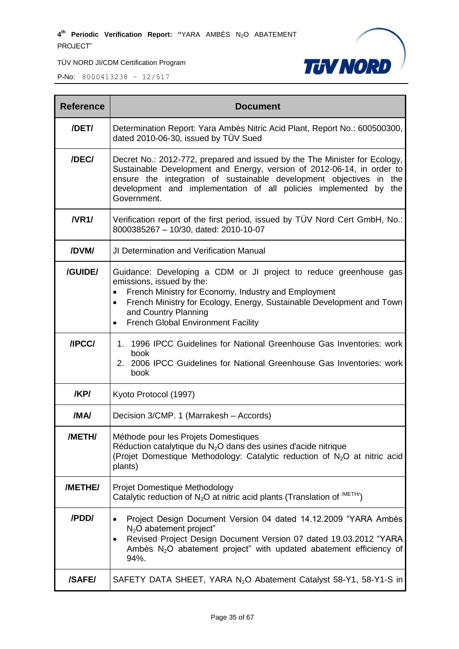**P-No:** 8000413238 - 12/517

.

Н



| <b>Reference</b> | <b>Document</b>                                                                                                                                                                                                                                                                                                    |
|------------------|--------------------------------------------------------------------------------------------------------------------------------------------------------------------------------------------------------------------------------------------------------------------------------------------------------------------|
| /DET/            | Determination Report: Yara Ambès Nitric Acid Plant, Report No.: 600500300,<br>dated 2010-06-30, issued by TÜV Sued                                                                                                                                                                                                 |
| /DEC/            | Decret No.: 2012-772, prepared and issued by the The Minister for Ecology,<br>Sustainable Development and Energy, version of 2012-06-14, in order to<br>ensure the integration of sustainable development objectives in the<br>development and implementation of all policies implemented<br>by the<br>Government. |
| /NR1/            | Verification report of the first period, issued by TÜV Nord Cert GmbH, No.:<br>8000385267 - 10/30, dated: 2010-10-07                                                                                                                                                                                               |
| /DVM/            | <b>JI Determination and Verification Manual</b>                                                                                                                                                                                                                                                                    |
| /GUIDE/          | Guidance: Developing a CDM or JI project to reduce greenhouse gas<br>emissions, issued by the:<br>French Ministry for Economy, Industry and Employment<br>French Ministry for Ecology, Energy, Sustainable Development and Town<br>and Country Planning<br><b>French Global Environment Facility</b><br>$\bullet$  |
| /IPCC/           | 1. 1996 IPCC Guidelines for National Greenhouse Gas Inventories: work<br>book<br>2. 2006 IPCC Guidelines for National Greenhouse Gas Inventories: work<br>book                                                                                                                                                     |
| /KP/             | Kyoto Protocol (1997)                                                                                                                                                                                                                                                                                              |
| /MA/             | Decision 3/CMP. 1 (Marrakesh - Accords)                                                                                                                                                                                                                                                                            |
| /METH/           | Méthode pour les Projets Domestiques<br>Réduction catalytique du N <sub>2</sub> O dans des usines d'acide nitrique<br>(Projet Domestique Methodology: Catalytic reduction of N <sub>2</sub> O at nitric acid<br>plants)                                                                                            |
| /METHE/          | Projet Domestique Methodology<br>Catalytic reduction of $N_2O$ at nitric acid plants (Translation of $^{/METH/}$ )                                                                                                                                                                                                 |
| /PDD/            | Project Design Document Version 04 dated 14.12.2009 "YARA Ambès<br>N <sub>2</sub> O abatement project"<br>Revised Project Design Document Version 07 dated 19.03.2012 "YARA<br>٠<br>Ambès $N_2O$ abatement project" with updated abatement efficiency of<br>94%.                                                   |
| /SAFE/           | SAFETY DATA SHEET, YARA N <sub>2</sub> O Abatement Catalyst 58-Y1, 58-Y1-S in                                                                                                                                                                                                                                      |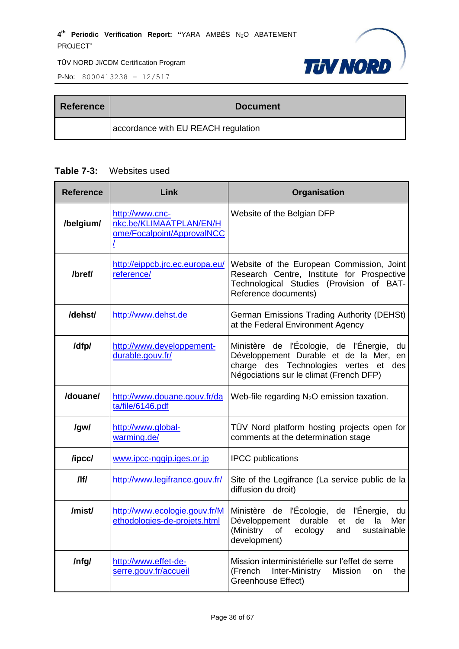

P-No:  $8000413238 - 12/517$ 

| <b>Reference</b> | <b>Document</b>                     |
|------------------|-------------------------------------|
|                  | accordance with EU REACH regulation |

#### **Table 7-3:** Websites used

| <b>Reference</b> | Link                                                                     | Organisation                                                                                                                                                                     |  |  |
|------------------|--------------------------------------------------------------------------|----------------------------------------------------------------------------------------------------------------------------------------------------------------------------------|--|--|
| /belgium/        | http://www.cnc-<br>nkc.be/KLIMAATPLAN/EN/H<br>ome/Focalpoint/ApprovalNCC | Website of the Belgian DFP                                                                                                                                                       |  |  |
| /bref/           | http://eippcb.jrc.ec.europa.eu/<br>reference/                            | Website of the European Commission, Joint<br>Research Centre, Institute for Prospective<br>Technological Studies (Provision of BAT-<br>Reference documents)                      |  |  |
| /dehst/          | http://www.dehst.de                                                      | German Emissions Trading Authority (DEHSt)<br>at the Federal Environment Agency                                                                                                  |  |  |
| /dfp/            | http://www.developpement-<br>durable.gouv.fr/                            | Ministère de l'Écologie, de l'Énergie,<br>du<br>Développement Durable et de la Mer,<br>en<br>charge des Technologies vertes<br>et des<br>Négociations sur le climat (French DFP) |  |  |
| /douane/         | http://www.douane.gouv.fr/da<br>ta/file/6146.pdf                         | Web-file regarding $N_2O$ emission taxation.                                                                                                                                     |  |  |
| /gw/             | http://www.global-<br>warming.de/                                        | TÜV Nord platform hosting projects open for<br>comments at the determination stage                                                                                               |  |  |
| /ipcc/           | www.ipcc-nggip.iges.or.jp                                                | <b>IPCC</b> publications                                                                                                                                                         |  |  |
| /                | http://www.legifrance.gouv.fr/                                           | Site of the Legifrance (La service public de la<br>diffusion du droit)                                                                                                           |  |  |
| /mist/           | http://www.ecologie.gouv.fr/M<br>ethodologies-de-projets.html            | l'Écologie, de l'Énergie,<br>Ministère de<br>du<br>Développement<br>durable<br>et<br>de<br>Mer<br>la<br>(Ministry<br>of<br>ecology<br>and<br>sustainable<br>development)         |  |  |
| /nfg/            | http://www.effet-de-<br>serre.gouv.fr/accueil                            | Mission interministérielle sur l'effet de serre<br>(French<br>Inter-Ministry<br><b>Mission</b><br>on<br>the<br>Greenhouse Effect)                                                |  |  |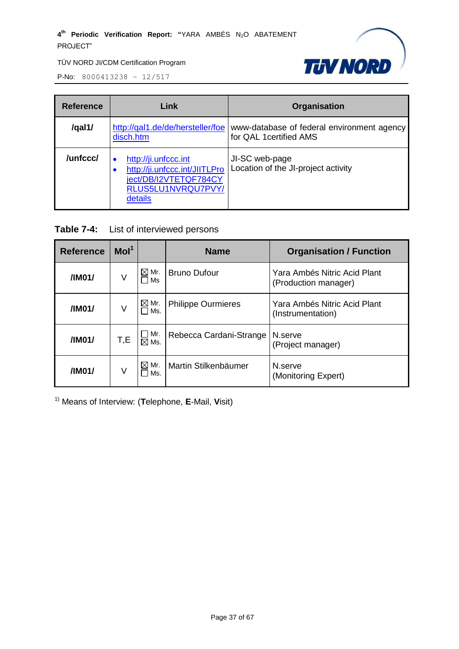

P-No: 8000413238 – 12/517

| <b>Reference</b> | Link                                                                                                                         | <b>Organisation</b>                                                   |
|------------------|------------------------------------------------------------------------------------------------------------------------------|-----------------------------------------------------------------------|
| /qal1/           | http://qal1.de/de/hersteller/foe<br>disch.htm                                                                                | www-database of federal environment agency<br>for QAL 1 certified AMS |
| /unfccc/         | http://ji.unfccc.int<br>$\bullet$<br>http://ji.unfccc.int/JIITLPro<br>ject/DB/I2VTETQF784CY<br>RLUS5LU1NVRQU7PVY/<br>details | JI-SC web-page<br>Location of the JI-project activity                 |

| Table 7-4: | List of interviewed persons |  |
|------------|-----------------------------|--|
|------------|-----------------------------|--|

| Mol <sup>1</sup><br><b>Reference</b>                          |                                                                                                                 |                                                      | <b>Name</b>             | <b>Organisation / Function</b> |  |
|---------------------------------------------------------------|-----------------------------------------------------------------------------------------------------------------|------------------------------------------------------|-------------------------|--------------------------------|--|
| $\bowtie$ Mr.<br><b>Bruno Dufour</b><br>/IM01/<br>V<br>Ms     |                                                                                                                 | Yara Ambés Nitric Acid Plant<br>(Production manager) |                         |                                |  |
| /IM01/                                                        | $\boxtimes$ Mr.<br>Yara Ambés Nitric Acid Plant<br><b>Philippe Ourmieres</b><br>V<br>ヿ Ms.<br>(Instrumentation) |                                                      |                         |                                |  |
| /IM01/                                                        | T,E                                                                                                             | Mr.<br>$\boxtimes$ Ms.                               | Rebecca Cardani-Strange | N.serve<br>(Project manager)   |  |
| $\boxtimes$ Mr.<br>Martin Stilkenbäumer<br>/IM01/<br>V<br>Ms. |                                                                                                                 | N.serve<br>(Monitoring Expert)                       |                         |                                |  |

1) Means of Interview: (**T**elephone, **E**-Mail, **V**isit)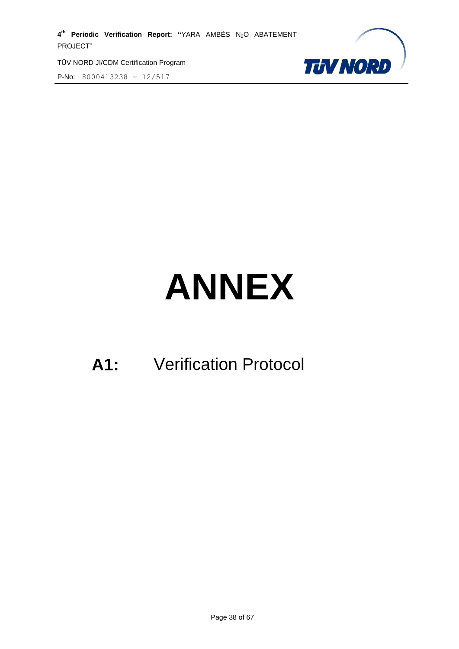TÜV NORD JI/CDM Certification Program





# **ANNEX**

## **A1:** Verification Protocol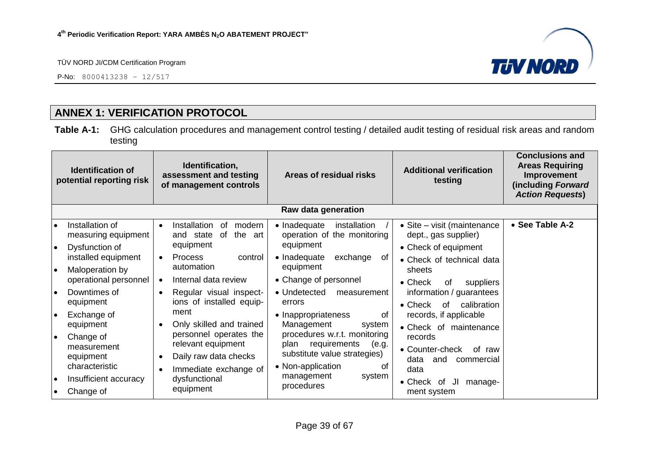P-No: 8000413238 – 12/517



### **ANNEX 1: VERIFICATION PROTOCOL**

**Table A-1:** GHG calculation procedures and management control testing / detailed audit testing of residual risk areas and random testing

<span id="page-38-0"></span>

| Identification,<br><b>Identification of</b><br>assessment and testing<br>potential reporting risk<br>of management controls |                                                                 | Areas of residual risks | <b>Additional verification</b><br>testing                                                      | <b>Conclusions and</b><br><b>Areas Requiring</b><br>Improvement<br>(including Forward<br><b>Action Requests)</b>         |                                                                             |                 |
|-----------------------------------------------------------------------------------------------------------------------------|-----------------------------------------------------------------|-------------------------|------------------------------------------------------------------------------------------------|--------------------------------------------------------------------------------------------------------------------------|-----------------------------------------------------------------------------|-----------------|
|                                                                                                                             |                                                                 |                         |                                                                                                | Raw data generation                                                                                                      |                                                                             |                 |
| I۰<br>I۰                                                                                                                    | Installation of<br>measuring equipment<br>Dysfunction of        | $\bullet$               | Installation<br>modern<br>0f<br>of<br>the<br>and state<br>art<br>equipment                     | • Inadequate<br>installation<br>operation of the monitoring<br>equipment                                                 | • Site – visit (maintenance<br>dept., gas supplier)<br>• Check of equipment | • See Table A-2 |
| ه ا                                                                                                                         | installed equipment<br>Maloperation by<br>operational personnel | $\bullet$<br>$\bullet$  | <b>Process</b><br>control<br>automation<br>Internal data review                                | • Inadequate<br>exchange<br>0f<br>equipment<br>• Change of personnel                                                     | • Check of technical data<br>sheets<br>$\bullet$ Check<br>0f<br>suppliers   |                 |
| I۰                                                                                                                          | Downtimes of<br>equipment                                       | $\bullet$               | Regular visual inspect-<br>ions of installed equip-                                            | • Undetected<br>measurement<br>errors                                                                                    | information / guarantees<br>calibration<br>$\bullet$ Check<br>of            |                 |
| I۰                                                                                                                          | Exchange of<br>equipment                                        |                         | ment<br>Only skilled and trained                                                               | • Inappropriateness<br>0f<br>Management<br>system                                                                        | records, if applicable<br>• Check of maintenance                            |                 |
| ∣∙                                                                                                                          | Change of<br>measurement<br>equipment<br>characteristic         |                         | personnel operates the<br>relevant equipment<br>Daily raw data checks<br>Immediate exchange of | procedures w.r.t. monitoring<br>requirements<br>plan<br>(e.g.<br>substitute value strategies)<br>• Non-application<br>Ωt | records<br>• Counter-check<br>of raw<br>data<br>and<br>commercial<br>data   |                 |
| ه ا<br>$\bullet$                                                                                                            | Insufficient accuracy<br>Change of                              |                         | dysfunctional<br>equipment                                                                     | management<br>system<br>procedures                                                                                       | • Check of<br>IJI<br>manage-<br>ment system                                 |                 |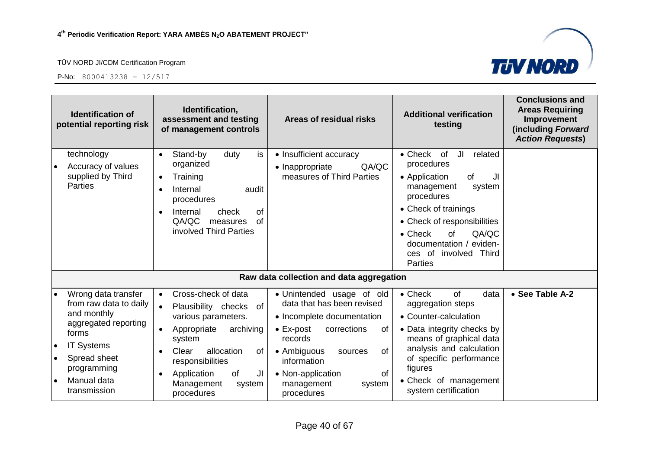

| <b>Identification of</b><br>potential reporting risk |                                                                                                                                                                                  | Identification,<br>assessment and testing<br>of management controls                                                                                                                                                                                    | Areas of residual risks                                                                                                                                                                                                                                           | <b>Additional verification</b><br>testing                                                                                                                                                                                                                                              | <b>Conclusions and</b><br><b>Areas Requiring</b><br>Improvement<br>(including Forward<br><b>Action Requests)</b> |
|------------------------------------------------------|----------------------------------------------------------------------------------------------------------------------------------------------------------------------------------|--------------------------------------------------------------------------------------------------------------------------------------------------------------------------------------------------------------------------------------------------------|-------------------------------------------------------------------------------------------------------------------------------------------------------------------------------------------------------------------------------------------------------------------|----------------------------------------------------------------------------------------------------------------------------------------------------------------------------------------------------------------------------------------------------------------------------------------|------------------------------------------------------------------------------------------------------------------|
| $\bullet$                                            | technology<br>Accuracy of values<br>supplied by Third<br><b>Parties</b>                                                                                                          | is<br>Stand-by<br>duty<br>$\bullet$<br>organized<br>Training<br>$\bullet$<br>Internal<br>audit<br>procedures<br>Internal<br>0f<br>check<br>QA/QC<br>of<br>measures<br>involved Third Parties                                                           | • Insufficient accuracy<br>QA/QC<br>• Inappropriate<br>measures of Third Parties                                                                                                                                                                                  | $\bullet$ Check<br>of<br>JI<br>related<br>procedures<br>• Application<br>of<br>JI<br>management<br>system<br>procedures<br>• Check of trainings<br>• Check of responsibilities<br>QA/QC<br>$\bullet$ Check<br>of<br>documentation / eviden-<br>ces of involved Third<br><b>Parties</b> |                                                                                                                  |
|                                                      |                                                                                                                                                                                  |                                                                                                                                                                                                                                                        | Raw data collection and data aggregation                                                                                                                                                                                                                          |                                                                                                                                                                                                                                                                                        |                                                                                                                  |
| $\bullet$<br>$\bullet$<br>$\bullet$<br>$\bullet$     | Wrong data transfer<br>from raw data to daily<br>and monthly<br>aggregated reporting<br>forms<br><b>IT Systems</b><br>Spread sheet<br>programming<br>Manual data<br>transmission | Cross-check of data<br>$\bullet$<br>Plausibility checks of<br>$\bullet$<br>various parameters.<br>archiving<br>Appropriate<br>system<br>Clear<br>allocation<br>0f<br>responsibilities<br>of<br>Application<br>JI<br>Management<br>system<br>procedures | • Unintended usage of old<br>data that has been revised<br>• Incomplete documentation<br>$\bullet$ Ex-post<br>corrections<br>of<br>records<br>• Ambiguous<br><b>of</b><br>sources<br>information<br>• Non-application<br>0f<br>management<br>system<br>procedures | of<br>data<br>$\bullet$ Check<br>aggregation steps<br>• Counter-calculation<br>• Data integrity checks by<br>means of graphical data<br>analysis and calculation<br>of specific performance<br>figures<br>• Check of management<br>system certification                                | • See Table A-2                                                                                                  |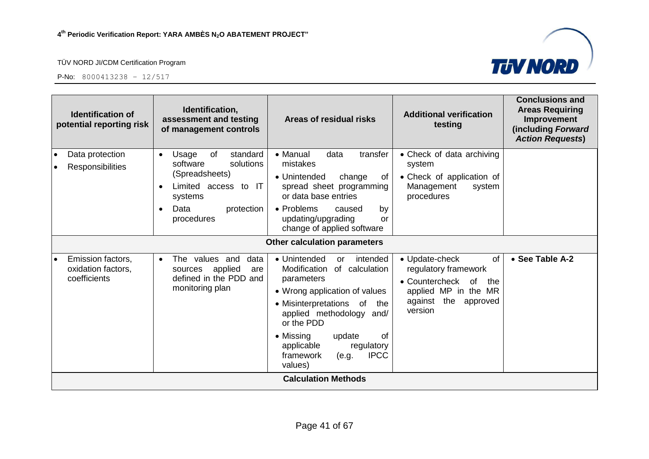

| <b>Identification of</b><br>potential reporting risk    | Identification,<br>assessment and testing<br>of management controls                                                                                    | Areas of residual risks                                                                                                                                                                                                                                                                                     | <b>Additional verification</b><br>testing                                                                                                 | <b>Conclusions and</b><br><b>Areas Requiring</b><br>Improvement<br>(including Forward<br><b>Action Requests)</b> |
|---------------------------------------------------------|--------------------------------------------------------------------------------------------------------------------------------------------------------|-------------------------------------------------------------------------------------------------------------------------------------------------------------------------------------------------------------------------------------------------------------------------------------------------------------|-------------------------------------------------------------------------------------------------------------------------------------------|------------------------------------------------------------------------------------------------------------------|
| Data protection<br>Responsibilities                     | of<br>Usage<br>standard<br>$\bullet$<br>software<br>solutions<br>(Spreadsheets)<br>Limited access to IT<br>systems<br>Data<br>protection<br>procedures | • Manual<br>data<br>transfer<br>mistakes<br>• Unintended<br>change<br>of<br>spread sheet programming<br>or data base entries<br>• Problems<br>caused<br>by<br>updating/upgrading<br>or<br>change of applied software                                                                                        | • Check of data archiving<br>system<br>• Check of application of<br>Management<br>system<br>procedures                                    |                                                                                                                  |
|                                                         |                                                                                                                                                        | Other calculation parameters                                                                                                                                                                                                                                                                                |                                                                                                                                           |                                                                                                                  |
| Emission factors,<br>oxidation factors,<br>coefficients | The values and<br>data<br>$\bullet$<br>applied<br>sources<br>are<br>defined in the PDD and<br>monitoring plan                                          | • Unintended<br>intended<br><b>or</b><br>Modification<br>of calculation<br>parameters<br>• Wrong application of values<br>• Misinterpretations of<br>the<br>applied methodology and/<br>or the PDD<br>• Missing<br>of<br>update<br>applicable<br>regulatory<br>framework<br><b>IPCC</b><br>(e.g.<br>values) | • Update-check<br>of<br>regulatory framework<br>• Countercheck of<br>the<br>applied MP in the MR<br>against<br>the<br>approved<br>version | • See Table A-2                                                                                                  |
|                                                         |                                                                                                                                                        | <b>Calculation Methods</b>                                                                                                                                                                                                                                                                                  |                                                                                                                                           |                                                                                                                  |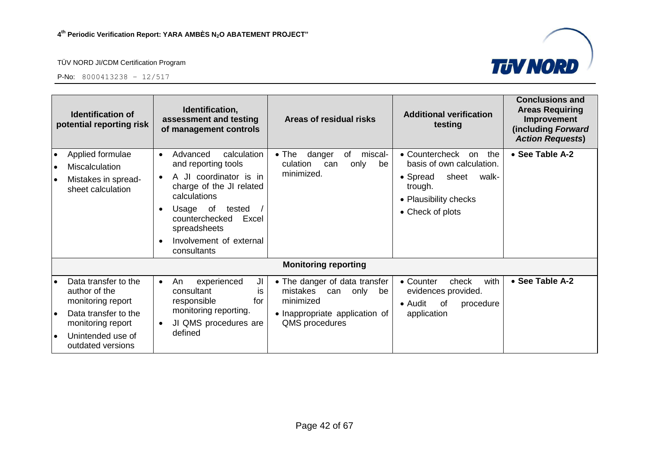

| <b>Identification of</b><br>potential reporting risk |                                                                                                                                                   | Identification,<br><b>Additional verification</b><br>Areas of residual risks<br>assessment and testing<br>testing<br>of management controls                                                                                                                                                                                                                                                                                                                                            | <b>Conclusions and</b><br><b>Areas Requiring</b><br>Improvement<br>(including Forward<br><b>Action Requests)</b> |
|------------------------------------------------------|---------------------------------------------------------------------------------------------------------------------------------------------------|----------------------------------------------------------------------------------------------------------------------------------------------------------------------------------------------------------------------------------------------------------------------------------------------------------------------------------------------------------------------------------------------------------------------------------------------------------------------------------------|------------------------------------------------------------------------------------------------------------------|
| $\bullet$<br>$\bullet$<br>$\bullet$                  | Applied formulae<br><b>Miscalculation</b><br>Mistakes in spread-<br>sheet calculation                                                             | • Countercheck<br>Advanced<br>calculation<br>$\bullet$ The<br>danger<br>miscal-<br>of<br>the<br>on<br>$\bullet$<br>basis of own calculation.<br>and reporting tools<br>culation<br>only<br>be<br>can<br>minimized.<br>A JI coordinator is in<br>sheet<br>• Spread<br>walk-<br>charge of the JI related<br>trough.<br>calculations<br>• Plausibility checks<br>Usage of tested<br>• Check of plots<br>counterchecked<br>Excel<br>spreadsheets<br>Involvement of external<br>consultants | • See Table A-2                                                                                                  |
|                                                      |                                                                                                                                                   | <b>Monitoring reporting</b>                                                                                                                                                                                                                                                                                                                                                                                                                                                            |                                                                                                                  |
| $\bullet$<br>$\bullet$<br>$\bullet$                  | Data transfer to the<br>author of the<br>monitoring report<br>Data transfer to the<br>monitoring report<br>Unintended use of<br>outdated versions | • The danger of data transfer<br>• Counter<br>with<br>check<br>experienced<br>JI<br>An<br>$\bullet$<br>consultant<br>mistakes<br>only<br>evidences provided.<br>be<br>can<br>İS<br>responsible<br>minimized<br>for<br>• Audit<br>0f<br>procedure<br>monitoring reporting.<br>• Inappropriate application of<br>application<br>JI QMS procedures are<br>QMS procedures<br>٠<br>defined                                                                                                  | • See Table A-2                                                                                                  |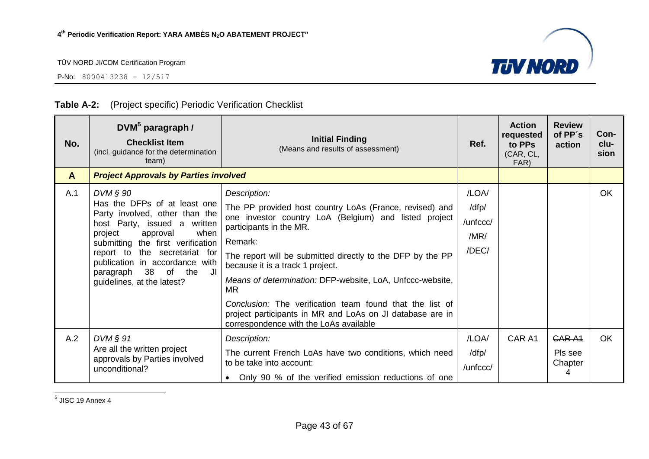**TUV NORD** 

P-No: 8000413238 – 12/517

| No.          | DVM <sup>5</sup> paragraph /<br><b>Checklist Item</b><br>(incl. guidance for the determination<br>team)                                                                                                                                                                                                               | <b>Initial Finding</b><br>(Means and results of assessment)                                                                                                                                                                                                                                                                                                                                                                                                                                                     | Ref.                                        | <b>Action</b><br>requested<br>to PPs<br>(CAR, CL,<br>FAR) | <b>Review</b><br>of PP's<br>action           | Con-<br>clu-<br>sion |
|--------------|-----------------------------------------------------------------------------------------------------------------------------------------------------------------------------------------------------------------------------------------------------------------------------------------------------------------------|-----------------------------------------------------------------------------------------------------------------------------------------------------------------------------------------------------------------------------------------------------------------------------------------------------------------------------------------------------------------------------------------------------------------------------------------------------------------------------------------------------------------|---------------------------------------------|-----------------------------------------------------------|----------------------------------------------|----------------------|
| $\mathbf{A}$ | <b>Project Approvals by Parties involved</b>                                                                                                                                                                                                                                                                          |                                                                                                                                                                                                                                                                                                                                                                                                                                                                                                                 |                                             |                                                           |                                              |                      |
| A.1          | $DVM \S 90$<br>Has the DFPs of at least one<br>Party involved, other than the<br>host Party, issued a written<br>project<br>approval<br>when<br>submitting the first verification<br>report to the secretariat for<br>publication in accordance with<br>JI<br>paragraph<br>38<br>of the<br>guidelines, at the latest? | Description:<br>The PP provided host country LoAs (France, revised) and<br>one investor country LoA (Belgium) and listed project<br>participants in the MR.<br>Remark:<br>The report will be submitted directly to the DFP by the PP<br>because it is a track 1 project.<br>Means of determination: DFP-website, LoA, Unfccc-website,<br>MR.<br>Conclusion: The verification team found that the list of<br>project participants in MR and LoAs on JI database are in<br>correspondence with the LoAs available | /LOA/<br>/dfp/<br>/unfccc/<br>/MR/<br>/DEC/ |                                                           |                                              | OK                   |
| A.2          | $DVM \S 91$<br>Are all the written project<br>approvals by Parties involved<br>unconditional?                                                                                                                                                                                                                         | Description:<br>The current French LoAs have two conditions, which need<br>to be take into account:<br>Only 90 % of the verified emission reductions of one<br>$\bullet$                                                                                                                                                                                                                                                                                                                                        | /LOA/<br>/dfp/<br>/unfccc/                  | CAR A1                                                    | GAR <sub>A1</sub><br>Pls see<br>Chapter<br>4 | OK.                  |

#### **Table A-2:** (Project specific) Periodic Verification Checklist

<u>5</u><br><sup>5</sup> JISC 19 Annex 4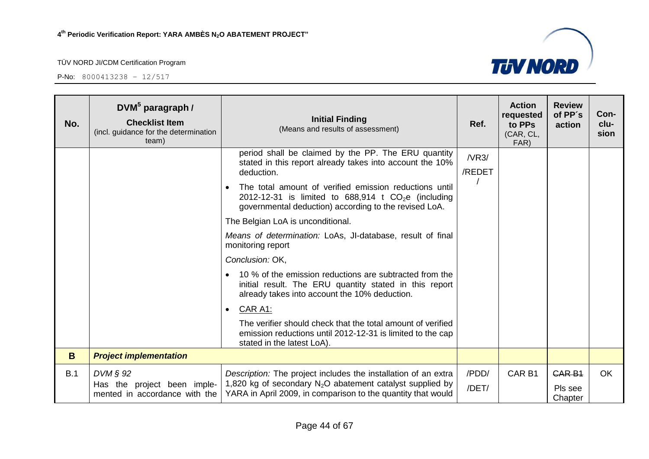

| No. | DVM <sup>5</sup> paragraph /<br><b>Checklist Item</b><br>(incl. guidance for the determination<br>team) | <b>Initial Finding</b><br>(Means and results of assessment)                                                                                                                                       | Ref.           | <b>Action</b><br>requested<br>to PPs<br>(CAR, CL,<br>FAR) | <b>Review</b><br>of PP's<br>action  | Con-<br>clu-<br>sion |
|-----|---------------------------------------------------------------------------------------------------------|---------------------------------------------------------------------------------------------------------------------------------------------------------------------------------------------------|----------------|-----------------------------------------------------------|-------------------------------------|----------------------|
|     |                                                                                                         | period shall be claimed by the PP. The ERU quantity<br>stated in this report already takes into account the 10%<br>deduction.                                                                     | NRS/<br>/REDET |                                                           |                                     |                      |
|     |                                                                                                         | The total amount of verified emission reductions until<br>$\bullet$<br>2012-12-31 is limited to $688,914$ t CO <sub>2</sub> e (including<br>governmental deduction) according to the revised LoA. |                |                                                           |                                     |                      |
|     |                                                                                                         | The Belgian LoA is unconditional.                                                                                                                                                                 |                |                                                           |                                     |                      |
|     |                                                                                                         | Means of determination: LoAs, JI-database, result of final<br>monitoring report                                                                                                                   |                |                                                           |                                     |                      |
|     |                                                                                                         | Conclusion: OK,                                                                                                                                                                                   |                |                                                           |                                     |                      |
|     |                                                                                                         | 10 % of the emission reductions are subtracted from the<br>initial result. The ERU quantity stated in this report<br>already takes into account the 10% deduction.                                |                |                                                           |                                     |                      |
|     |                                                                                                         | CAR A1:<br>$\bullet$                                                                                                                                                                              |                |                                                           |                                     |                      |
|     |                                                                                                         | The verifier should check that the total amount of verified<br>emission reductions until 2012-12-31 is limited to the cap<br>stated in the latest LoA).                                           |                |                                                           |                                     |                      |
| B   | <b>Project implementation</b>                                                                           |                                                                                                                                                                                                   |                |                                                           |                                     |                      |
| B.1 | $DVM \S 92$<br>Has the project been imple-<br>mented in accordance with the                             | Description: The project includes the installation of an extra<br>1,820 kg of secondary $N_2O$ abatement catalyst supplied by<br>YARA in April 2009, in comparison to the quantity that would     | /PDD/<br>/DET/ | CAR <sub>B1</sub>                                         | <b>CAR B1</b><br>Pls see<br>Chapter | <b>OK</b>            |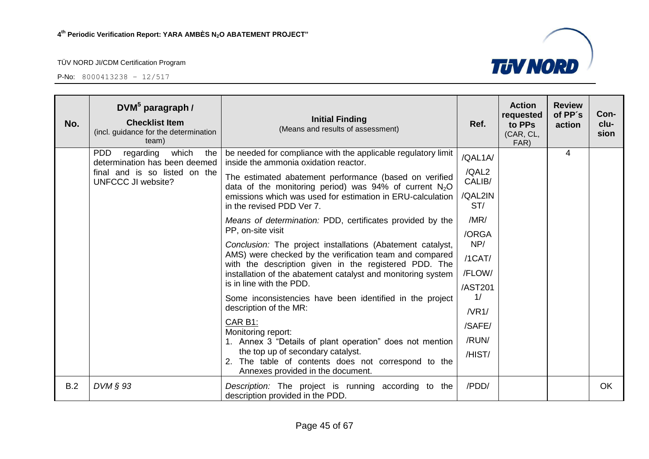| No. | DVM <sup>5</sup> paragraph /<br><b>Checklist Item</b><br>(incl. guidance for the determination<br>team)                         | <b>Initial Finding</b><br>(Means and results of assessment)                                                                                                                                                                                                                | Ref.                | <b>Action</b><br>requested<br>to PPs<br>(CAR, CL,<br>FAR) | <b>Review</b><br>of PP's<br>action | Con-<br>clu-<br>sion |
|-----|---------------------------------------------------------------------------------------------------------------------------------|----------------------------------------------------------------------------------------------------------------------------------------------------------------------------------------------------------------------------------------------------------------------------|---------------------|-----------------------------------------------------------|------------------------------------|----------------------|
|     | <b>PDD</b><br>regarding<br>which<br>the<br>determination has been deemed<br>final and is so listed on the<br>UNFCCC JI website? | be needed for compliance with the applicable regulatory limit<br>inside the ammonia oxidation reactor.                                                                                                                                                                     | /QAL1A/             |                                                           | 4                                  |                      |
|     |                                                                                                                                 | The estimated abatement performance (based on verified<br>data of the monitoring period) was 94% of current $N_2O$                                                                                                                                                         | /QAL2<br>CALIB/     |                                                           |                                    |                      |
|     |                                                                                                                                 | emissions which was used for estimation in ERU-calculation<br>in the revised PDD Ver 7.                                                                                                                                                                                    | /QAL2IN<br>ST/      |                                                           |                                    |                      |
|     |                                                                                                                                 | Means of determination: PDD, certificates provided by the                                                                                                                                                                                                                  | /MR/                |                                                           |                                    |                      |
|     |                                                                                                                                 | PP, on-site visit                                                                                                                                                                                                                                                          | /ORGA               |                                                           |                                    |                      |
|     |                                                                                                                                 | Conclusion: The project installations (Abatement catalyst,<br>AMS) were checked by the verification team and compared<br>with the description given in the registered PDD. The<br>installation of the abatement catalyst and monitoring system<br>is in line with the PDD. | NP/<br>$/1$ CAT $/$ |                                                           |                                    |                      |
|     |                                                                                                                                 |                                                                                                                                                                                                                                                                            | /FLOW/              |                                                           |                                    |                      |
|     |                                                                                                                                 |                                                                                                                                                                                                                                                                            | /AST201             |                                                           |                                    |                      |
|     |                                                                                                                                 | Some inconsistencies have been identified in the project                                                                                                                                                                                                                   | 1/                  |                                                           |                                    |                      |
|     |                                                                                                                                 | description of the MR:                                                                                                                                                                                                                                                     | /NR1/               |                                                           |                                    |                      |
|     |                                                                                                                                 | CAR B1:<br>Monitoring report:                                                                                                                                                                                                                                              | /SAFE/              |                                                           |                                    |                      |
|     |                                                                                                                                 | 1. Annex 3 "Details of plant operation" does not mention                                                                                                                                                                                                                   | /RUN/               |                                                           |                                    |                      |
|     |                                                                                                                                 | the top up of secondary catalyst.<br>2. The table of contents does not correspond to the<br>Annexes provided in the document.                                                                                                                                              | /HIST/              |                                                           |                                    |                      |
| B.2 | DVM § 93                                                                                                                        | Description: The project is running according to the<br>description provided in the PDD.                                                                                                                                                                                   | /PDD/               |                                                           |                                    | <b>OK</b>            |

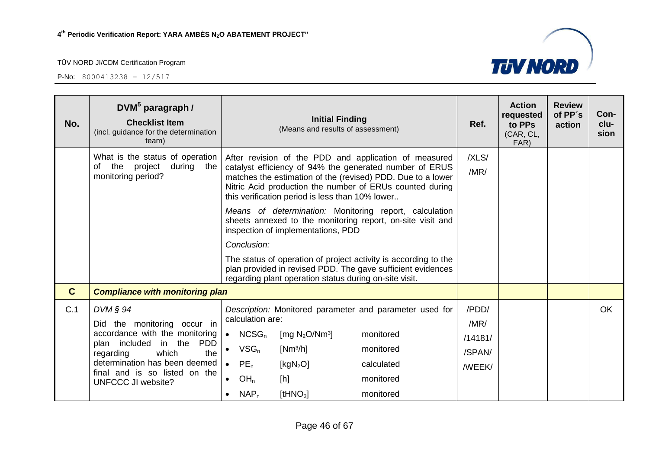

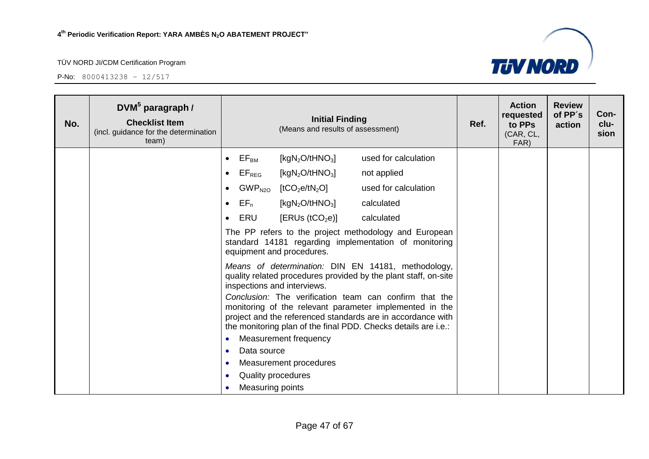

| No. | $DWM^5$ paragraph /<br><b>Checklist Item</b><br>(incl. guidance for the determination<br>team) |           |                              | <b>Initial Finding</b><br>(Means and results of assessment) |                                                                                                                                                                                                                                                    | Ref. | <b>Action</b><br>requested<br>to PPs<br>(CAR, CL,<br>FAR) | <b>Review</b><br>of PP's<br>action | Con-<br>clu-<br>sion |
|-----|------------------------------------------------------------------------------------------------|-----------|------------------------------|-------------------------------------------------------------|----------------------------------------------------------------------------------------------------------------------------------------------------------------------------------------------------------------------------------------------------|------|-----------------------------------------------------------|------------------------------------|----------------------|
|     |                                                                                                | $\bullet$ | $\mathsf{EF}_\mathsf{BM}$    | [kgN <sub>2</sub> O/tHNO <sub>3</sub> ]                     | used for calculation                                                                                                                                                                                                                               |      |                                                           |                                    |                      |
|     |                                                                                                | $\bullet$ | $\mathsf{EF}_{\mathsf{REG}}$ | [kgN <sub>2</sub> O/tHNO <sub>3</sub> ]                     | not applied                                                                                                                                                                                                                                        |      |                                                           |                                    |                      |
|     |                                                                                                | $\bullet$ |                              | $GWP_{N2O}$ [tCO <sub>2</sub> e/tN <sub>2</sub> O]          | used for calculation                                                                                                                                                                                                                               |      |                                                           |                                    |                      |
|     |                                                                                                | $\bullet$ | $EF_n$                       | [kgN <sub>2</sub> O/tHNO <sub>3</sub> ]                     | calculated                                                                                                                                                                                                                                         |      |                                                           |                                    |                      |
|     |                                                                                                | $\bullet$ | ERU                          | [ERUs (tCO <sub>2</sub> e)]                                 | calculated                                                                                                                                                                                                                                         |      |                                                           |                                    |                      |
|     |                                                                                                |           |                              | equipment and procedures.                                   | The PP refers to the project methodology and European<br>standard 14181 regarding implementation of monitoring                                                                                                                                     |      |                                                           |                                    |                      |
|     |                                                                                                |           |                              | inspections and interviews.                                 | Means of determination: DIN EN 14181, methodology,<br>quality related procedures provided by the plant staff, on-site                                                                                                                              |      |                                                           |                                    |                      |
|     |                                                                                                |           |                              |                                                             | Conclusion: The verification team can confirm that the<br>monitoring of the relevant parameter implemented in the<br>project and the referenced standards are in accordance with<br>the monitoring plan of the final PDD. Checks details are i.e.: |      |                                                           |                                    |                      |
|     |                                                                                                | $\bullet$ |                              | Measurement frequency                                       |                                                                                                                                                                                                                                                    |      |                                                           |                                    |                      |
|     |                                                                                                | $\bullet$ | Data source                  |                                                             |                                                                                                                                                                                                                                                    |      |                                                           |                                    |                      |
|     |                                                                                                | $\bullet$ |                              | Measurement procedures                                      |                                                                                                                                                                                                                                                    |      |                                                           |                                    |                      |
|     |                                                                                                | ۰         | <b>Quality procedures</b>    |                                                             |                                                                                                                                                                                                                                                    |      |                                                           |                                    |                      |
|     |                                                                                                | ٠         | Measuring points             |                                                             |                                                                                                                                                                                                                                                    |      |                                                           |                                    |                      |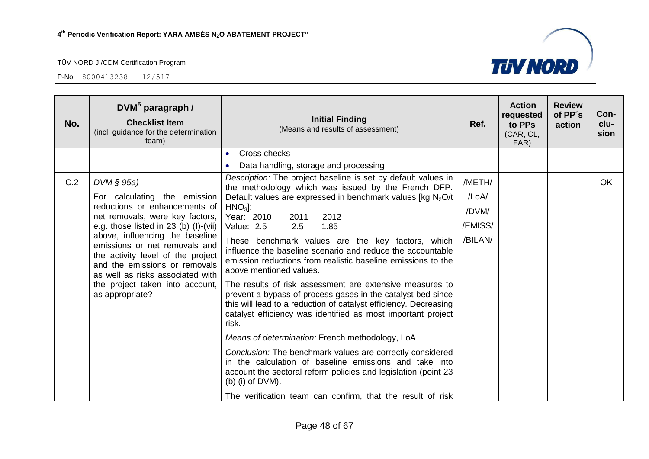| No. | DVM <sup>5</sup> paragraph /<br><b>Checklist Item</b><br>(incl. guidance for the determination<br>team)                                                                                                                                                                                                        | <b>Initial Finding</b><br>(Means and results of assessment)                                                                                                                                                                                                          | Ref.    | <b>Action</b><br>requested<br>to PPs<br>(CAR, CL,<br>FAR) | <b>Review</b><br>of PP's<br>action | Con-<br>clu-<br>sion |
|-----|----------------------------------------------------------------------------------------------------------------------------------------------------------------------------------------------------------------------------------------------------------------------------------------------------------------|----------------------------------------------------------------------------------------------------------------------------------------------------------------------------------------------------------------------------------------------------------------------|---------|-----------------------------------------------------------|------------------------------------|----------------------|
|     |                                                                                                                                                                                                                                                                                                                | Cross checks<br>$\bullet$                                                                                                                                                                                                                                            |         |                                                           |                                    |                      |
|     |                                                                                                                                                                                                                                                                                                                | Data handling, storage and processing                                                                                                                                                                                                                                |         |                                                           |                                    |                      |
| C.2 | $DVM \S 95a$                                                                                                                                                                                                                                                                                                   | Description: The project baseline is set by default values in<br>the methodology which was issued by the French DFP.                                                                                                                                                 | /METH/  |                                                           |                                    | OK.                  |
|     | For calculating the emission                                                                                                                                                                                                                                                                                   | Default values are expressed in benchmark values [kg N <sub>2</sub> O/t                                                                                                                                                                                              | /LoA/   |                                                           |                                    |                      |
|     | reductions or enhancements of                                                                                                                                                                                                                                                                                  | $HNO3$ :<br>Year: 2010<br>2012<br>2011                                                                                                                                                                                                                               | /DVM/   |                                                           |                                    |                      |
|     | net removals, were key factors,<br>e.g. those listed in $23$ (b) (I)-(vii)<br>above, influencing the baseline<br>emissions or net removals and<br>the activity level of the project<br>and the emissions or removals<br>as well as risks associated with<br>the project taken into account,<br>as appropriate? | Value: 2.5<br>2.5<br>1.85                                                                                                                                                                                                                                            | /EMISS/ |                                                           |                                    |                      |
|     |                                                                                                                                                                                                                                                                                                                | These benchmark values are the key factors, which<br>influence the baseline scenario and reduce the accountable<br>emission reductions from realistic baseline emissions to the<br>above mentioned values.                                                           | /BILAN/ |                                                           |                                    |                      |
|     |                                                                                                                                                                                                                                                                                                                | The results of risk assessment are extensive measures to<br>prevent a bypass of process gases in the catalyst bed since<br>this will lead to a reduction of catalyst efficiency. Decreasing<br>catalyst efficiency was identified as most important project<br>risk. |         |                                                           |                                    |                      |
|     |                                                                                                                                                                                                                                                                                                                | Means of determination: French methodology, LoA                                                                                                                                                                                                                      |         |                                                           |                                    |                      |
|     |                                                                                                                                                                                                                                                                                                                | Conclusion: The benchmark values are correctly considered<br>in the calculation of baseline emissions and take into<br>account the sectoral reform policies and legislation (point 23<br>$(b)$ (i) of DVM).                                                          |         |                                                           |                                    |                      |
|     |                                                                                                                                                                                                                                                                                                                | The verification team can confirm, that the result of risk                                                                                                                                                                                                           |         |                                                           |                                    |                      |

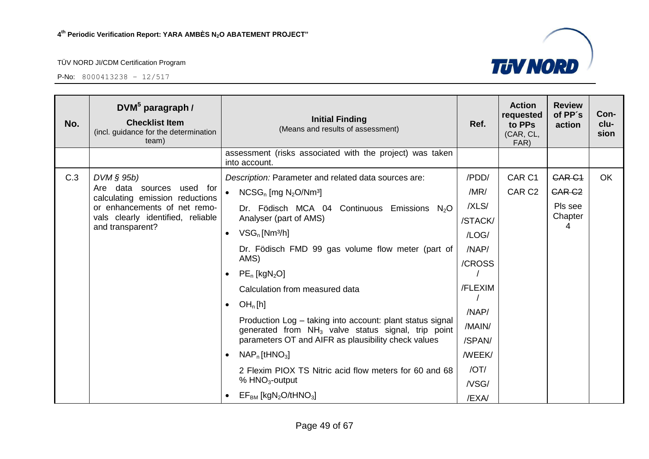| No. | DVM <sup>5</sup> paragraph /<br><b>Checklist Item</b><br>(incl. guidance for the determination<br>team) | <b>Initial Finding</b><br>(Means and results of assessment)                                                                 | Ref.    | <b>Action</b><br>requested<br>to PPs<br>(CAR, CL,<br>FAR) | <b>Review</b><br>of PP's<br>action | Con-<br>clu-<br>sion |
|-----|---------------------------------------------------------------------------------------------------------|-----------------------------------------------------------------------------------------------------------------------------|---------|-----------------------------------------------------------|------------------------------------|----------------------|
|     |                                                                                                         | assessment (risks associated with the project) was taken<br>into account.                                                   |         |                                                           |                                    |                      |
| C.3 | DVM § 95b)                                                                                              | Description: Parameter and related data sources are:                                                                        | /PDD/   | CAR <sub>C1</sub>                                         | <b>CAR C1</b>                      | OK.                  |
|     | Are data sources<br>used for<br>calculating emission reductions                                         | $\bullet$<br>$NCSG_n$ [mg N <sub>2</sub> O/Nm <sup>3</sup> ]                                                                | /MR/    | CAR <sub>C2</sub>                                         | <b>CAR C2</b>                      |                      |
|     | or enhancements of net remo-                                                                            | Dr. Födisch MCA 04 Continuous Emissions N <sub>2</sub> O                                                                    | /XLS/   |                                                           | Pls see                            |                      |
|     | vals clearly identified, reliable<br>and transparent?                                                   | Analyser (part of AMS)                                                                                                      | /STACK/ |                                                           | Chapter<br>4                       |                      |
|     |                                                                                                         | $VSG_n$ [Nm <sup>3</sup> /h]                                                                                                | /LOG/   |                                                           |                                    |                      |
|     |                                                                                                         | Dr. Födisch FMD 99 gas volume flow meter (part of<br>AMS)                                                                   | /NAP/   |                                                           |                                    |                      |
|     |                                                                                                         |                                                                                                                             | /CROSS  |                                                           |                                    |                      |
|     |                                                                                                         | $PE_n$ [kgN <sub>2</sub> O]                                                                                                 |         |                                                           |                                    |                      |
|     |                                                                                                         | Calculation from measured data                                                                                              | /FLEXIM |                                                           |                                    |                      |
|     |                                                                                                         | OH <sub>n</sub> [h]<br>$\bullet$                                                                                            | /NAP/   |                                                           |                                    |                      |
|     |                                                                                                         | Production Log - taking into account: plant status signal<br>generated from NH <sub>3</sub> valve status signal, trip point | /MAIN/  |                                                           |                                    |                      |
|     |                                                                                                         | parameters OT and AIFR as plausibility check values                                                                         | /SPAN/  |                                                           |                                    |                      |
|     |                                                                                                         | $NAPn$ [tHNO <sub>3</sub> ]                                                                                                 | /WEEK/  |                                                           |                                    |                      |
|     |                                                                                                         | 2 Flexim PIOX TS Nitric acid flow meters for 60 and 68                                                                      | /OT/    |                                                           |                                    |                      |
|     |                                                                                                         | % $HNO3$ -output                                                                                                            | /VSG/   |                                                           |                                    |                      |
|     |                                                                                                         | $EF_{BM}$ [kgN <sub>2</sub> O/tHNO <sub>3</sub> ]                                                                           | /EXA/   |                                                           |                                    |                      |

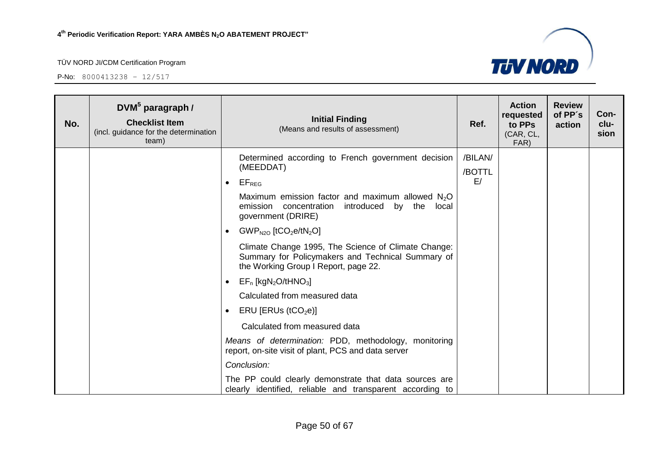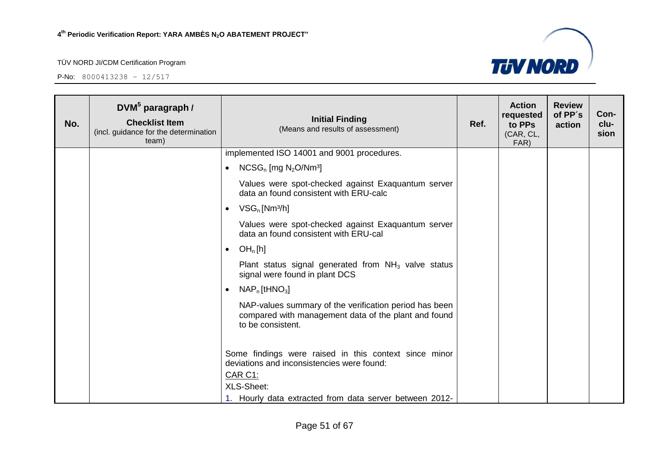

| No. | $DWM^5$ paragraph /<br><b>Checklist Item</b><br>(incl. guidance for the determination<br>team) | <b>Initial Finding</b><br>(Means and results of assessment)                                                                         | Ref. | <b>Action</b><br>requested<br>to PPs<br>(CAR, CL,<br>FAR) | <b>Review</b><br>of PP's<br>action | Con-<br>clu-<br>sion |
|-----|------------------------------------------------------------------------------------------------|-------------------------------------------------------------------------------------------------------------------------------------|------|-----------------------------------------------------------|------------------------------------|----------------------|
|     |                                                                                                | implemented ISO 14001 and 9001 procedures.                                                                                          |      |                                                           |                                    |                      |
|     |                                                                                                | $NCSG_n$ [mg N <sub>2</sub> O/Nm <sup>3</sup> ]<br>$\bullet$                                                                        |      |                                                           |                                    |                      |
|     |                                                                                                | Values were spot-checked against Exaquantum server<br>data an found consistent with ERU-calc                                        |      |                                                           |                                    |                      |
|     |                                                                                                | $VSG_n$ [Nm <sup>3</sup> /h]<br>$\bullet$                                                                                           |      |                                                           |                                    |                      |
|     |                                                                                                | Values were spot-checked against Exaquantum server<br>data an found consistent with ERU-cal                                         |      |                                                           |                                    |                      |
|     |                                                                                                | OH <sub>n</sub> [h]<br>$\bullet$                                                                                                    |      |                                                           |                                    |                      |
|     |                                                                                                | Plant status signal generated from $NH3$ valve status<br>signal were found in plant DCS                                             |      |                                                           |                                    |                      |
|     |                                                                                                | $NAP_n$ [tHNO <sub>3</sub> ]<br>$\bullet$                                                                                           |      |                                                           |                                    |                      |
|     |                                                                                                | NAP-values summary of the verification period has been<br>compared with management data of the plant and found<br>to be consistent. |      |                                                           |                                    |                      |
|     |                                                                                                | Some findings were raised in this context since minor<br>deviations and inconsistencies were found:                                 |      |                                                           |                                    |                      |
|     |                                                                                                | CAR C1:                                                                                                                             |      |                                                           |                                    |                      |
|     |                                                                                                | XLS-Sheet:                                                                                                                          |      |                                                           |                                    |                      |
|     |                                                                                                | 1. Hourly data extracted from data server between 2012-                                                                             |      |                                                           |                                    |                      |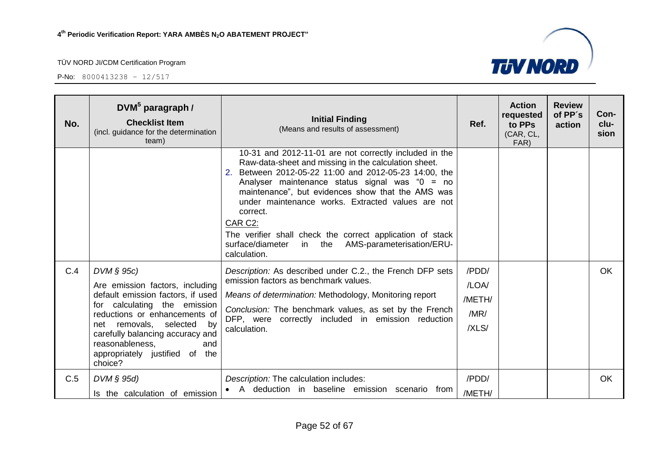

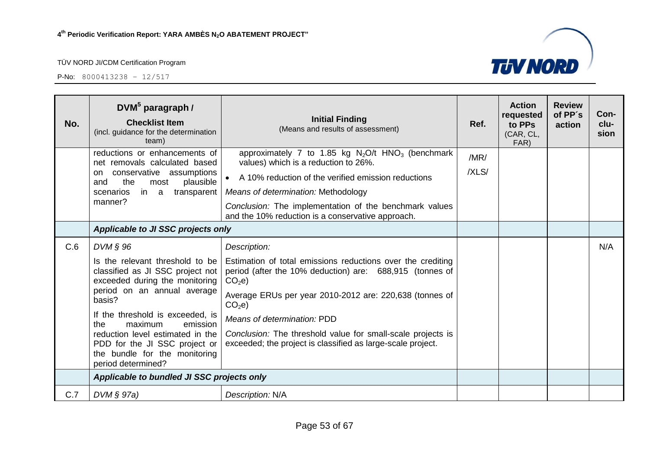

| No. | DVM <sup>5</sup> paragraph /<br><b>Checklist Item</b><br>(incl. guidance for the determination<br>team)                                                                                                                                                                                                                                                  | <b>Initial Finding</b><br>(Means and results of assessment)                                                                                                                                                                                                                                                                                                                                               | Ref.          | <b>Action</b><br>requested<br>to PPs<br>(CAR, CL,<br>FAR) | <b>Review</b><br>of PP's<br>action | Con-<br>clu-<br>sion |
|-----|----------------------------------------------------------------------------------------------------------------------------------------------------------------------------------------------------------------------------------------------------------------------------------------------------------------------------------------------------------|-----------------------------------------------------------------------------------------------------------------------------------------------------------------------------------------------------------------------------------------------------------------------------------------------------------------------------------------------------------------------------------------------------------|---------------|-----------------------------------------------------------|------------------------------------|----------------------|
|     | reductions or enhancements of<br>net removals calculated based<br>conservative assumptions<br>on<br>the<br>plausible<br>and<br>most<br>scenarios<br>in a<br>transparent<br>manner?                                                                                                                                                                       | approximately 7 to 1.85 kg $N_2O/t$ HNO <sub>3</sub> (benchmark<br>values) which is a reduction to 26%.<br>A 10% reduction of the verified emission reductions<br>Means of determination: Methodology<br>Conclusion: The implementation of the benchmark values<br>and the 10% reduction is a conservative approach.                                                                                      | /MR/<br>/XLS/ |                                                           |                                    |                      |
|     |                                                                                                                                                                                                                                                                                                                                                          | Applicable to JI SSC projects only                                                                                                                                                                                                                                                                                                                                                                        |               |                                                           |                                    |                      |
| C.6 | DVM § 96<br>Is the relevant threshold to be<br>classified as JI SSC project not<br>exceeded during the monitoring<br>period on an annual average<br>basis?<br>If the threshold is exceeded, is<br>the<br>maximum<br>emission<br>reduction level estimated in the<br>PDD for the JI SSC project or<br>the bundle for the monitoring<br>period determined? | Description:<br>Estimation of total emissions reductions over the crediting<br>period (after the 10% deduction) are: 688,915 (tonnes of<br>CO <sub>2</sub> e<br>Average ERUs per year 2010-2012 are: 220,638 (tonnes of<br>CO <sub>2</sub> e<br>Means of determination: PDD<br>Conclusion: The threshold value for small-scale projects is<br>exceeded; the project is classified as large-scale project. |               |                                                           |                                    | N/A                  |
|     | Applicable to bundled JI SSC projects only                                                                                                                                                                                                                                                                                                               |                                                                                                                                                                                                                                                                                                                                                                                                           |               |                                                           |                                    |                      |
| C.7 | $DVM \S 97a)$                                                                                                                                                                                                                                                                                                                                            | Description: N/A                                                                                                                                                                                                                                                                                                                                                                                          |               |                                                           |                                    |                      |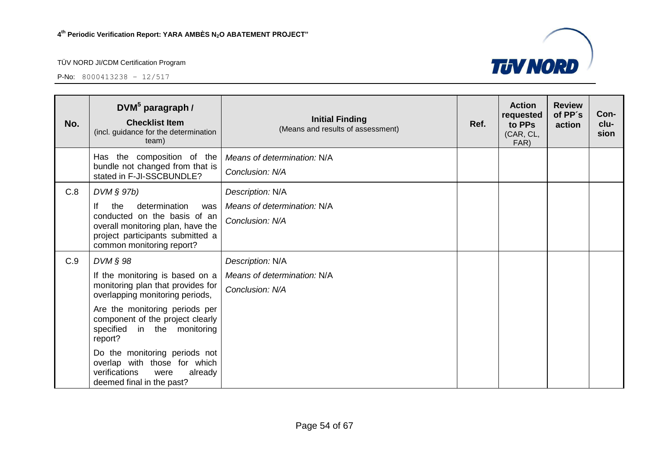P-No: 8000413238 – 12/517



| No. | $DWM^5$ paragraph /<br><b>Checklist Item</b><br>(incl. guidance for the determination<br>team)                                                                                                                                                                                                                                                                           | <b>Initial Finding</b><br>(Means and results of assessment)        | Ref. | <b>Action</b><br>requested<br>to PPs<br>(CAR, CL,<br>FAR) | <b>Review</b><br>of PP's<br>action | Con-<br>clu-<br>sion |
|-----|--------------------------------------------------------------------------------------------------------------------------------------------------------------------------------------------------------------------------------------------------------------------------------------------------------------------------------------------------------------------------|--------------------------------------------------------------------|------|-----------------------------------------------------------|------------------------------------|----------------------|
|     | Has the composition of the<br>bundle not changed from that is<br>stated in F-JI-SSCBUNDLE?                                                                                                                                                                                                                                                                               | Means of determination: N/A<br>Conclusion: N/A                     |      |                                                           |                                    |                      |
| C.8 | $DVM \S 97b$<br>the<br>determination<br><b>If</b><br>was<br>conducted on the basis of an<br>overall monitoring plan, have the<br>project participants submitted a<br>common monitoring report?                                                                                                                                                                           | Description: N/A<br>Means of determination: N/A<br>Conclusion: N/A |      |                                                           |                                    |                      |
| C.9 | DVM § 98<br>If the monitoring is based on a<br>monitoring plan that provides for<br>overlapping monitoring periods,<br>Are the monitoring periods per<br>component of the project clearly<br>specified<br>in the monitoring<br>report?<br>Do the monitoring periods not<br>overlap with those for which<br>verifications<br>already<br>were<br>deemed final in the past? | Description: N/A<br>Means of determination: N/A<br>Conclusion: N/A |      |                                                           |                                    |                      |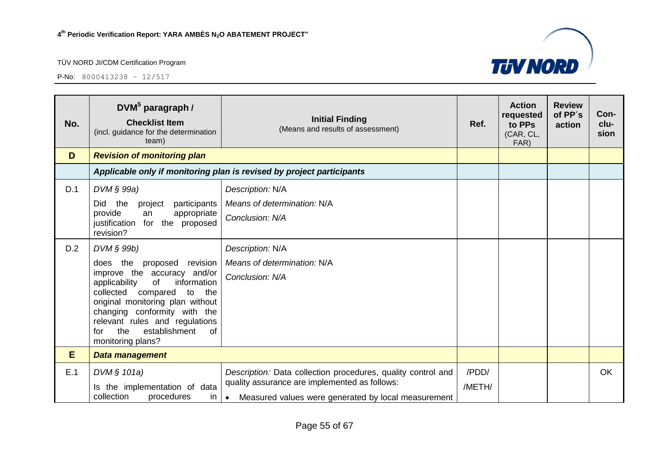

| No.        | $DWM5$ paragraph /<br><b>Checklist Item</b><br>(incl. guidance for the determination<br>team)                                                                                                                                                                                                               | <b>Initial Finding</b><br>(Means and results of assessment)                                                                                                                       | Ref.            | <b>Action</b><br>requested<br>to PPs<br>(CAR, CL,<br>FAR) | <b>Review</b><br>of PP's<br>action | Con-<br>clu-<br>sion |
|------------|-------------------------------------------------------------------------------------------------------------------------------------------------------------------------------------------------------------------------------------------------------------------------------------------------------------|-----------------------------------------------------------------------------------------------------------------------------------------------------------------------------------|-----------------|-----------------------------------------------------------|------------------------------------|----------------------|
| D          | <b>Revision of monitoring plan</b>                                                                                                                                                                                                                                                                          |                                                                                                                                                                                   |                 |                                                           |                                    |                      |
|            | Applicable only if monitoring plan is revised by project participants                                                                                                                                                                                                                                       |                                                                                                                                                                                   |                 |                                                           |                                    |                      |
| D.1<br>D.2 | $DVM \S 99a)$<br>Did<br>the<br>project<br>participants<br>provide<br>appropriate<br>an<br>justification<br>for the proposed<br>revision?<br>$DVM$ $\S$ 99b)                                                                                                                                                 | Description: N/A<br>Means of determination: N/A<br>Conclusion: N/A<br>Description: N/A                                                                                            |                 |                                                           |                                    |                      |
|            | does the<br>revision<br>proposed<br>improve the accuracy and/or<br>of<br>applicability<br>information<br>collected<br>compared<br>to<br>the<br>original monitoring plan without<br>changing conformity with the<br>relevant rules and regulations<br>the<br>establishment<br>0f<br>for<br>monitoring plans? | Means of determination: N/A<br>Conclusion: N/A                                                                                                                                    |                 |                                                           |                                    |                      |
| E          | Data management                                                                                                                                                                                                                                                                                             |                                                                                                                                                                                   |                 |                                                           |                                    |                      |
| E.1        | DVM § 101a)<br>Is the implementation of data<br>collection<br>procedures<br>$\mathsf{in}$                                                                                                                                                                                                                   | Description: Data collection procedures, quality control and<br>quality assurance are implemented as follows:<br>Measured values were generated by local measurement<br>$\bullet$ | /PDD/<br>/METH/ |                                                           |                                    | <b>OK</b>            |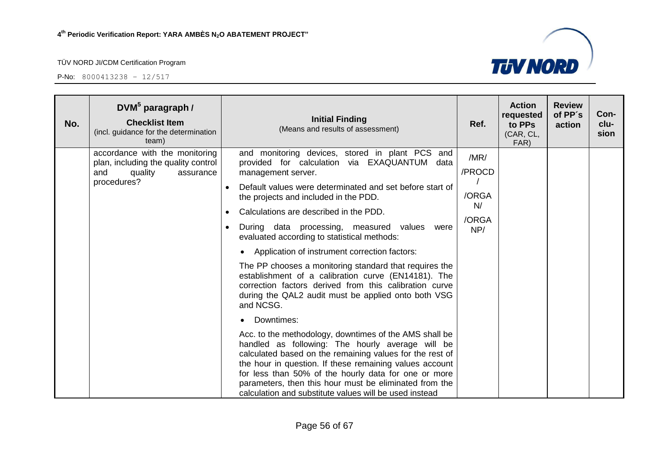

| No. | $DWM^5$ paragraph /<br><b>Checklist Item</b><br>(incl. guidance for the determination<br>team)                      | <b>Initial Finding</b><br>(Means and results of assessment)                                                                                                                                                                                                                                                                                                                                                                                                                                                                                                                                                                                                                                                                                                                                                                                                                                                                                                                                                                                                                                                           | Ref.                                          | <b>Action</b><br>requested<br>to PPs<br>(CAR, CL,<br>FAR) | <b>Review</b><br>of PP's<br>action | Con-<br>clu-<br>sion |
|-----|---------------------------------------------------------------------------------------------------------------------|-----------------------------------------------------------------------------------------------------------------------------------------------------------------------------------------------------------------------------------------------------------------------------------------------------------------------------------------------------------------------------------------------------------------------------------------------------------------------------------------------------------------------------------------------------------------------------------------------------------------------------------------------------------------------------------------------------------------------------------------------------------------------------------------------------------------------------------------------------------------------------------------------------------------------------------------------------------------------------------------------------------------------------------------------------------------------------------------------------------------------|-----------------------------------------------|-----------------------------------------------------------|------------------------------------|----------------------|
|     | accordance with the monitoring<br>plan, including the quality control<br>and<br>quality<br>assurance<br>procedures? | and monitoring devices, stored in plant PCS and<br>provided for calculation via EXAQUANTUM<br>data<br>management server.<br>Default values were determinated and set before start of<br>the projects and included in the PDD.<br>Calculations are described in the PDD.<br>During data processing, measured values<br>were<br>evaluated according to statistical methods:<br>Application of instrument correction factors:<br>$\bullet$<br>The PP chooses a monitoring standard that requires the<br>establishment of a calibration curve (EN14181). The<br>correction factors derived from this calibration curve<br>during the QAL2 audit must be applied onto both VSG<br>and NCSG.<br>Downtimes:<br>Acc. to the methodology, downtimes of the AMS shall be<br>handled as following: The hourly average will be<br>calculated based on the remaining values for the rest of<br>the hour in question. If these remaining values account<br>for less than 50% of the hourly data for one or more<br>parameters, then this hour must be eliminated from the<br>calculation and substitute values will be used instead | /MR/<br>/PROCD<br>/ORGA<br>N/<br>/ORGA<br>NP/ |                                                           |                                    |                      |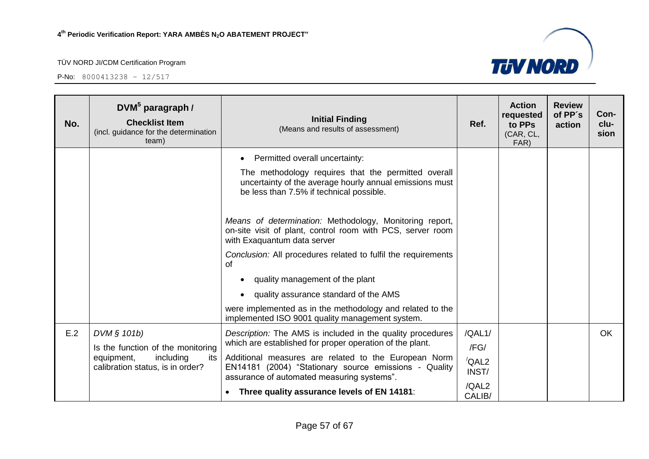

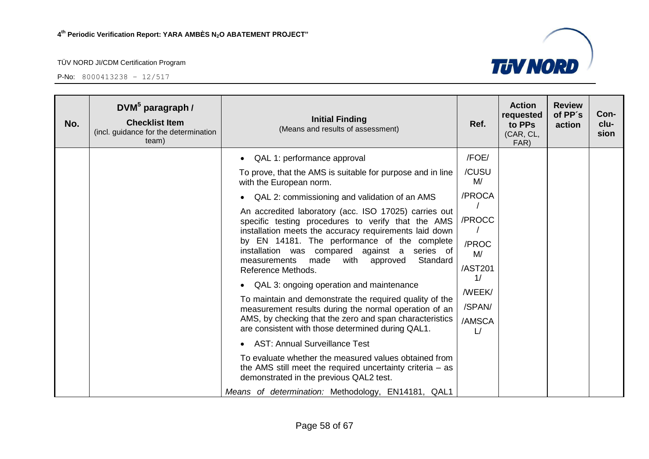| No. | DVM <sup>5</sup> paragraph /<br><b>Checklist Item</b><br>(incl. guidance for the determination<br>team) | <b>Initial Finding</b><br>(Means and results of assessment)                                                                                                                                                                                                                                                                                                                                                                                                                                                                                                                                                                       | Ref.                                                                                 | <b>Action</b><br>requested<br>to PPs<br>(CAR, CL,<br>FAR) | <b>Review</b><br>of PP's<br>action | Con-<br>clu-<br>sion |
|-----|---------------------------------------------------------------------------------------------------------|-----------------------------------------------------------------------------------------------------------------------------------------------------------------------------------------------------------------------------------------------------------------------------------------------------------------------------------------------------------------------------------------------------------------------------------------------------------------------------------------------------------------------------------------------------------------------------------------------------------------------------------|--------------------------------------------------------------------------------------|-----------------------------------------------------------|------------------------------------|----------------------|
|     |                                                                                                         | QAL 1: performance approval<br>$\bullet$                                                                                                                                                                                                                                                                                                                                                                                                                                                                                                                                                                                          | /FOE/                                                                                |                                                           |                                    |                      |
|     |                                                                                                         | To prove, that the AMS is suitable for purpose and in line<br>with the European norm.                                                                                                                                                                                                                                                                                                                                                                                                                                                                                                                                             | /CUSU<br>M/                                                                          |                                                           |                                    |                      |
|     |                                                                                                         | QAL 2: commissioning and validation of an AMS<br>$\bullet$                                                                                                                                                                                                                                                                                                                                                                                                                                                                                                                                                                        | /PROCA                                                                               |                                                           |                                    |                      |
|     |                                                                                                         | An accredited laboratory (acc. ISO 17025) carries out<br>specific testing procedures to verify that the AMS<br>installation meets the accuracy requirements laid down<br>by EN 14181. The performance of the complete<br>installation was compared against a series of<br>Standard<br>made<br>with approved<br>measurements<br>Reference Methods.<br>QAL 3: ongoing operation and maintenance<br>To maintain and demonstrate the required quality of the<br>measurement results during the normal operation of an<br>AMS, by checking that the zero and span characteristics<br>are consistent with those determined during QAL1. | /PROCC<br>/PROC<br>M/<br>/AST201<br>1/<br>/WEEK/<br>/SPAN/<br>/AMSCA<br>$\mathsf{L}$ |                                                           |                                    |                      |
|     |                                                                                                         | <b>AST: Annual Surveillance Test</b>                                                                                                                                                                                                                                                                                                                                                                                                                                                                                                                                                                                              |                                                                                      |                                                           |                                    |                      |
|     |                                                                                                         | To evaluate whether the measured values obtained from<br>the AMS still meet the required uncertainty criteria $-$ as<br>demonstrated in the previous QAL2 test.                                                                                                                                                                                                                                                                                                                                                                                                                                                                   |                                                                                      |                                                           |                                    |                      |
|     |                                                                                                         | Means of determination: Methodology, EN14181, QAL1                                                                                                                                                                                                                                                                                                                                                                                                                                                                                                                                                                                |                                                                                      |                                                           |                                    |                      |

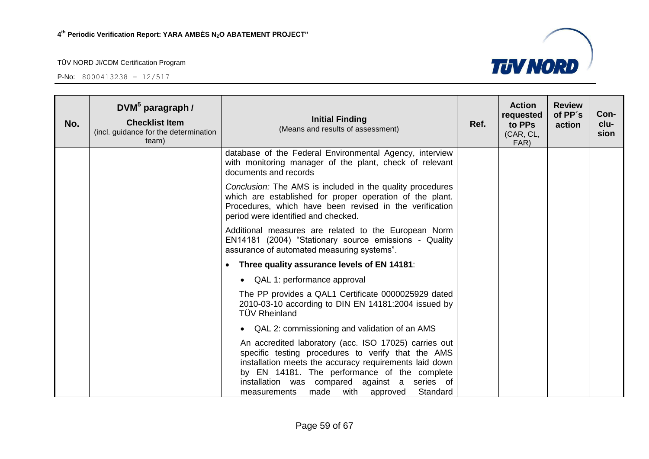

| No. | DVM <sup>5</sup> paragraph /<br><b>Checklist Item</b><br>(incl. guidance for the determination<br>team) | <b>Initial Finding</b><br>(Means and results of assessment)                                                                                                                                                                                                                                                           | Ref. | <b>Action</b><br>requested<br>to PPs<br>(CAR, CL,<br>FAR) | <b>Review</b><br>of PP's<br>action | Con-<br>clu-<br>sion |
|-----|---------------------------------------------------------------------------------------------------------|-----------------------------------------------------------------------------------------------------------------------------------------------------------------------------------------------------------------------------------------------------------------------------------------------------------------------|------|-----------------------------------------------------------|------------------------------------|----------------------|
|     |                                                                                                         | database of the Federal Environmental Agency, interview<br>with monitoring manager of the plant, check of relevant<br>documents and records                                                                                                                                                                           |      |                                                           |                                    |                      |
|     |                                                                                                         | Conclusion: The AMS is included in the quality procedures<br>which are established for proper operation of the plant.<br>Procedures, which have been revised in the verification<br>period were identified and checked.                                                                                               |      |                                                           |                                    |                      |
|     |                                                                                                         | Additional measures are related to the European Norm<br>EN14181 (2004) "Stationary source emissions - Quality<br>assurance of automated measuring systems".                                                                                                                                                           |      |                                                           |                                    |                      |
|     |                                                                                                         | Three quality assurance levels of EN 14181:<br>$\bullet$                                                                                                                                                                                                                                                              |      |                                                           |                                    |                      |
|     |                                                                                                         | • QAL 1: performance approval                                                                                                                                                                                                                                                                                         |      |                                                           |                                    |                      |
|     |                                                                                                         | The PP provides a QAL1 Certificate 0000025929 dated<br>2010-03-10 according to DIN EN 14181:2004 issued by<br><b>TÜV Rheinland</b>                                                                                                                                                                                    |      |                                                           |                                    |                      |
|     |                                                                                                         | • QAL 2: commissioning and validation of an AMS                                                                                                                                                                                                                                                                       |      |                                                           |                                    |                      |
|     |                                                                                                         | An accredited laboratory (acc. ISO 17025) carries out<br>specific testing procedures to verify that the AMS<br>installation meets the accuracy requirements laid down<br>by EN 14181. The performance of the complete<br>installation was compared against a series of<br>Standard<br>measurements made with approved |      |                                                           |                                    |                      |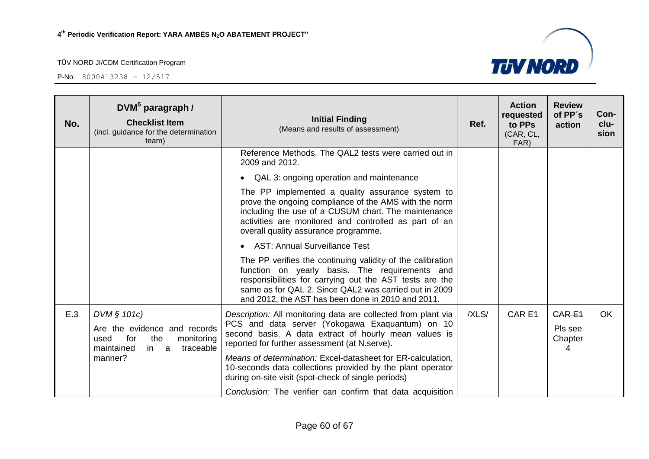

| No. | DVM <sup>5</sup> paragraph /<br><b>Checklist Item</b><br>(incl. guidance for the determination<br>team)                       | <b>Initial Finding</b><br>(Means and results of assessment)                                                                                                                                                                                                                                                                                                                                                    | Ref.  | <b>Action</b><br>requested<br>to PPs<br>(CAR, CL,<br>FAR) | <b>Review</b><br>of PP's<br>action      | Con-<br>clu-<br>sion |
|-----|-------------------------------------------------------------------------------------------------------------------------------|----------------------------------------------------------------------------------------------------------------------------------------------------------------------------------------------------------------------------------------------------------------------------------------------------------------------------------------------------------------------------------------------------------------|-------|-----------------------------------------------------------|-----------------------------------------|----------------------|
|     |                                                                                                                               | Reference Methods. The QAL2 tests were carried out in<br>2009 and 2012.                                                                                                                                                                                                                                                                                                                                        |       |                                                           |                                         |                      |
|     |                                                                                                                               | • QAL 3: ongoing operation and maintenance                                                                                                                                                                                                                                                                                                                                                                     |       |                                                           |                                         |                      |
|     |                                                                                                                               | The PP implemented a quality assurance system to<br>prove the ongoing compliance of the AMS with the norm<br>including the use of a CUSUM chart. The maintenance<br>activities are monitored and controlled as part of an<br>overall quality assurance programme.                                                                                                                                              |       |                                                           |                                         |                      |
|     |                                                                                                                               | <b>AST: Annual Surveillance Test</b>                                                                                                                                                                                                                                                                                                                                                                           |       |                                                           |                                         |                      |
|     |                                                                                                                               | The PP verifies the continuing validity of the calibration<br>function on yearly basis. The requirements and<br>responsibilities for carrying out the AST tests are the<br>same as for QAL 2. Since QAL2 was carried out in 2009<br>and 2012, the AST has been done in 2010 and 2011.                                                                                                                          |       |                                                           |                                         |                      |
| E.3 | DVM § 101c)<br>Are the evidence and records<br>for<br>the<br>monitoring<br>used<br>in a<br>traceable<br>maintained<br>manner? | Description: All monitoring data are collected from plant via<br>PCS and data server (Yokogawa Exaquantum) on 10<br>second basis. A data extract of hourly mean values is<br>reported for further assessment (at N.serve).<br>Means of determination: Excel-datasheet for ER-calculation,<br>10-seconds data collections provided by the plant operator<br>during on-site visit (spot-check of single periods) | /XLS/ | CAR <sub>E1</sub>                                         | <b>CARE1</b><br>Pls see<br>Chapter<br>4 | OK                   |
|     |                                                                                                                               | Conclusion: The verifier can confirm that data acquisition                                                                                                                                                                                                                                                                                                                                                     |       |                                                           |                                         |                      |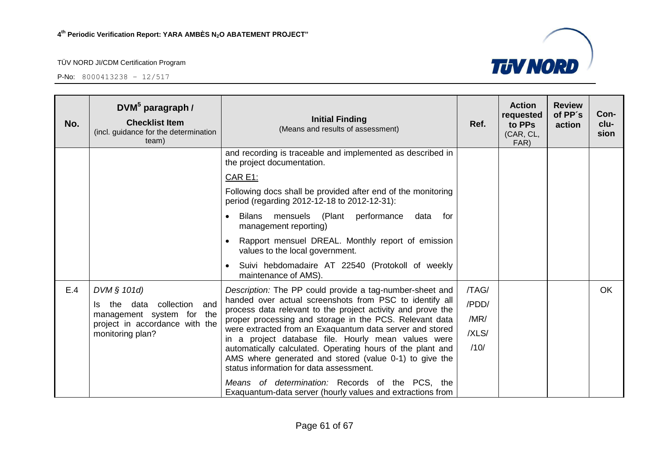

| No. | $DWM^5$ paragraph /<br><b>Checklist Item</b><br>(incl. guidance for the determination<br>team)                                     | <b>Initial Finding</b><br>(Means and results of assessment)                                                                                                                                                                                                                                                                                                                                                                                                                                                                                                                                                                                                                  | Ref.                                    | <b>Action</b><br>requested<br>to PPs<br>(CAR, CL,<br>FAR) | <b>Review</b><br>of PP's<br>action | Con-<br>clu-<br>sion |
|-----|------------------------------------------------------------------------------------------------------------------------------------|------------------------------------------------------------------------------------------------------------------------------------------------------------------------------------------------------------------------------------------------------------------------------------------------------------------------------------------------------------------------------------------------------------------------------------------------------------------------------------------------------------------------------------------------------------------------------------------------------------------------------------------------------------------------------|-----------------------------------------|-----------------------------------------------------------|------------------------------------|----------------------|
|     |                                                                                                                                    | and recording is traceable and implemented as described in<br>the project documentation.<br><b>CAR E1:</b><br>Following docs shall be provided after end of the monitoring<br>period (regarding 2012-12-18 to 2012-12-31):                                                                                                                                                                                                                                                                                                                                                                                                                                                   |                                         |                                                           |                                    |                      |
|     |                                                                                                                                    | (Plant performance<br>Bilans mensuels<br>data<br>for<br>management reporting)<br>Rapport mensuel DREAL. Monthly report of emission<br>values to the local government.<br>Suivi hebdomadaire AT 22540 (Protokoll of weekly                                                                                                                                                                                                                                                                                                                                                                                                                                                    |                                         |                                                           |                                    |                      |
| E.4 | DVM § 101d)<br>collection<br>and<br>Is the data<br>management system for the<br>project in accordance with the<br>monitoring plan? | maintenance of AMS).<br>Description: The PP could provide a tag-number-sheet and<br>handed over actual screenshots from PSC to identify all<br>process data relevant to the project activity and prove the<br>proper processing and storage in the PCS. Relevant data<br>were extracted from an Exaquantum data server and stored<br>in a project database file. Hourly mean values were<br>automatically calculated. Operating hours of the plant and<br>AMS where generated and stored (value 0-1) to give the<br>status information for data assessment.<br>Means of determination: Records of the PCS, the<br>Exaquantum-data server (hourly values and extractions from | /TAG/<br>/PDD/<br>/MR/<br>/XLS/<br>/10/ |                                                           |                                    | <b>OK</b>            |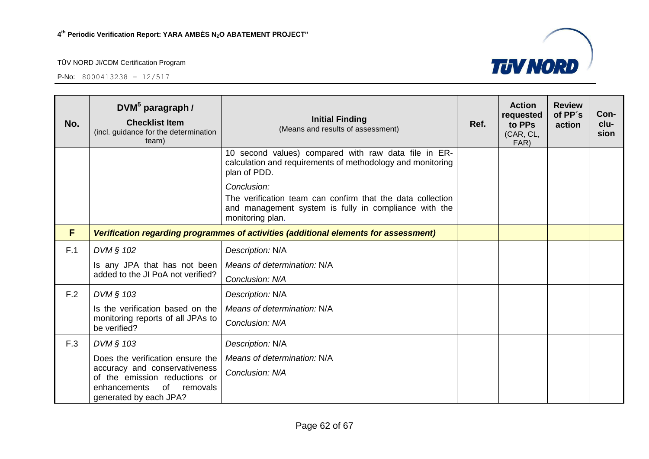

| No. | DVM <sup>5</sup> paragraph /<br><b>Checklist Item</b><br>(incl. guidance for the determination<br>team)                           | <b>Initial Finding</b><br>(Means and results of assessment)                                                                                            | Ref. | <b>Action</b><br>requested<br>to PPs<br>(CAR, CL,<br>FAR) | <b>Review</b><br>of PP's<br>action | Con-<br>clu-<br>sion |
|-----|-----------------------------------------------------------------------------------------------------------------------------------|--------------------------------------------------------------------------------------------------------------------------------------------------------|------|-----------------------------------------------------------|------------------------------------|----------------------|
|     |                                                                                                                                   | 10 second values) compared with raw data file in ER-<br>calculation and requirements of methodology and monitoring<br>plan of PDD.                     |      |                                                           |                                    |                      |
|     |                                                                                                                                   | Conclusion:<br>The verification team can confirm that the data collection<br>and management system is fully in compliance with the<br>monitoring plan. |      |                                                           |                                    |                      |
| F   |                                                                                                                                   | Verification regarding programmes of activities (additional elements for assessment)                                                                   |      |                                                           |                                    |                      |
| F.1 | DVM § 102                                                                                                                         | Description: N/A                                                                                                                                       |      |                                                           |                                    |                      |
|     | Is any JPA that has not been                                                                                                      | Means of determination: N/A                                                                                                                            |      |                                                           |                                    |                      |
|     | added to the JI PoA not verified?                                                                                                 | Conclusion: N/A                                                                                                                                        |      |                                                           |                                    |                      |
| F.2 | DVM § 103                                                                                                                         | Description: N/A                                                                                                                                       |      |                                                           |                                    |                      |
|     | Is the verification based on the                                                                                                  | Means of determination: N/A                                                                                                                            |      |                                                           |                                    |                      |
|     | monitoring reports of all JPAs to<br>be verified?                                                                                 | Conclusion: N/A                                                                                                                                        |      |                                                           |                                    |                      |
| F.3 | DVM § 103                                                                                                                         | Description: N/A                                                                                                                                       |      |                                                           |                                    |                      |
|     | Does the verification ensure the                                                                                                  | Means of determination: N/A                                                                                                                            |      |                                                           |                                    |                      |
|     | accuracy and conservativeness<br>of the emission reductions or<br><b>of</b><br>enhancements<br>removals<br>generated by each JPA? | Conclusion: N/A                                                                                                                                        |      |                                                           |                                    |                      |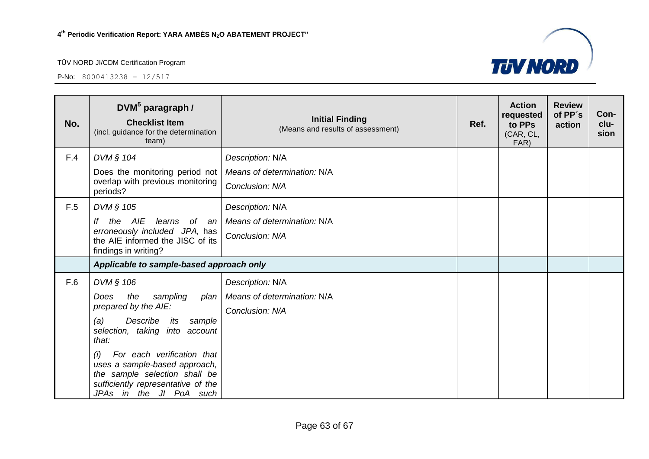

| No. | DVM <sup>5</sup> paragraph /<br><b>Checklist Item</b><br>(incl. guidance for the determination<br>team)                                                              | <b>Initial Finding</b><br>(Means and results of assessment) | Ref. | <b>Action</b><br>requested<br>to PPs<br>(CAR, CL,<br>FAR) | <b>Review</b><br>of PP's<br>action | Con-<br>clu-<br>sion |
|-----|----------------------------------------------------------------------------------------------------------------------------------------------------------------------|-------------------------------------------------------------|------|-----------------------------------------------------------|------------------------------------|----------------------|
| F.4 | DVM § 104                                                                                                                                                            | Description: N/A                                            |      |                                                           |                                    |                      |
|     | Does the monitoring period not<br>overlap with previous monitoring<br>periods?                                                                                       | Means of determination: N/A<br>Conclusion: N/A              |      |                                                           |                                    |                      |
| F.5 | DVM § 105                                                                                                                                                            | Description: N/A                                            |      |                                                           |                                    |                      |
|     | the AIE<br>learns<br>of an<br>erroneously included JPA, has<br>the AIE informed the JISC of its<br>findings in writing?                                              | Means of determination: N/A<br>Conclusion: N/A              |      |                                                           |                                    |                      |
|     | Applicable to sample-based approach only                                                                                                                             |                                                             |      |                                                           |                                    |                      |
| F.6 | DVM § 106                                                                                                                                                            | Description: N/A                                            |      |                                                           |                                    |                      |
|     | Does<br>the<br>sampling<br>plan<br>prepared by the AIE:<br>Describe<br>(a)<br>its<br>sample<br>selection, taking<br>into<br>account<br>that:                         | Means of determination: N/A<br>Conclusion: N/A              |      |                                                           |                                    |                      |
|     | For each verification that<br>(i)<br>uses a sample-based approach,<br>the sample selection shall be<br>sufficiently representative of the<br>JPAs in the JI PoA such |                                                             |      |                                                           |                                    |                      |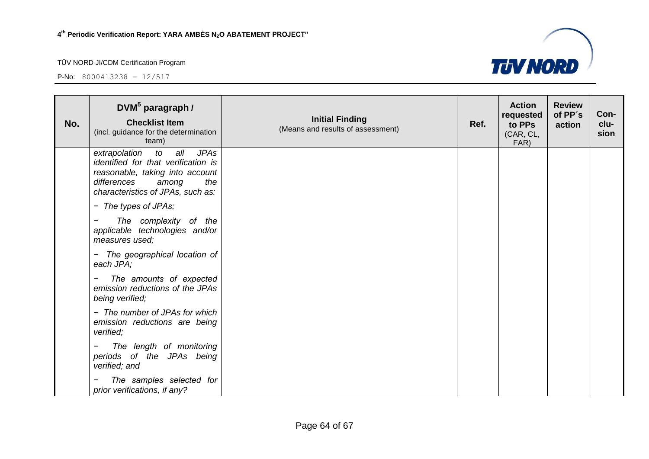

| No. | DVM <sup>5</sup> paragraph /<br><b>Checklist Item</b><br>(incl. guidance for the determination<br>team)                                                                                 | <b>Initial Finding</b><br>(Means and results of assessment) | Ref. | <b>Action</b><br>requested<br>to PPs<br>(CAR, CL,<br>FAR) | <b>Review</b><br>of PP's<br>action | Con-<br>clu-<br>sion |
|-----|-----------------------------------------------------------------------------------------------------------------------------------------------------------------------------------------|-------------------------------------------------------------|------|-----------------------------------------------------------|------------------------------------|----------------------|
|     | all<br><b>JPAs</b><br>extrapolation<br>to<br>identified for that verification is<br>reasonable, taking into account<br>differences<br>the<br>among<br>characteristics of JPAs, such as: |                                                             |      |                                                           |                                    |                      |
|     | - The types of JPAs;                                                                                                                                                                    |                                                             |      |                                                           |                                    |                      |
|     | The complexity of the<br>applicable technologies and/or<br>measures used;                                                                                                               |                                                             |      |                                                           |                                    |                      |
|     | - The geographical location of<br>each JPA;                                                                                                                                             |                                                             |      |                                                           |                                    |                      |
|     | The amounts of expected<br>emission reductions of the JPAs<br>being verified;                                                                                                           |                                                             |      |                                                           |                                    |                      |
|     | - The number of JPAs for which<br>emission reductions are being<br>verified;                                                                                                            |                                                             |      |                                                           |                                    |                      |
|     | The length of monitoring<br>periods of the JPAs being<br>verified; and                                                                                                                  |                                                             |      |                                                           |                                    |                      |
|     | The samples selected for<br>prior verifications, if any?                                                                                                                                |                                                             |      |                                                           |                                    |                      |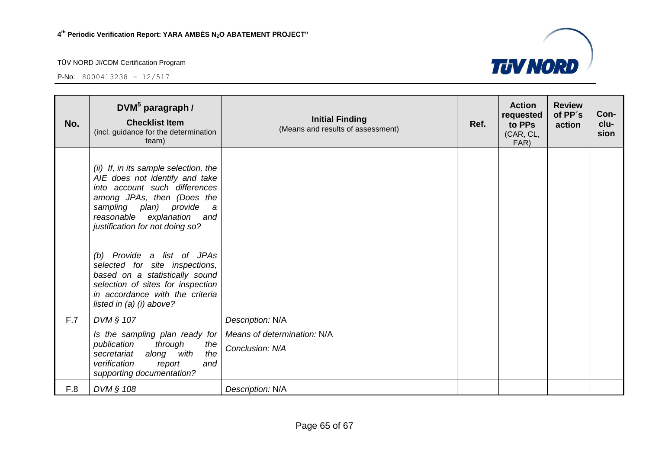| No. | DVM <sup>5</sup> paragraph /<br><b>Checklist Item</b><br>(incl. guidance for the determination<br>team)                                                                                                                                                                                                                                                                                                                                         | <b>Initial Finding</b><br>(Means and results of assessment)        | Ref. | <b>Action</b><br>requested<br>to PPs<br>(CAR, CL,<br>FAR) | <b>Review</b><br>of PP's<br>action | Con-<br>clu-<br>sion |
|-----|-------------------------------------------------------------------------------------------------------------------------------------------------------------------------------------------------------------------------------------------------------------------------------------------------------------------------------------------------------------------------------------------------------------------------------------------------|--------------------------------------------------------------------|------|-----------------------------------------------------------|------------------------------------|----------------------|
|     | (ii) If, in its sample selection, the<br>AIE does not identify and take<br>into account such differences<br>among JPAs, then (Does the<br>sampling plan) provide<br>a<br>reasonable explanation<br>and<br>justification for not doing so?<br>(b) Provide a list of JPAs<br>selected for site inspections,<br>based on a statistically sound<br>selection of sites for inspection<br>in accordance with the criteria<br>listed in (a) (i) above? |                                                                    |      |                                                           |                                    |                      |
| F.7 | DVM § 107<br>Is the sampling plan ready for<br>publication<br>through<br>the<br>the<br>along with<br>secretariat<br>verification<br>and<br>report<br>supporting documentation?                                                                                                                                                                                                                                                                  | Description: N/A<br>Means of determination: N/A<br>Conclusion: N/A |      |                                                           |                                    |                      |
| F.8 | DVM § 108                                                                                                                                                                                                                                                                                                                                                                                                                                       | Description: N/A                                                   |      |                                                           |                                    |                      |

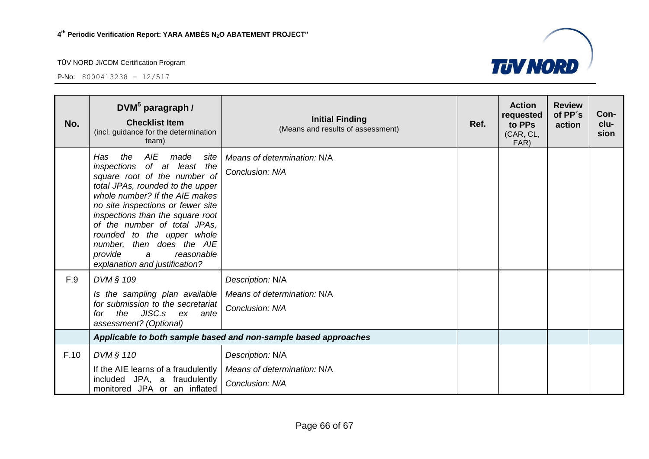

| No.  | DVM <sup>5</sup> paragraph /<br><b>Checklist Item</b><br>(incl. guidance for the determination<br>team)                                                                                                                                                                                                                                                                                                       | <b>Initial Finding</b><br>(Means and results of assessment)        | Ref. | <b>Action</b><br>requested<br>to PPs<br>(CAR, CL,<br>FAR) | <b>Review</b><br>of PP's<br>action | Con-<br>clu-<br>sion |
|------|---------------------------------------------------------------------------------------------------------------------------------------------------------------------------------------------------------------------------------------------------------------------------------------------------------------------------------------------------------------------------------------------------------------|--------------------------------------------------------------------|------|-----------------------------------------------------------|------------------------------------|----------------------|
|      | AIE<br>Has<br>the<br>made<br>site<br>of at least the<br>inspections<br>square root of the number of<br>total JPAs, rounded to the upper<br>whole number? If the AIE makes<br>no site inspections or fewer site<br>inspections than the square root<br>of the number of total JPAs,<br>rounded to the upper whole<br>number, then does the AIE<br>provide<br>reasonable<br>a<br>explanation and justification? | Means of determination: N/A<br>Conclusion: N/A                     |      |                                                           |                                    |                      |
| F.9  | DVM § 109                                                                                                                                                                                                                                                                                                                                                                                                     | Description: N/A                                                   |      |                                                           |                                    |                      |
|      | Is the sampling plan available<br>for submission to the secretariat<br>the JISC.s ex<br>for<br>ante<br>assessment? (Optional)                                                                                                                                                                                                                                                                                 | Means of determination: N/A<br>Conclusion: N/A                     |      |                                                           |                                    |                      |
|      |                                                                                                                                                                                                                                                                                                                                                                                                               | Applicable to both sample based and non-sample based approaches    |      |                                                           |                                    |                      |
| F.10 | DVM § 110<br>If the AIE learns of a fraudulently<br>included JPA, a fraudulently<br>monitored JPA or an inflated                                                                                                                                                                                                                                                                                              | Description: N/A<br>Means of determination: N/A<br>Conclusion: N/A |      |                                                           |                                    |                      |